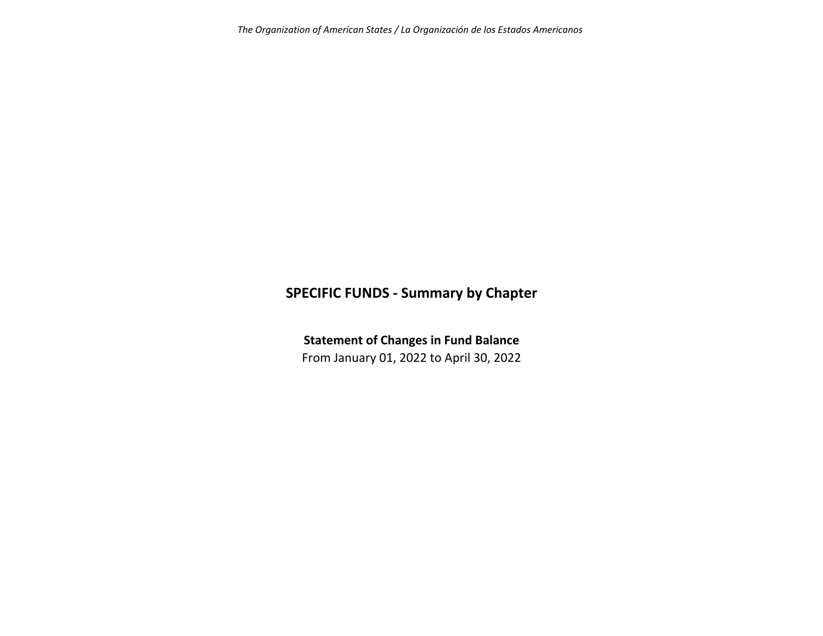# **SPECIFIC FUNDS ‐ Summary by Chapter**

**Statement of Changes in Fund Balance**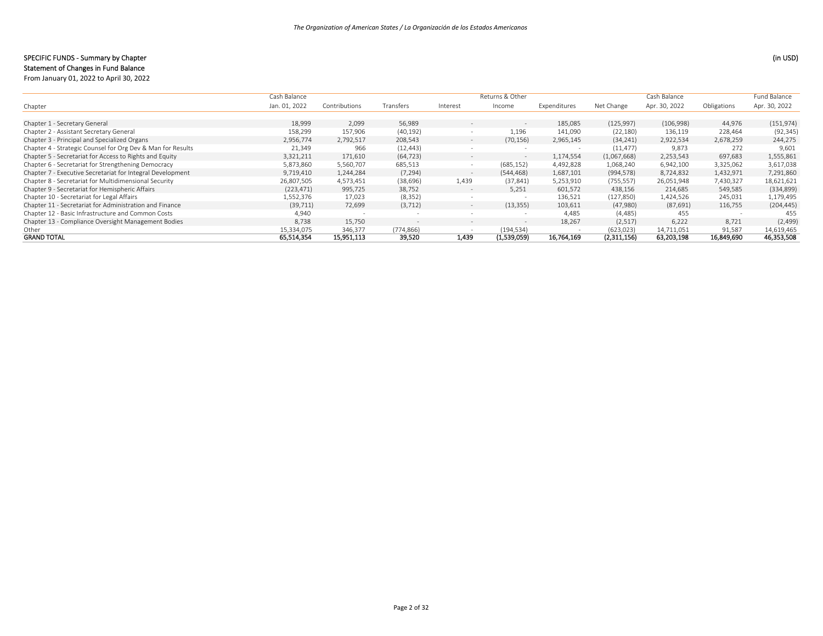## SPECIFIC FUNDS ‐ Summary by Chapter (in USD)

|                                                             | Cash Balance  |               |                          |                          | Returns & Other          |              |             | Cash Balance  |             | Fund Balance  |
|-------------------------------------------------------------|---------------|---------------|--------------------------|--------------------------|--------------------------|--------------|-------------|---------------|-------------|---------------|
| Chapter                                                     | Jan. 01, 2022 | Contributions | Transfers                | Interest                 | Income                   | Expenditures | Net Change  | Apr. 30, 2022 | Obligations | Apr. 30, 2022 |
|                                                             |               |               |                          |                          |                          |              |             |               |             |               |
| Chapter 1 - Secretary General                               | 18,999        | 2,099         | 56,989                   | $\sim$                   | $\overline{\phantom{a}}$ | 185,085      | (125, 997)  | (106,998)     | 44,976      | (151, 974)    |
| Chapter 2 - Assistant Secretary General                     | 158,299       | 157,906       | (40, 192)                | $\overline{\phantom{a}}$ | 1.196                    | 141,090      | (22, 180)   | 136,119       | 228,464     | (92, 345)     |
| Chapter 3 - Principal and Specialized Organs                | 2,956,774     | 2,792,517     | 208,543                  | $\sim$                   | (70, 156)                | 2,965,145    | (34, 241)   | 2,922,534     | 2,678,259   | 244,275       |
| Chapter 4 - Strategic Counsel for Org Dev & Man for Results | 21,349        | 966           | (12, 443)                |                          |                          |              | (11, 477)   | 9,873         | 272         | 9,601         |
| Chapter 5 - Secretariat for Access to Rights and Equity     | 3,321,211     | 171,610       | (64, 723)                | $\overline{\phantom{0}}$ | $\overline{\phantom{a}}$ | 1,174,554    | (1,067,668) | 2,253,543     | 697,683     | 1,555,861     |
| Chapter 6 - Secretariat for Strengthening Democracy         | 5,873,860     | 5,560,707     | 685,513                  | $\sim$                   | (685, 152)               | 4,492,828    | 1,068,240   | 6,942,100     | 3,325,062   | 3,617,038     |
| Chapter 7 - Executive Secretariat for Integral Development  | 9,719,410     | 1,244,284     | (7, 294)                 | $\sim$                   | (544, 468)               | 1,687,101    | (994, 578)  | 8,724,832     | 1,432,971   | 7,291,860     |
| Chapter 8 - Secretariat for Multidimensional Security       | 26,807,505    | 4,573,451     | (38, 696)                | 1,439                    | (37, 841)                | 5,253,910    | (755, 557)  | 26,051,948    | 7,430,327   | 18,621,621    |
| Chapter 9 - Secretariat for Hemispheric Affairs             | (223, 471)    | 995,725       | 38,752                   | $-$                      | 5.251                    | 601,572      | 438,156     | 214,685       | 549,585     | (334, 899)    |
| Chapter 10 - Secretariat for Legal Affairs                  | 1,552,376     | 17,023        | (8, 352)                 | $\overline{\phantom{a}}$ |                          | 136,521      | (127, 850)  | 1,424,526     | 245,031     | 1,179,495     |
| Chapter 11 - Secretariat for Administration and Finance     | (39, 711)     | 72,699        | (3, 712)                 | $\overline{\phantom{0}}$ | (13, 355)                | 103,611      | (47,980)    | (87, 691)     | 116,755     | (204, 445)    |
| Chapter 12 - Basic Infrastructure and Common Costs          | 4,940         |               |                          | $\sim$                   | $\sim$                   | 4,485        | (4, 485)    | 455           |             | -455          |
| Chapter 13 - Compliance Oversight Management Bodies         | 8,738         | 15,750        | $\overline{\phantom{0}}$ | $\overline{\phantom{0}}$ | $\overline{\phantom{a}}$ | 18,267       | (2,517)     | 6,222         | 8,721       | (2, 499)      |
| Other                                                       | 15,334,075    | 346,377       | (774, 866)               |                          | (194, 534)               |              | (623, 023)  | 14,711,051    | 91,587      | 14,619,465    |
| <b>GRAND TOTAL</b>                                          | 65,514,354    | 15,951,113    | 39,520                   | 1.439                    | (1,539,059)              | 16,764,169   | (2,311,156) | 63,203,198    | 16,849,690  | 46,353,508    |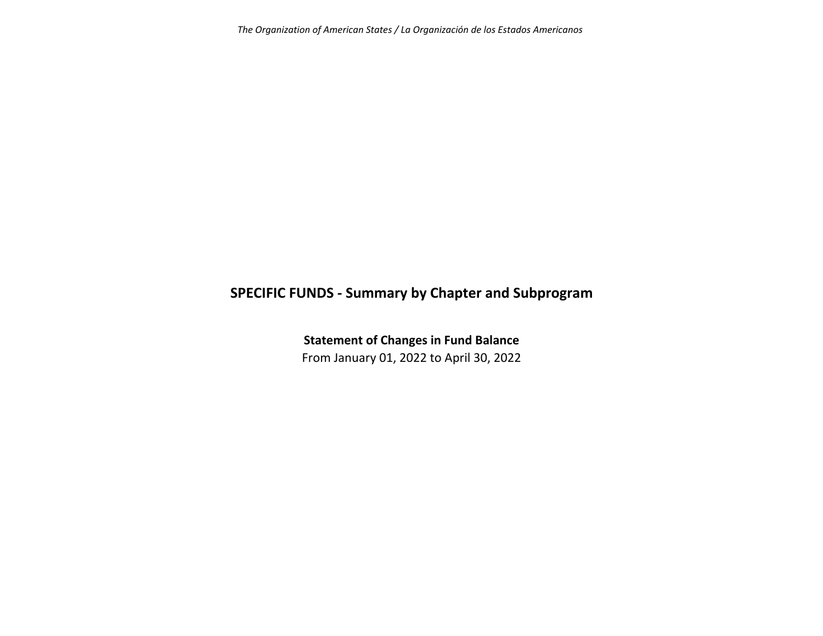*The Organization of American States / La Organización de los Estados Americanos*

# **SPECIFIC FUNDS ‐ Summary by Chapter and Subprogram**

**Statement of Changes in Fund Balance** From January 01, 2022 to April 30, 2022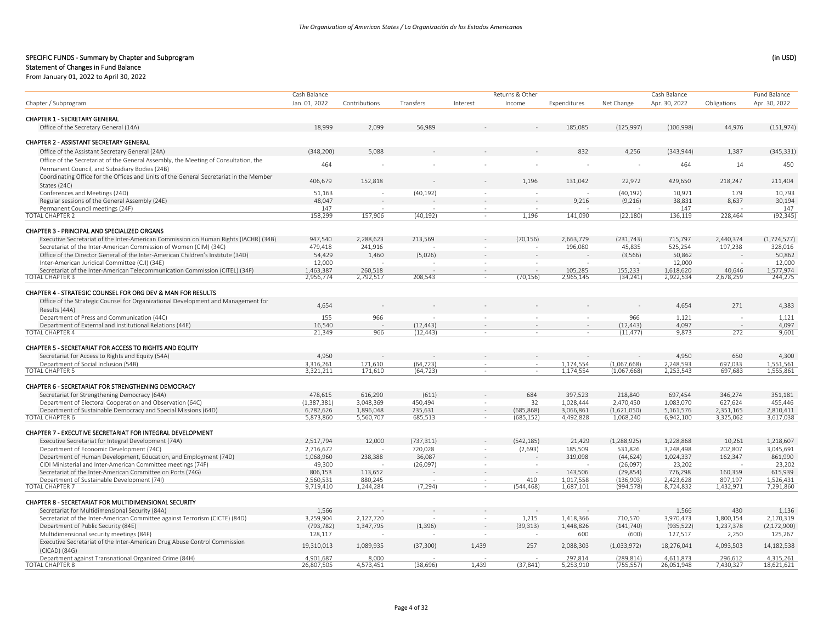Returns & Other

Cash Balance

## SPECIFIC FUNDS ‐ Summary by Chapter and Subprogram (in USD)

# Statement of Changes in Fund Balance

From January 01, 2022 to April 30, 2022

|                                                                                        | Cash Balance  |               |            |          | Returns & Other |              |               | Cash Balance  |             | Fund Balance  |
|----------------------------------------------------------------------------------------|---------------|---------------|------------|----------|-----------------|--------------|---------------|---------------|-------------|---------------|
| Chapter / Subprogram                                                                   | Jan. 01. 2022 | Contributions | Transfers  | Interest | Income          | Expenditures | Net Change    | Apr. 30, 2022 | Obligations | Apr. 30, 2022 |
| <b>CHAPTER 1 - SECRETARY GENERAL</b>                                                   |               |               |            |          |                 |              |               |               |             |               |
| Office of the Secretary General (14A)                                                  | 18,999        | 2,099         | 56,989     |          |                 | 185,085      | (125, 997)    | (106,998)     | 44,976      | (151, 974)    |
|                                                                                        |               |               |            |          |                 |              |               |               |             |               |
| CHAPTER 2 - ASSISTANT SECRETARY GENERAL                                                |               |               |            |          |                 |              |               |               |             |               |
| Office of the Assistant Secretary General (24A)                                        | (348, 200)    | 5,088         |            |          |                 | 832          | 4,256         | (343, 944)    | 1,387       | (345, 331)    |
| Office of the Secretariat of the General Assembly, the Meeting of Consultation, the    |               |               |            |          |                 |              |               |               |             |               |
| Permanent Council, and Subsidiary Bodies (24B)                                         | 464           |               |            |          |                 |              |               | 464           | 14          | 450           |
| Coordinating Office for the Offices and Units of the General Secretariat in the Member |               |               |            |          |                 |              |               |               |             |               |
| States (24C)                                                                           | 406,679       | 152,818       |            |          | 1,196           | 131,042      | 22,972        | 429,650       | 218,247     | 211,404       |
| Conferences and Meetings (24D)                                                         | 51,163        | $\sim$        | (40, 192)  | $\sim$   |                 |              | (40, 192)     | 10,971        | 179         | 10,793        |
| Regular sessions of the General Assembly (24E)                                         | 48,047        |               |            |          |                 | 9,216        | (9,216)       | 38,831        | 8,637       | 30,194        |
| Permanent Council meetings (24F)                                                       | 147           |               |            |          |                 |              |               | 147           |             | 147           |
| <b>TOTAL CHAPTER 2</b>                                                                 | 158,299       | 157,906       | (40, 192)  | $\sim$   | 1,196           | 141,090      | (22, 180)     | 136,119       | 228,464     | (92, 345)     |
|                                                                                        |               |               |            |          |                 |              |               |               |             |               |
| <b>CHAPTER 3 - PRINCIPAL AND SPECIALIZED ORGANS</b>                                    |               |               |            |          |                 |              |               |               |             |               |
| Executive Secretariat of the Inter-American Commission on Human Rights (IACHR) (34B)   | 947,540       | 2,288,623     | 213,569    |          | (70, 156)       | 2,663,779    | (231, 743)    | 715,797       | 2,440,374   | (1, 724, 577) |
| Secretariat of the Inter-American Commission of Women (CIM) (34C)                      | 479,418       | 241,916       |            |          |                 | 196,080      | 45,835        | 525,254       | 197,238     | 328,016       |
| Office of the Director General of the Inter-American Children's Institute (34D)        | 54,429        | 1,460         | (5,026)    |          |                 |              | (3, 566)      | 50,862        |             | 50,862        |
| Inter-American Juridical Committee (CJI) (34E)                                         | 12.000        |               |            |          |                 |              |               | 12,000        |             | 12,000        |
| Secretariat of the Inter-American Telecommunication Commission (CITEL) (34F)           | 1.463.387     | 260.518       |            |          |                 | 105.285      | 155.233       | 1.618.620     | 40.646      | 1,577,974     |
| <b>TOTAL CHAPTER 3</b>                                                                 | 2,956,774     | 2,792,517     | 208,543    | $\sim$   | (70, 156)       | 2,965,145    | (34, 241)     | 2,922,534     | 2,678,259   | 244,275       |
|                                                                                        |               |               |            |          |                 |              |               |               |             |               |
| CHAPTER 4 - STRATEGIC COUNSEL FOR ORG DEV & MAN FOR RESULTS                            |               |               |            |          |                 |              |               |               |             |               |
| Office of the Strategic Counsel for Organizational Development and Management for      |               |               |            |          |                 |              |               |               |             |               |
| Results (44A)                                                                          | 4,654         |               |            |          |                 |              |               | 4,654         | 271         | 4,383         |
| Department of Press and Communication (44C)                                            | 155           | 966           |            |          |                 |              | 966           | 1,121         | $\sim$      | 1,121         |
| Department of External and Institutional Relations (44E)                               | 16,540        |               | (12, 443)  |          |                 |              | (12, 443)     | 4.097         |             | 4,097         |
| <b>TOTAL CHAPTER 4</b>                                                                 | 21.349        | 966           | (12, 443)  | $\sim$   | 4               | $\sim$       | (11, 477)     | 9,873         | 272         | 9,601         |
|                                                                                        |               |               |            |          |                 |              |               |               |             |               |
| CHAPTER 5 - SECRETARIAT FOR ACCESS TO RIGHTS AND EQUITY                                |               |               |            |          |                 |              |               |               |             |               |
| Secretariat for Access to Rights and Equity (54A)                                      | 4,950         |               |            |          |                 |              |               | 4,950         | 650         | 4,300         |
| Department of Social Inclusion (54B)                                                   | 3,316,261     | 171.610       | (64, 723)  |          |                 | 1,174,554    | (1,067,668)   | 2,248,593     | 697.033     | 1,551,561     |
| <b>TOTAL CHAPTER 5</b>                                                                 | 3,321,211     | 171,610       | (64, 723)  |          |                 | 1,174,554    | (1,067,668)   | 2,253,543     | 697,683     | 1,555,861     |
|                                                                                        |               |               |            |          |                 |              |               |               |             |               |
| CHAPTER 6 - SECRETARIAT FOR STRENGTHENING DEMOCRACY                                    |               |               |            |          |                 |              |               |               |             |               |
| Secretariat for Strengthening Democracy (64A)                                          | 478,615       | 616,290       | (611)      |          | 684             | 397,523      | 218,840       | 697,454       | 346,274     | 351,181       |
| Department of Electoral Cooperation and Observation (64C)                              | (1, 387, 381) | 3.048.369     | 450.494    |          | 32              | 1,028,444    | 2,470,450     | 1.083.070     | 627,624     | 455.446       |
| Department of Sustainable Democracy and Special Missions (64D)                         | 6,782,626     | 1,896,048     | 235,631    |          | (685, 868)      | 3,066,861    | (1,621,050)   | 5,161,576     | 2,351,165   | 2,810,411     |
| <b>TOTAL CHAPTER 6</b>                                                                 | 5,873,860     | 5.560.707     | 685.513    |          | (685, 152)      | 4.492.828    | 1,068,240     | 6.942.100     | 3,325,062   | 3.617.038     |
|                                                                                        |               |               |            |          |                 |              |               |               |             |               |
| CHAPTER 7 - EXECUTIVE SECRETARIAT FOR INTEGRAL DEVELOPMENT                             |               |               |            |          |                 |              |               |               |             |               |
| Executive Secretariat for Integral Development (74A)                                   | 2,517,794     | 12,000        | (737, 311) |          | (542, 185)      | 21,429       | (1, 288, 925) | 1,228,868     | 10,261      | 1,218,607     |
| Department of Economic Development (74C)                                               | 2.716.672     |               | 720,028    |          | (2,693)         | 185,509      | 531,826       | 3,248,498     | 202,807     | 3,045,691     |
| Department of Human Development, Education, and Employment (74D)                       | 1,068,960     | 238,388       | 36,087     |          |                 | 319,098      | (44, 624)     | 1,024,337     | 162,347     | 861,990       |
| CIDI Ministerial and Inter-American Committee meetings (74F)                           | 49,300        |               | (26,097)   | $\sim$   |                 |              | (26,097)      | 23,202        | $\sim$      | 23,202        |
| Secretariat of the Inter-American Committee on Ports (74G)                             | 806,153       | 113,652       |            |          |                 | 143,506      | (29, 854)     | 776,298       | 160,359     | 615,939       |
| Department of Sustainable Development (74I)                                            | 2,560,531     | 880,245       |            | $\sim$   | 410             | 1,017,558    | (136, 903)    | 2,423,628     | 897,197     | 1,526,431     |
| <b>TOTAL CHAPTER 7</b>                                                                 | 9,719,410     | 1,244,284     | (7, 294)   | $\sim$   | (544, 468)      | 1,687,101    | (994, 578)    | 8,724,832     | 1,432,971   | 7,291,860     |
|                                                                                        |               |               |            |          |                 |              |               |               |             |               |
| CHAPTER 8 - SECRETARIAT FOR MULTIDIMENSIONAL SECURITY                                  |               |               |            |          |                 |              |               |               |             |               |
| Secretariat for Multidimensional Security (84A)                                        | 1,566         |               |            |          |                 |              |               | 1,566         | 430         | 1,136         |
| Secretariat of the Inter-American Committee against Terrorism (CICTE) (84D)            | 3,259,904     | 2,127,720     |            | ÷        | 1,215           | 1,418,366    | 710,570       | 3,970,473     | 1,800,154   | 2,170,319     |
| Department of Public Security (84E)                                                    | (793, 782)    | 1,347,795     | (1, 396)   |          | (39, 313)       | 1,448,826    | (141, 740)    | (935, 522)    | 1,237,378   | (2, 172, 900) |
| Multidimensional security meetings (84F)                                               | 128,117       |               |            |          |                 | 600          | (600)         | 127,517       | 2,250       | 125,267       |
| Executive Secretariat of the Inter-American Drug Abuse Control Commission              |               |               |            |          |                 |              |               |               |             |               |
| (CICAD) (84G)                                                                          | 19,310,013    | 1,089,935     | (37, 300)  | 1,439    | 257             | 2,088,303    | (1,033,972)   | 18,276,041    | 4,093,503   | 14,182,538    |
| Department against Transnational Organized Crime (84H)                                 | 4.901.687     | 8.000         |            |          |                 | 297,814      | (289, 814)    | 4.611.873     | 296,612     | 4,315,261     |
| <b>TOTAL CHAPTER 8</b>                                                                 | 26.807.505    | 4,573,451     | (38.696)   | 1.439    | (37.841)        | 5.253.910    | (755, 557)    | 26.051.948    | 7.430.327   | 18,621,621    |
|                                                                                        |               |               |            |          |                 |              |               |               |             |               |

 $\overline{C}$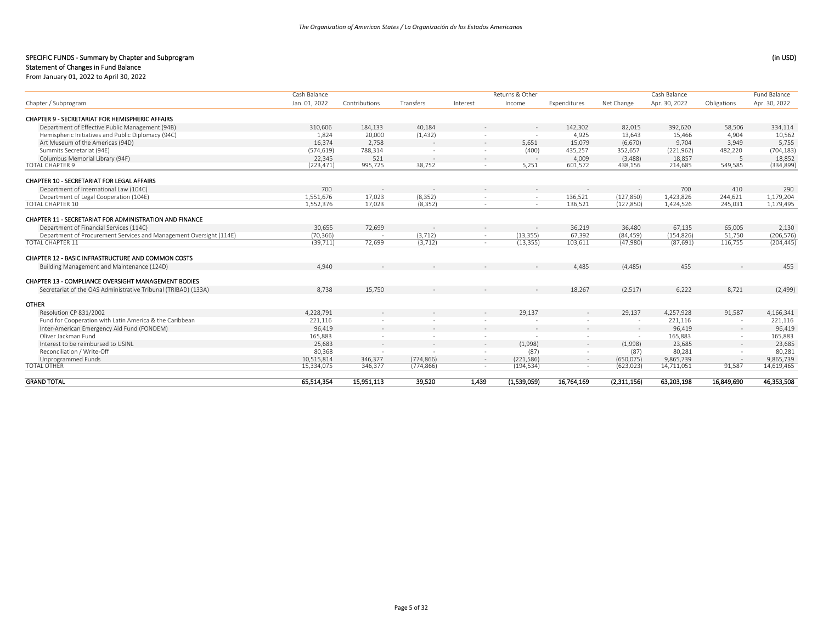Returns & Other

Cash Balance

## SPECIFIC FUNDS ‐ Summary by Chapter and Subprogram (in USD)

# Statement of Changes in Fund Balance

From January 01, 2022 to April 30, 2022

| Jan. 01, 2022<br>310,606<br>1,824 | Contributions<br>184,133                                                      | Transfers  | Interest           | Income      | Expenditures             | Net Change               | Apr. 30, 2022 | Obligations              | Apr. 30, 2022 |
|-----------------------------------|-------------------------------------------------------------------------------|------------|--------------------|-------------|--------------------------|--------------------------|---------------|--------------------------|---------------|
|                                   |                                                                               |            |                    |             |                          |                          |               |                          |               |
|                                   |                                                                               |            |                    |             |                          |                          |               |                          |               |
|                                   |                                                                               | 40,184     |                    |             | 142,302                  | 82,015                   | 392,620       | 58,506                   | 334,114       |
|                                   | 20,000                                                                        | (1, 432)   |                    |             | 4.925                    | 13,643                   | 15.466        | 4,904                    | 10,562        |
| 16,374                            | 2,758                                                                         |            | $\sim$             | 5,651       | 15,079                   | (6,670)                  | 9,704         | 3,949                    | 5,755         |
| (574, 619)                        | 788,314                                                                       |            |                    | (400)       | 435,257                  | 352,657                  | (221, 962)    | 482,220                  | (704, 183)    |
| 22,345                            | 521                                                                           | $\sim$     | $\sim$             | $\sim$      | 4.009                    | (3,488)                  | 18,857        | -5                       | 18,852        |
| (223, 471)                        | 995,725                                                                       |            | $\sim$             | 5,251       | 601,572                  | 438,156                  | 214,685       | 549,585                  | (334, 899)    |
|                                   |                                                                               |            |                    |             |                          |                          |               |                          |               |
| 700                               |                                                                               |            |                    |             |                          |                          | 700           | 410                      | 290           |
|                                   | 17,023                                                                        |            |                    | $\sim$      | 136,521                  | (127, 850)               | 1,423,826     | 244,621                  | 1,179,204     |
|                                   | 17,023                                                                        | (8, 352)   |                    |             | 136,521                  | (127, 850)               | 1,424,526     | 245,031                  | 1,179,495     |
|                                   |                                                                               |            |                    |             |                          |                          |               |                          |               |
| 30,655                            | 72,699                                                                        |            |                    |             | 36,219                   | 36,480                   | 67,135        | 65,005                   | 2,130         |
| (70, 366)                         |                                                                               | (3, 712)   | $\sim$             | (13, 355)   | 67,392                   |                          | (154, 826)    | 51,750                   | (206, 576)    |
| (39, 711)                         | 72,699                                                                        | (3, 712)   |                    | (13, 355)   | 103,611                  | (47,980)                 | (87, 691)     | 116,755                  | (204, 445)    |
|                                   |                                                                               |            |                    |             |                          |                          |               |                          |               |
| 4,940                             |                                                                               |            |                    |             | 4,485                    | (4, 485)                 | 455           |                          | 455           |
|                                   |                                                                               |            |                    |             |                          |                          |               |                          |               |
| 8.738                             | 15,750                                                                        |            |                    |             | 18,267                   | (2,517)                  | 6,222         | 8,721                    | (2,499)       |
|                                   |                                                                               |            |                    |             |                          |                          |               |                          |               |
|                                   |                                                                               |            |                    | 29,137      | $\sim$                   | 29,137                   | 4,257,928     | 91,587                   | 4,166,341     |
| 221,116                           |                                                                               |            |                    |             | $\sim$                   | $\overline{\phantom{a}}$ | 221,116       | $\sim$                   | 221,116       |
| 96,419                            | $\overline{\phantom{a}}$                                                      |            |                    | $\sim$      | $\sim$                   | $\overline{\phantom{a}}$ | 96,419        | $\overline{\phantom{a}}$ | 96,419        |
| 165,883                           |                                                                               |            |                    |             |                          |                          | 165,883       |                          | 165,883       |
| 25,683                            | $\overline{\phantom{a}}$                                                      | $\sim$     | $\sim$             | (1,998)     | $\sim$                   | (1,998)                  | 23,685        |                          | 23,685        |
| 80,368                            |                                                                               |            |                    | (87)        |                          | (87)                     | 80,281        |                          | 80,281        |
|                                   | 346,377                                                                       | (774, 866) | $\sim$             | (221, 586)  | $\sim$                   | (650, 075)               | 9,865,739     | $\sim$                   | 9,865,739     |
|                                   | 346.377                                                                       | (774, 866) |                    | (194, 534)  | $\overline{\phantom{a}}$ | (623, 023)               | 14,711,051    | 91,587                   | 14,619,465    |
|                                   | 15,951,113                                                                    | 39,520     | 1,439              | (1,539,059) | 16,764,169               | (2,311,156)              | 63,203,198    | 16,849,690               | 46,353,508    |
|                                   | 1,551,676<br>1,552,376<br>4,228,791<br>10,515,814<br>15,334,075<br>65,514,354 |            | 38,752<br>(8, 352) |             |                          |                          | (84, 459)     |                          |               |

Cash Balance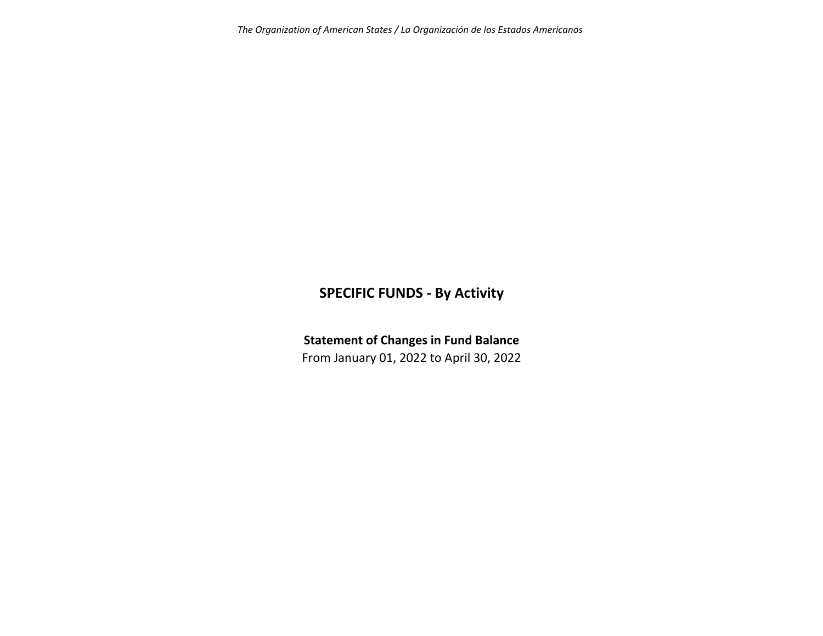*The Organization of American States / La Organización de los Estados Americanos*

# **SPECIFIC FUNDS ‐ By Activity**

**Statement of Changes in Fund Balance**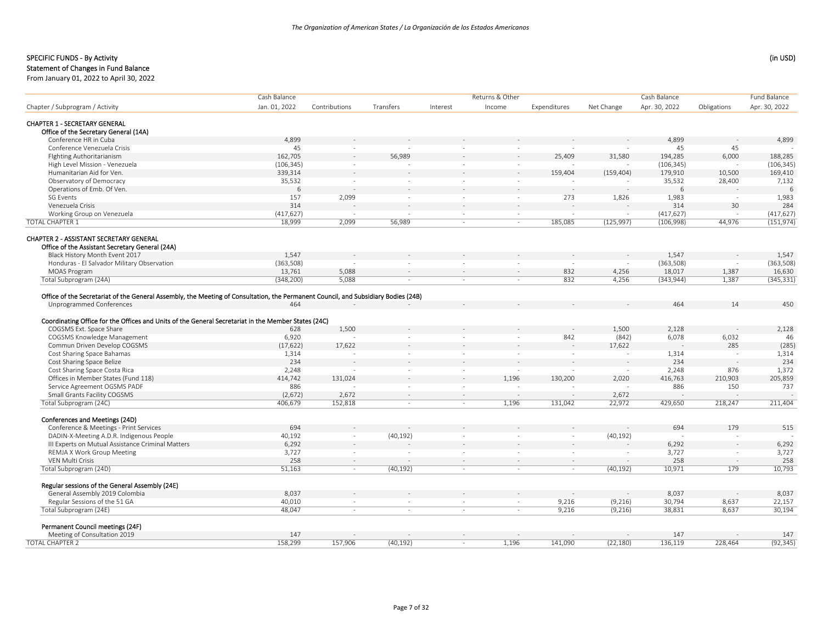#### Statement of Changes in Fund Balance

From January 01, 2022 to April 30, 2022

| Jan. 01, 2022<br>Apr. 30, 2022<br>Net Change<br>Apr. 30, 2022<br>Obligations<br>Contributions<br>Transfers<br>Interest<br>Income<br>Expenditures<br><b>CHAPTER 1 - SECRETARY GENERAL</b><br>Office of the Secretary General (14A)<br>Conference HR in Cuba<br>4,899<br>4,899<br>4,899<br>45<br>Conference Venezuela Crisis<br>45<br>45<br>$\sim$<br>$\sim$<br>$\sim$<br>162,705<br>56,989<br>25,409<br>31,580<br>194,285<br>6,000<br>188,285<br>Fighting Authoritarianism<br>High Level Mission - Venezuela<br>(106, 345)<br>(106, 345)<br>(106, 345)<br>$\ddot{\phantom{1}}$<br>$\sim$<br>$\sim$<br>Humanitarian Aid for Ven.<br>339,314<br>159,404<br>179,910<br>169,410<br>(159, 404)<br>10,500<br>Observatory of Democracy<br>35,532<br>35,532<br>28,400<br>7,132<br>$\sim$<br>$\sim$<br>$\sim$<br>$\sim$<br>Operations of Emb. Of Ven.<br>6<br>6<br>6<br>2,099<br>273<br>SG Events<br>157<br>1,983<br>1,983<br>1,826<br>÷.<br>$\sim$<br>$\sim$<br>Venezuela Crisis<br>314<br>30<br>284<br>314<br>Working Group on Venezuela<br>(417, 627)<br>(417, 627)<br>(417, 627)<br>$\sim$<br>$\mathbf{r}$<br>$\sim$<br>$\sim$<br>$\sim$<br>$\sim$<br><b>TOTAL CHAPTER 1</b><br>185,085<br>(151, 974)<br>18,999<br>2,099<br>56,989<br>(125, 997)<br>(106, 998)<br>44,976<br>$\sim$<br>$\sim$<br>Office of the Assistant Secretary General (24A)<br>Black History Month Event 2017<br>1,547<br>1,547<br>1,547<br>Honduras - El Salvador Military Observation<br>(363,508)<br>(363,508)<br>(363, 508)<br>$\sim$<br>5,088<br>832<br><b>MOAS Program</b><br>13,761<br>4,256<br>18,017<br>1,387<br>16,630<br>$\sim$<br>$\sim$<br>$\sim$<br>Total Subprogram (24A)<br>(348, 200)<br>5,088<br>832<br>4,256<br>(343, 944)<br>1,387<br>(345, 331)<br>$\sim$<br>$\sim$<br>$\sim$<br>Office of the Secretariat of the General Assembly, the Meeting of Consultation, the Permanent Council, and Subsidiary Bodies (24B)<br>464<br>14<br>450<br>Unprogrammed Conferences<br>464<br>Coordinating Office for the Offices and Units of the General Secretariat in the Member States (24C)<br>COGSMS Ext. Space Share<br>1,500<br>1,500<br>2,128<br>628<br>2,128<br>COGSMS Knowledge Management<br>6,078<br>6,920<br>842<br>(842)<br>6,032<br>46<br>17,622<br>(285)<br>Commun Driven Develop COGSMS<br>(17, 622)<br>17,622<br>285<br>Cost Sharing Space Bahamas<br>1,314<br>1,314<br>1,314<br>$\sim$<br>$\sim$<br>$\overline{\phantom{a}}$<br>$\sim$<br>in 1919.<br>$\sim$<br>234<br>234<br>Cost Sharing Space Belize<br>234<br>Cost Sharing Space Costa Rica<br>2,248<br>876<br>1,372<br>2,248<br>$\sim$<br>$\sim$<br>$\sim$<br>$\sim$<br>$\sim$<br>131,024<br>1,196<br>130,200<br>2,020<br>Offices in Member States (Fund 118)<br>414,742<br>416,763<br>210,903<br>205,859<br>$\sim$<br>Service Agreement OGSMS PADF<br>886<br>886<br>150<br>737<br>$\sim$<br>$\sim$<br>Small Grants Facility COGSMS<br>(2,672)<br>2,672<br>2,672<br>$\sim$<br>$\sim$<br>$\sim$<br>÷.<br>Total Subprogram (24C)<br>152,818<br>22,972<br>211,404<br>406,679<br>1,196<br>131,042<br>429,650<br>218,247<br>$\sim$<br>$\sim$<br>Conferences and Meetings (24D)<br>694<br>179<br>Conference & Meetings - Print Services<br>694<br>515<br>DADIN-X-Meeting A.D.R. Indigenous People<br>40,192<br>(40, 192)<br>(40, 192)<br>$\sim$<br>$\sim$<br>$\sim$<br>$\sim$<br>III Experts on Mutual Assistance Criminal Matters<br>6,292<br>6,292<br>6,292<br>3,727<br>REMJA X Work Group Meeting<br>3,727<br>3,727<br>$\sim$<br>$\sim$<br><b>VEN Multi Crisis</b><br>258<br>258<br>258<br>$\sim$<br>$\sim$<br>$\sim$<br>$\sim$<br>$\sim$<br>$\sim$<br>179<br>10,793<br>Total Subprogram (24D)<br>51,163<br>(40, 192)<br>(40, 192)<br>10,971<br>$\sim$<br>$\sim$<br>$\sim$<br>Regular sessions of the General Assembly (24E)<br>General Assembly 2019 Colombia<br>8,037<br>8,037<br>8,037<br>Regular Sessions of the 51 GA<br>40,010<br>9,216<br>30,794<br>8,637<br>22,157<br>(9,216)<br>$\sim$<br>$\sim$<br>$\overline{\phantom{a}}$<br>Total Subprogram (24E)<br>48.047<br>30.194<br>9,216<br>(9,216)<br>38,831<br>8,637<br>$\sim$<br>$\sim$<br>$\sim$<br>$\sim$<br>Permanent Council meetings (24F)<br>Meeting of Consultation 2019<br>147<br>147<br>147<br>158,299<br>136,119<br>(92, 345)<br>157,906<br>(40, 192)<br>1,196<br>141,090<br>(22, 180)<br>228,464<br>$\sim$ |                                         | Cash Balance |  | Returns & Other |  | Cash Balance | Fund Balance |
|------------------------------------------------------------------------------------------------------------------------------------------------------------------------------------------------------------------------------------------------------------------------------------------------------------------------------------------------------------------------------------------------------------------------------------------------------------------------------------------------------------------------------------------------------------------------------------------------------------------------------------------------------------------------------------------------------------------------------------------------------------------------------------------------------------------------------------------------------------------------------------------------------------------------------------------------------------------------------------------------------------------------------------------------------------------------------------------------------------------------------------------------------------------------------------------------------------------------------------------------------------------------------------------------------------------------------------------------------------------------------------------------------------------------------------------------------------------------------------------------------------------------------------------------------------------------------------------------------------------------------------------------------------------------------------------------------------------------------------------------------------------------------------------------------------------------------------------------------------------------------------------------------------------------------------------------------------------------------------------------------------------------------------------------------------------------------------------------------------------------------------------------------------------------------------------------------------------------------------------------------------------------------------------------------------------------------------------------------------------------------------------------------------------------------------------------------------------------------------------------------------------------------------------------------------------------------------------------------------------------------------------------------------------------------------------------------------------------------------------------------------------------------------------------------------------------------------------------------------------------------------------------------------------------------------------------------------------------------------------------------------------------------------------------------------------------------------------------------------------------------------------------------------------------------------------------------------------------------------------------------------------------------------------------------------------------------------------------------------------------------------------------------------------------------------------------------------------------------------------------------------------------------------------------------------------------------------------------------------------------------------------------------------------------------------------------------------------------------------------------------------------------------------------------------------------------------------------------------------------------------------------------------------------------------------------------------------------------------------------------------------------------------------------------------------------------------------------------------------------------------------------------------------------------------------------------------------------------------------------------------------------------------------------------------------------------|-----------------------------------------|--------------|--|-----------------|--|--------------|--------------|
|                                                                                                                                                                                                                                                                                                                                                                                                                                                                                                                                                                                                                                                                                                                                                                                                                                                                                                                                                                                                                                                                                                                                                                                                                                                                                                                                                                                                                                                                                                                                                                                                                                                                                                                                                                                                                                                                                                                                                                                                                                                                                                                                                                                                                                                                                                                                                                                                                                                                                                                                                                                                                                                                                                                                                                                                                                                                                                                                                                                                                                                                                                                                                                                                                                                                                                                                                                                                                                                                                                                                                                                                                                                                                                                                                                                                                                                                                                                                                                                                                                                                                                                                                                                                                                                                                                                        | Chapter / Subprogram / Activity         |              |  |                 |  |              |              |
|                                                                                                                                                                                                                                                                                                                                                                                                                                                                                                                                                                                                                                                                                                                                                                                                                                                                                                                                                                                                                                                                                                                                                                                                                                                                                                                                                                                                                                                                                                                                                                                                                                                                                                                                                                                                                                                                                                                                                                                                                                                                                                                                                                                                                                                                                                                                                                                                                                                                                                                                                                                                                                                                                                                                                                                                                                                                                                                                                                                                                                                                                                                                                                                                                                                                                                                                                                                                                                                                                                                                                                                                                                                                                                                                                                                                                                                                                                                                                                                                                                                                                                                                                                                                                                                                                                                        |                                         |              |  |                 |  |              |              |
|                                                                                                                                                                                                                                                                                                                                                                                                                                                                                                                                                                                                                                                                                                                                                                                                                                                                                                                                                                                                                                                                                                                                                                                                                                                                                                                                                                                                                                                                                                                                                                                                                                                                                                                                                                                                                                                                                                                                                                                                                                                                                                                                                                                                                                                                                                                                                                                                                                                                                                                                                                                                                                                                                                                                                                                                                                                                                                                                                                                                                                                                                                                                                                                                                                                                                                                                                                                                                                                                                                                                                                                                                                                                                                                                                                                                                                                                                                                                                                                                                                                                                                                                                                                                                                                                                                                        |                                         |              |  |                 |  |              |              |
|                                                                                                                                                                                                                                                                                                                                                                                                                                                                                                                                                                                                                                                                                                                                                                                                                                                                                                                                                                                                                                                                                                                                                                                                                                                                                                                                                                                                                                                                                                                                                                                                                                                                                                                                                                                                                                                                                                                                                                                                                                                                                                                                                                                                                                                                                                                                                                                                                                                                                                                                                                                                                                                                                                                                                                                                                                                                                                                                                                                                                                                                                                                                                                                                                                                                                                                                                                                                                                                                                                                                                                                                                                                                                                                                                                                                                                                                                                                                                                                                                                                                                                                                                                                                                                                                                                                        |                                         |              |  |                 |  |              |              |
|                                                                                                                                                                                                                                                                                                                                                                                                                                                                                                                                                                                                                                                                                                                                                                                                                                                                                                                                                                                                                                                                                                                                                                                                                                                                                                                                                                                                                                                                                                                                                                                                                                                                                                                                                                                                                                                                                                                                                                                                                                                                                                                                                                                                                                                                                                                                                                                                                                                                                                                                                                                                                                                                                                                                                                                                                                                                                                                                                                                                                                                                                                                                                                                                                                                                                                                                                                                                                                                                                                                                                                                                                                                                                                                                                                                                                                                                                                                                                                                                                                                                                                                                                                                                                                                                                                                        |                                         |              |  |                 |  |              |              |
|                                                                                                                                                                                                                                                                                                                                                                                                                                                                                                                                                                                                                                                                                                                                                                                                                                                                                                                                                                                                                                                                                                                                                                                                                                                                                                                                                                                                                                                                                                                                                                                                                                                                                                                                                                                                                                                                                                                                                                                                                                                                                                                                                                                                                                                                                                                                                                                                                                                                                                                                                                                                                                                                                                                                                                                                                                                                                                                                                                                                                                                                                                                                                                                                                                                                                                                                                                                                                                                                                                                                                                                                                                                                                                                                                                                                                                                                                                                                                                                                                                                                                                                                                                                                                                                                                                                        |                                         |              |  |                 |  |              |              |
|                                                                                                                                                                                                                                                                                                                                                                                                                                                                                                                                                                                                                                                                                                                                                                                                                                                                                                                                                                                                                                                                                                                                                                                                                                                                                                                                                                                                                                                                                                                                                                                                                                                                                                                                                                                                                                                                                                                                                                                                                                                                                                                                                                                                                                                                                                                                                                                                                                                                                                                                                                                                                                                                                                                                                                                                                                                                                                                                                                                                                                                                                                                                                                                                                                                                                                                                                                                                                                                                                                                                                                                                                                                                                                                                                                                                                                                                                                                                                                                                                                                                                                                                                                                                                                                                                                                        |                                         |              |  |                 |  |              |              |
|                                                                                                                                                                                                                                                                                                                                                                                                                                                                                                                                                                                                                                                                                                                                                                                                                                                                                                                                                                                                                                                                                                                                                                                                                                                                                                                                                                                                                                                                                                                                                                                                                                                                                                                                                                                                                                                                                                                                                                                                                                                                                                                                                                                                                                                                                                                                                                                                                                                                                                                                                                                                                                                                                                                                                                                                                                                                                                                                                                                                                                                                                                                                                                                                                                                                                                                                                                                                                                                                                                                                                                                                                                                                                                                                                                                                                                                                                                                                                                                                                                                                                                                                                                                                                                                                                                                        |                                         |              |  |                 |  |              |              |
|                                                                                                                                                                                                                                                                                                                                                                                                                                                                                                                                                                                                                                                                                                                                                                                                                                                                                                                                                                                                                                                                                                                                                                                                                                                                                                                                                                                                                                                                                                                                                                                                                                                                                                                                                                                                                                                                                                                                                                                                                                                                                                                                                                                                                                                                                                                                                                                                                                                                                                                                                                                                                                                                                                                                                                                                                                                                                                                                                                                                                                                                                                                                                                                                                                                                                                                                                                                                                                                                                                                                                                                                                                                                                                                                                                                                                                                                                                                                                                                                                                                                                                                                                                                                                                                                                                                        |                                         |              |  |                 |  |              |              |
|                                                                                                                                                                                                                                                                                                                                                                                                                                                                                                                                                                                                                                                                                                                                                                                                                                                                                                                                                                                                                                                                                                                                                                                                                                                                                                                                                                                                                                                                                                                                                                                                                                                                                                                                                                                                                                                                                                                                                                                                                                                                                                                                                                                                                                                                                                                                                                                                                                                                                                                                                                                                                                                                                                                                                                                                                                                                                                                                                                                                                                                                                                                                                                                                                                                                                                                                                                                                                                                                                                                                                                                                                                                                                                                                                                                                                                                                                                                                                                                                                                                                                                                                                                                                                                                                                                                        |                                         |              |  |                 |  |              |              |
|                                                                                                                                                                                                                                                                                                                                                                                                                                                                                                                                                                                                                                                                                                                                                                                                                                                                                                                                                                                                                                                                                                                                                                                                                                                                                                                                                                                                                                                                                                                                                                                                                                                                                                                                                                                                                                                                                                                                                                                                                                                                                                                                                                                                                                                                                                                                                                                                                                                                                                                                                                                                                                                                                                                                                                                                                                                                                                                                                                                                                                                                                                                                                                                                                                                                                                                                                                                                                                                                                                                                                                                                                                                                                                                                                                                                                                                                                                                                                                                                                                                                                                                                                                                                                                                                                                                        |                                         |              |  |                 |  |              |              |
|                                                                                                                                                                                                                                                                                                                                                                                                                                                                                                                                                                                                                                                                                                                                                                                                                                                                                                                                                                                                                                                                                                                                                                                                                                                                                                                                                                                                                                                                                                                                                                                                                                                                                                                                                                                                                                                                                                                                                                                                                                                                                                                                                                                                                                                                                                                                                                                                                                                                                                                                                                                                                                                                                                                                                                                                                                                                                                                                                                                                                                                                                                                                                                                                                                                                                                                                                                                                                                                                                                                                                                                                                                                                                                                                                                                                                                                                                                                                                                                                                                                                                                                                                                                                                                                                                                                        |                                         |              |  |                 |  |              |              |
|                                                                                                                                                                                                                                                                                                                                                                                                                                                                                                                                                                                                                                                                                                                                                                                                                                                                                                                                                                                                                                                                                                                                                                                                                                                                                                                                                                                                                                                                                                                                                                                                                                                                                                                                                                                                                                                                                                                                                                                                                                                                                                                                                                                                                                                                                                                                                                                                                                                                                                                                                                                                                                                                                                                                                                                                                                                                                                                                                                                                                                                                                                                                                                                                                                                                                                                                                                                                                                                                                                                                                                                                                                                                                                                                                                                                                                                                                                                                                                                                                                                                                                                                                                                                                                                                                                                        |                                         |              |  |                 |  |              |              |
|                                                                                                                                                                                                                                                                                                                                                                                                                                                                                                                                                                                                                                                                                                                                                                                                                                                                                                                                                                                                                                                                                                                                                                                                                                                                                                                                                                                                                                                                                                                                                                                                                                                                                                                                                                                                                                                                                                                                                                                                                                                                                                                                                                                                                                                                                                                                                                                                                                                                                                                                                                                                                                                                                                                                                                                                                                                                                                                                                                                                                                                                                                                                                                                                                                                                                                                                                                                                                                                                                                                                                                                                                                                                                                                                                                                                                                                                                                                                                                                                                                                                                                                                                                                                                                                                                                                        |                                         |              |  |                 |  |              |              |
|                                                                                                                                                                                                                                                                                                                                                                                                                                                                                                                                                                                                                                                                                                                                                                                                                                                                                                                                                                                                                                                                                                                                                                                                                                                                                                                                                                                                                                                                                                                                                                                                                                                                                                                                                                                                                                                                                                                                                                                                                                                                                                                                                                                                                                                                                                                                                                                                                                                                                                                                                                                                                                                                                                                                                                                                                                                                                                                                                                                                                                                                                                                                                                                                                                                                                                                                                                                                                                                                                                                                                                                                                                                                                                                                                                                                                                                                                                                                                                                                                                                                                                                                                                                                                                                                                                                        |                                         |              |  |                 |  |              |              |
|                                                                                                                                                                                                                                                                                                                                                                                                                                                                                                                                                                                                                                                                                                                                                                                                                                                                                                                                                                                                                                                                                                                                                                                                                                                                                                                                                                                                                                                                                                                                                                                                                                                                                                                                                                                                                                                                                                                                                                                                                                                                                                                                                                                                                                                                                                                                                                                                                                                                                                                                                                                                                                                                                                                                                                                                                                                                                                                                                                                                                                                                                                                                                                                                                                                                                                                                                                                                                                                                                                                                                                                                                                                                                                                                                                                                                                                                                                                                                                                                                                                                                                                                                                                                                                                                                                                        | CHAPTER 2 - ASSISTANT SECRETARY GENERAL |              |  |                 |  |              |              |
|                                                                                                                                                                                                                                                                                                                                                                                                                                                                                                                                                                                                                                                                                                                                                                                                                                                                                                                                                                                                                                                                                                                                                                                                                                                                                                                                                                                                                                                                                                                                                                                                                                                                                                                                                                                                                                                                                                                                                                                                                                                                                                                                                                                                                                                                                                                                                                                                                                                                                                                                                                                                                                                                                                                                                                                                                                                                                                                                                                                                                                                                                                                                                                                                                                                                                                                                                                                                                                                                                                                                                                                                                                                                                                                                                                                                                                                                                                                                                                                                                                                                                                                                                                                                                                                                                                                        |                                         |              |  |                 |  |              |              |
|                                                                                                                                                                                                                                                                                                                                                                                                                                                                                                                                                                                                                                                                                                                                                                                                                                                                                                                                                                                                                                                                                                                                                                                                                                                                                                                                                                                                                                                                                                                                                                                                                                                                                                                                                                                                                                                                                                                                                                                                                                                                                                                                                                                                                                                                                                                                                                                                                                                                                                                                                                                                                                                                                                                                                                                                                                                                                                                                                                                                                                                                                                                                                                                                                                                                                                                                                                                                                                                                                                                                                                                                                                                                                                                                                                                                                                                                                                                                                                                                                                                                                                                                                                                                                                                                                                                        |                                         |              |  |                 |  |              |              |
|                                                                                                                                                                                                                                                                                                                                                                                                                                                                                                                                                                                                                                                                                                                                                                                                                                                                                                                                                                                                                                                                                                                                                                                                                                                                                                                                                                                                                                                                                                                                                                                                                                                                                                                                                                                                                                                                                                                                                                                                                                                                                                                                                                                                                                                                                                                                                                                                                                                                                                                                                                                                                                                                                                                                                                                                                                                                                                                                                                                                                                                                                                                                                                                                                                                                                                                                                                                                                                                                                                                                                                                                                                                                                                                                                                                                                                                                                                                                                                                                                                                                                                                                                                                                                                                                                                                        |                                         |              |  |                 |  |              |              |
|                                                                                                                                                                                                                                                                                                                                                                                                                                                                                                                                                                                                                                                                                                                                                                                                                                                                                                                                                                                                                                                                                                                                                                                                                                                                                                                                                                                                                                                                                                                                                                                                                                                                                                                                                                                                                                                                                                                                                                                                                                                                                                                                                                                                                                                                                                                                                                                                                                                                                                                                                                                                                                                                                                                                                                                                                                                                                                                                                                                                                                                                                                                                                                                                                                                                                                                                                                                                                                                                                                                                                                                                                                                                                                                                                                                                                                                                                                                                                                                                                                                                                                                                                                                                                                                                                                                        |                                         |              |  |                 |  |              |              |
|                                                                                                                                                                                                                                                                                                                                                                                                                                                                                                                                                                                                                                                                                                                                                                                                                                                                                                                                                                                                                                                                                                                                                                                                                                                                                                                                                                                                                                                                                                                                                                                                                                                                                                                                                                                                                                                                                                                                                                                                                                                                                                                                                                                                                                                                                                                                                                                                                                                                                                                                                                                                                                                                                                                                                                                                                                                                                                                                                                                                                                                                                                                                                                                                                                                                                                                                                                                                                                                                                                                                                                                                                                                                                                                                                                                                                                                                                                                                                                                                                                                                                                                                                                                                                                                                                                                        |                                         |              |  |                 |  |              |              |
|                                                                                                                                                                                                                                                                                                                                                                                                                                                                                                                                                                                                                                                                                                                                                                                                                                                                                                                                                                                                                                                                                                                                                                                                                                                                                                                                                                                                                                                                                                                                                                                                                                                                                                                                                                                                                                                                                                                                                                                                                                                                                                                                                                                                                                                                                                                                                                                                                                                                                                                                                                                                                                                                                                                                                                                                                                                                                                                                                                                                                                                                                                                                                                                                                                                                                                                                                                                                                                                                                                                                                                                                                                                                                                                                                                                                                                                                                                                                                                                                                                                                                                                                                                                                                                                                                                                        |                                         |              |  |                 |  |              |              |
|                                                                                                                                                                                                                                                                                                                                                                                                                                                                                                                                                                                                                                                                                                                                                                                                                                                                                                                                                                                                                                                                                                                                                                                                                                                                                                                                                                                                                                                                                                                                                                                                                                                                                                                                                                                                                                                                                                                                                                                                                                                                                                                                                                                                                                                                                                                                                                                                                                                                                                                                                                                                                                                                                                                                                                                                                                                                                                                                                                                                                                                                                                                                                                                                                                                                                                                                                                                                                                                                                                                                                                                                                                                                                                                                                                                                                                                                                                                                                                                                                                                                                                                                                                                                                                                                                                                        |                                         |              |  |                 |  |              |              |
|                                                                                                                                                                                                                                                                                                                                                                                                                                                                                                                                                                                                                                                                                                                                                                                                                                                                                                                                                                                                                                                                                                                                                                                                                                                                                                                                                                                                                                                                                                                                                                                                                                                                                                                                                                                                                                                                                                                                                                                                                                                                                                                                                                                                                                                                                                                                                                                                                                                                                                                                                                                                                                                                                                                                                                                                                                                                                                                                                                                                                                                                                                                                                                                                                                                                                                                                                                                                                                                                                                                                                                                                                                                                                                                                                                                                                                                                                                                                                                                                                                                                                                                                                                                                                                                                                                                        |                                         |              |  |                 |  |              |              |
|                                                                                                                                                                                                                                                                                                                                                                                                                                                                                                                                                                                                                                                                                                                                                                                                                                                                                                                                                                                                                                                                                                                                                                                                                                                                                                                                                                                                                                                                                                                                                                                                                                                                                                                                                                                                                                                                                                                                                                                                                                                                                                                                                                                                                                                                                                                                                                                                                                                                                                                                                                                                                                                                                                                                                                                                                                                                                                                                                                                                                                                                                                                                                                                                                                                                                                                                                                                                                                                                                                                                                                                                                                                                                                                                                                                                                                                                                                                                                                                                                                                                                                                                                                                                                                                                                                                        |                                         |              |  |                 |  |              |              |
|                                                                                                                                                                                                                                                                                                                                                                                                                                                                                                                                                                                                                                                                                                                                                                                                                                                                                                                                                                                                                                                                                                                                                                                                                                                                                                                                                                                                                                                                                                                                                                                                                                                                                                                                                                                                                                                                                                                                                                                                                                                                                                                                                                                                                                                                                                                                                                                                                                                                                                                                                                                                                                                                                                                                                                                                                                                                                                                                                                                                                                                                                                                                                                                                                                                                                                                                                                                                                                                                                                                                                                                                                                                                                                                                                                                                                                                                                                                                                                                                                                                                                                                                                                                                                                                                                                                        |                                         |              |  |                 |  |              |              |
|                                                                                                                                                                                                                                                                                                                                                                                                                                                                                                                                                                                                                                                                                                                                                                                                                                                                                                                                                                                                                                                                                                                                                                                                                                                                                                                                                                                                                                                                                                                                                                                                                                                                                                                                                                                                                                                                                                                                                                                                                                                                                                                                                                                                                                                                                                                                                                                                                                                                                                                                                                                                                                                                                                                                                                                                                                                                                                                                                                                                                                                                                                                                                                                                                                                                                                                                                                                                                                                                                                                                                                                                                                                                                                                                                                                                                                                                                                                                                                                                                                                                                                                                                                                                                                                                                                                        |                                         |              |  |                 |  |              |              |
|                                                                                                                                                                                                                                                                                                                                                                                                                                                                                                                                                                                                                                                                                                                                                                                                                                                                                                                                                                                                                                                                                                                                                                                                                                                                                                                                                                                                                                                                                                                                                                                                                                                                                                                                                                                                                                                                                                                                                                                                                                                                                                                                                                                                                                                                                                                                                                                                                                                                                                                                                                                                                                                                                                                                                                                                                                                                                                                                                                                                                                                                                                                                                                                                                                                                                                                                                                                                                                                                                                                                                                                                                                                                                                                                                                                                                                                                                                                                                                                                                                                                                                                                                                                                                                                                                                                        |                                         |              |  |                 |  |              |              |
|                                                                                                                                                                                                                                                                                                                                                                                                                                                                                                                                                                                                                                                                                                                                                                                                                                                                                                                                                                                                                                                                                                                                                                                                                                                                                                                                                                                                                                                                                                                                                                                                                                                                                                                                                                                                                                                                                                                                                                                                                                                                                                                                                                                                                                                                                                                                                                                                                                                                                                                                                                                                                                                                                                                                                                                                                                                                                                                                                                                                                                                                                                                                                                                                                                                                                                                                                                                                                                                                                                                                                                                                                                                                                                                                                                                                                                                                                                                                                                                                                                                                                                                                                                                                                                                                                                                        |                                         |              |  |                 |  |              |              |
|                                                                                                                                                                                                                                                                                                                                                                                                                                                                                                                                                                                                                                                                                                                                                                                                                                                                                                                                                                                                                                                                                                                                                                                                                                                                                                                                                                                                                                                                                                                                                                                                                                                                                                                                                                                                                                                                                                                                                                                                                                                                                                                                                                                                                                                                                                                                                                                                                                                                                                                                                                                                                                                                                                                                                                                                                                                                                                                                                                                                                                                                                                                                                                                                                                                                                                                                                                                                                                                                                                                                                                                                                                                                                                                                                                                                                                                                                                                                                                                                                                                                                                                                                                                                                                                                                                                        |                                         |              |  |                 |  |              |              |
|                                                                                                                                                                                                                                                                                                                                                                                                                                                                                                                                                                                                                                                                                                                                                                                                                                                                                                                                                                                                                                                                                                                                                                                                                                                                                                                                                                                                                                                                                                                                                                                                                                                                                                                                                                                                                                                                                                                                                                                                                                                                                                                                                                                                                                                                                                                                                                                                                                                                                                                                                                                                                                                                                                                                                                                                                                                                                                                                                                                                                                                                                                                                                                                                                                                                                                                                                                                                                                                                                                                                                                                                                                                                                                                                                                                                                                                                                                                                                                                                                                                                                                                                                                                                                                                                                                                        |                                         |              |  |                 |  |              |              |
|                                                                                                                                                                                                                                                                                                                                                                                                                                                                                                                                                                                                                                                                                                                                                                                                                                                                                                                                                                                                                                                                                                                                                                                                                                                                                                                                                                                                                                                                                                                                                                                                                                                                                                                                                                                                                                                                                                                                                                                                                                                                                                                                                                                                                                                                                                                                                                                                                                                                                                                                                                                                                                                                                                                                                                                                                                                                                                                                                                                                                                                                                                                                                                                                                                                                                                                                                                                                                                                                                                                                                                                                                                                                                                                                                                                                                                                                                                                                                                                                                                                                                                                                                                                                                                                                                                                        |                                         |              |  |                 |  |              |              |
|                                                                                                                                                                                                                                                                                                                                                                                                                                                                                                                                                                                                                                                                                                                                                                                                                                                                                                                                                                                                                                                                                                                                                                                                                                                                                                                                                                                                                                                                                                                                                                                                                                                                                                                                                                                                                                                                                                                                                                                                                                                                                                                                                                                                                                                                                                                                                                                                                                                                                                                                                                                                                                                                                                                                                                                                                                                                                                                                                                                                                                                                                                                                                                                                                                                                                                                                                                                                                                                                                                                                                                                                                                                                                                                                                                                                                                                                                                                                                                                                                                                                                                                                                                                                                                                                                                                        |                                         |              |  |                 |  |              |              |
|                                                                                                                                                                                                                                                                                                                                                                                                                                                                                                                                                                                                                                                                                                                                                                                                                                                                                                                                                                                                                                                                                                                                                                                                                                                                                                                                                                                                                                                                                                                                                                                                                                                                                                                                                                                                                                                                                                                                                                                                                                                                                                                                                                                                                                                                                                                                                                                                                                                                                                                                                                                                                                                                                                                                                                                                                                                                                                                                                                                                                                                                                                                                                                                                                                                                                                                                                                                                                                                                                                                                                                                                                                                                                                                                                                                                                                                                                                                                                                                                                                                                                                                                                                                                                                                                                                                        |                                         |              |  |                 |  |              |              |
|                                                                                                                                                                                                                                                                                                                                                                                                                                                                                                                                                                                                                                                                                                                                                                                                                                                                                                                                                                                                                                                                                                                                                                                                                                                                                                                                                                                                                                                                                                                                                                                                                                                                                                                                                                                                                                                                                                                                                                                                                                                                                                                                                                                                                                                                                                                                                                                                                                                                                                                                                                                                                                                                                                                                                                                                                                                                                                                                                                                                                                                                                                                                                                                                                                                                                                                                                                                                                                                                                                                                                                                                                                                                                                                                                                                                                                                                                                                                                                                                                                                                                                                                                                                                                                                                                                                        |                                         |              |  |                 |  |              |              |
|                                                                                                                                                                                                                                                                                                                                                                                                                                                                                                                                                                                                                                                                                                                                                                                                                                                                                                                                                                                                                                                                                                                                                                                                                                                                                                                                                                                                                                                                                                                                                                                                                                                                                                                                                                                                                                                                                                                                                                                                                                                                                                                                                                                                                                                                                                                                                                                                                                                                                                                                                                                                                                                                                                                                                                                                                                                                                                                                                                                                                                                                                                                                                                                                                                                                                                                                                                                                                                                                                                                                                                                                                                                                                                                                                                                                                                                                                                                                                                                                                                                                                                                                                                                                                                                                                                                        |                                         |              |  |                 |  |              |              |
|                                                                                                                                                                                                                                                                                                                                                                                                                                                                                                                                                                                                                                                                                                                                                                                                                                                                                                                                                                                                                                                                                                                                                                                                                                                                                                                                                                                                                                                                                                                                                                                                                                                                                                                                                                                                                                                                                                                                                                                                                                                                                                                                                                                                                                                                                                                                                                                                                                                                                                                                                                                                                                                                                                                                                                                                                                                                                                                                                                                                                                                                                                                                                                                                                                                                                                                                                                                                                                                                                                                                                                                                                                                                                                                                                                                                                                                                                                                                                                                                                                                                                                                                                                                                                                                                                                                        |                                         |              |  |                 |  |              |              |
|                                                                                                                                                                                                                                                                                                                                                                                                                                                                                                                                                                                                                                                                                                                                                                                                                                                                                                                                                                                                                                                                                                                                                                                                                                                                                                                                                                                                                                                                                                                                                                                                                                                                                                                                                                                                                                                                                                                                                                                                                                                                                                                                                                                                                                                                                                                                                                                                                                                                                                                                                                                                                                                                                                                                                                                                                                                                                                                                                                                                                                                                                                                                                                                                                                                                                                                                                                                                                                                                                                                                                                                                                                                                                                                                                                                                                                                                                                                                                                                                                                                                                                                                                                                                                                                                                                                        |                                         |              |  |                 |  |              |              |
|                                                                                                                                                                                                                                                                                                                                                                                                                                                                                                                                                                                                                                                                                                                                                                                                                                                                                                                                                                                                                                                                                                                                                                                                                                                                                                                                                                                                                                                                                                                                                                                                                                                                                                                                                                                                                                                                                                                                                                                                                                                                                                                                                                                                                                                                                                                                                                                                                                                                                                                                                                                                                                                                                                                                                                                                                                                                                                                                                                                                                                                                                                                                                                                                                                                                                                                                                                                                                                                                                                                                                                                                                                                                                                                                                                                                                                                                                                                                                                                                                                                                                                                                                                                                                                                                                                                        |                                         |              |  |                 |  |              |              |
|                                                                                                                                                                                                                                                                                                                                                                                                                                                                                                                                                                                                                                                                                                                                                                                                                                                                                                                                                                                                                                                                                                                                                                                                                                                                                                                                                                                                                                                                                                                                                                                                                                                                                                                                                                                                                                                                                                                                                                                                                                                                                                                                                                                                                                                                                                                                                                                                                                                                                                                                                                                                                                                                                                                                                                                                                                                                                                                                                                                                                                                                                                                                                                                                                                                                                                                                                                                                                                                                                                                                                                                                                                                                                                                                                                                                                                                                                                                                                                                                                                                                                                                                                                                                                                                                                                                        |                                         |              |  |                 |  |              |              |
|                                                                                                                                                                                                                                                                                                                                                                                                                                                                                                                                                                                                                                                                                                                                                                                                                                                                                                                                                                                                                                                                                                                                                                                                                                                                                                                                                                                                                                                                                                                                                                                                                                                                                                                                                                                                                                                                                                                                                                                                                                                                                                                                                                                                                                                                                                                                                                                                                                                                                                                                                                                                                                                                                                                                                                                                                                                                                                                                                                                                                                                                                                                                                                                                                                                                                                                                                                                                                                                                                                                                                                                                                                                                                                                                                                                                                                                                                                                                                                                                                                                                                                                                                                                                                                                                                                                        |                                         |              |  |                 |  |              |              |
|                                                                                                                                                                                                                                                                                                                                                                                                                                                                                                                                                                                                                                                                                                                                                                                                                                                                                                                                                                                                                                                                                                                                                                                                                                                                                                                                                                                                                                                                                                                                                                                                                                                                                                                                                                                                                                                                                                                                                                                                                                                                                                                                                                                                                                                                                                                                                                                                                                                                                                                                                                                                                                                                                                                                                                                                                                                                                                                                                                                                                                                                                                                                                                                                                                                                                                                                                                                                                                                                                                                                                                                                                                                                                                                                                                                                                                                                                                                                                                                                                                                                                                                                                                                                                                                                                                                        |                                         |              |  |                 |  |              |              |
|                                                                                                                                                                                                                                                                                                                                                                                                                                                                                                                                                                                                                                                                                                                                                                                                                                                                                                                                                                                                                                                                                                                                                                                                                                                                                                                                                                                                                                                                                                                                                                                                                                                                                                                                                                                                                                                                                                                                                                                                                                                                                                                                                                                                                                                                                                                                                                                                                                                                                                                                                                                                                                                                                                                                                                                                                                                                                                                                                                                                                                                                                                                                                                                                                                                                                                                                                                                                                                                                                                                                                                                                                                                                                                                                                                                                                                                                                                                                                                                                                                                                                                                                                                                                                                                                                                                        |                                         |              |  |                 |  |              |              |
|                                                                                                                                                                                                                                                                                                                                                                                                                                                                                                                                                                                                                                                                                                                                                                                                                                                                                                                                                                                                                                                                                                                                                                                                                                                                                                                                                                                                                                                                                                                                                                                                                                                                                                                                                                                                                                                                                                                                                                                                                                                                                                                                                                                                                                                                                                                                                                                                                                                                                                                                                                                                                                                                                                                                                                                                                                                                                                                                                                                                                                                                                                                                                                                                                                                                                                                                                                                                                                                                                                                                                                                                                                                                                                                                                                                                                                                                                                                                                                                                                                                                                                                                                                                                                                                                                                                        |                                         |              |  |                 |  |              |              |
|                                                                                                                                                                                                                                                                                                                                                                                                                                                                                                                                                                                                                                                                                                                                                                                                                                                                                                                                                                                                                                                                                                                                                                                                                                                                                                                                                                                                                                                                                                                                                                                                                                                                                                                                                                                                                                                                                                                                                                                                                                                                                                                                                                                                                                                                                                                                                                                                                                                                                                                                                                                                                                                                                                                                                                                                                                                                                                                                                                                                                                                                                                                                                                                                                                                                                                                                                                                                                                                                                                                                                                                                                                                                                                                                                                                                                                                                                                                                                                                                                                                                                                                                                                                                                                                                                                                        |                                         |              |  |                 |  |              |              |
|                                                                                                                                                                                                                                                                                                                                                                                                                                                                                                                                                                                                                                                                                                                                                                                                                                                                                                                                                                                                                                                                                                                                                                                                                                                                                                                                                                                                                                                                                                                                                                                                                                                                                                                                                                                                                                                                                                                                                                                                                                                                                                                                                                                                                                                                                                                                                                                                                                                                                                                                                                                                                                                                                                                                                                                                                                                                                                                                                                                                                                                                                                                                                                                                                                                                                                                                                                                                                                                                                                                                                                                                                                                                                                                                                                                                                                                                                                                                                                                                                                                                                                                                                                                                                                                                                                                        |                                         |              |  |                 |  |              |              |
|                                                                                                                                                                                                                                                                                                                                                                                                                                                                                                                                                                                                                                                                                                                                                                                                                                                                                                                                                                                                                                                                                                                                                                                                                                                                                                                                                                                                                                                                                                                                                                                                                                                                                                                                                                                                                                                                                                                                                                                                                                                                                                                                                                                                                                                                                                                                                                                                                                                                                                                                                                                                                                                                                                                                                                                                                                                                                                                                                                                                                                                                                                                                                                                                                                                                                                                                                                                                                                                                                                                                                                                                                                                                                                                                                                                                                                                                                                                                                                                                                                                                                                                                                                                                                                                                                                                        |                                         |              |  |                 |  |              |              |
|                                                                                                                                                                                                                                                                                                                                                                                                                                                                                                                                                                                                                                                                                                                                                                                                                                                                                                                                                                                                                                                                                                                                                                                                                                                                                                                                                                                                                                                                                                                                                                                                                                                                                                                                                                                                                                                                                                                                                                                                                                                                                                                                                                                                                                                                                                                                                                                                                                                                                                                                                                                                                                                                                                                                                                                                                                                                                                                                                                                                                                                                                                                                                                                                                                                                                                                                                                                                                                                                                                                                                                                                                                                                                                                                                                                                                                                                                                                                                                                                                                                                                                                                                                                                                                                                                                                        |                                         |              |  |                 |  |              |              |
|                                                                                                                                                                                                                                                                                                                                                                                                                                                                                                                                                                                                                                                                                                                                                                                                                                                                                                                                                                                                                                                                                                                                                                                                                                                                                                                                                                                                                                                                                                                                                                                                                                                                                                                                                                                                                                                                                                                                                                                                                                                                                                                                                                                                                                                                                                                                                                                                                                                                                                                                                                                                                                                                                                                                                                                                                                                                                                                                                                                                                                                                                                                                                                                                                                                                                                                                                                                                                                                                                                                                                                                                                                                                                                                                                                                                                                                                                                                                                                                                                                                                                                                                                                                                                                                                                                                        |                                         |              |  |                 |  |              |              |
|                                                                                                                                                                                                                                                                                                                                                                                                                                                                                                                                                                                                                                                                                                                                                                                                                                                                                                                                                                                                                                                                                                                                                                                                                                                                                                                                                                                                                                                                                                                                                                                                                                                                                                                                                                                                                                                                                                                                                                                                                                                                                                                                                                                                                                                                                                                                                                                                                                                                                                                                                                                                                                                                                                                                                                                                                                                                                                                                                                                                                                                                                                                                                                                                                                                                                                                                                                                                                                                                                                                                                                                                                                                                                                                                                                                                                                                                                                                                                                                                                                                                                                                                                                                                                                                                                                                        |                                         |              |  |                 |  |              |              |
|                                                                                                                                                                                                                                                                                                                                                                                                                                                                                                                                                                                                                                                                                                                                                                                                                                                                                                                                                                                                                                                                                                                                                                                                                                                                                                                                                                                                                                                                                                                                                                                                                                                                                                                                                                                                                                                                                                                                                                                                                                                                                                                                                                                                                                                                                                                                                                                                                                                                                                                                                                                                                                                                                                                                                                                                                                                                                                                                                                                                                                                                                                                                                                                                                                                                                                                                                                                                                                                                                                                                                                                                                                                                                                                                                                                                                                                                                                                                                                                                                                                                                                                                                                                                                                                                                                                        |                                         |              |  |                 |  |              |              |
|                                                                                                                                                                                                                                                                                                                                                                                                                                                                                                                                                                                                                                                                                                                                                                                                                                                                                                                                                                                                                                                                                                                                                                                                                                                                                                                                                                                                                                                                                                                                                                                                                                                                                                                                                                                                                                                                                                                                                                                                                                                                                                                                                                                                                                                                                                                                                                                                                                                                                                                                                                                                                                                                                                                                                                                                                                                                                                                                                                                                                                                                                                                                                                                                                                                                                                                                                                                                                                                                                                                                                                                                                                                                                                                                                                                                                                                                                                                                                                                                                                                                                                                                                                                                                                                                                                                        | <b>TOTAL CHAPTER 2</b>                  |              |  |                 |  |              |              |

Page 7 of 32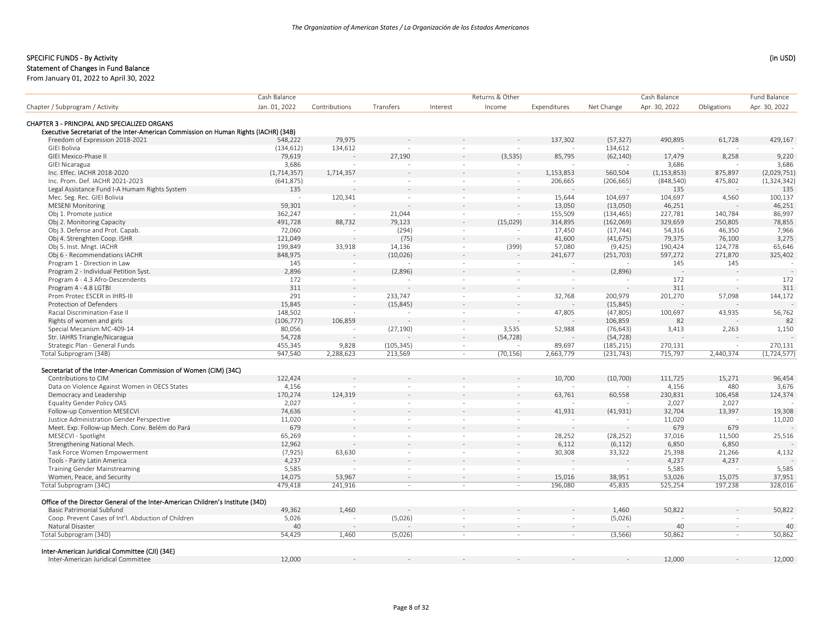#### Statement of Changes in Fund Balance

|                                                                                      | Cash Balance  |               |            |          | Returns & Other |              |            | Cash Balance  |             | Fund Balance  |
|--------------------------------------------------------------------------------------|---------------|---------------|------------|----------|-----------------|--------------|------------|---------------|-------------|---------------|
| Chapter / Subprogram / Activity                                                      | Jan. 01, 2022 | Contributions | Transfers  | Interest | Income          | Expenditures | Net Change | Apr. 30, 2022 | Obligations | Apr. 30, 2022 |
| CHAPTER 3 - PRINCIPAL AND SPECIALIZED ORGANS                                         |               |               |            |          |                 |              |            |               |             |               |
| Executive Secretariat of the Inter-American Commission on Human Rights (IACHR) (34B) |               |               |            |          |                 |              |            |               |             |               |
| Freedom of Expression 2018-2021                                                      | 548,222       | 79,975        |            |          |                 | 137,302      | (57, 327)  | 490,895       | 61,728      | 429,167       |
| GIEI Bolivia                                                                         | (134, 612)    | 134,612       |            | $\sim$   |                 |              | 134,612    |               |             |               |
| GIEI Mexico-Phase II                                                                 | 79,619        |               | 27,190     |          | (3,535)         | 85,795       | (62, 140)  | 17,479        | 8,258       | 9,220         |
| <b>GIEI Nicaragua</b>                                                                | 3,686         |               |            | ÷.       |                 |              |            | 3,686         |             | 3,686         |
| Inc. Effec. IACHR 2018-2020                                                          | (1, 714, 357) | 1,714,357     |            |          |                 | 1,153,853    | 560,504    | (1, 153, 853) | 875,897     | (2,029,751)   |
| Inc. Prom. Def. IACHR 2021-2023                                                      | (641, 875)    |               | $\sim$     | $\sim$   | $\sim$          | 206,665      | (206, 665) | (848, 540)    | 475,802     | (1, 324, 342) |
| Legal Assistance Fund I-A Humam Rights System                                        | 135           |               |            |          |                 |              |            | 135           |             | 135           |
| Mec. Seg. Rec. GIEI Bolivia                                                          | $\sim$        | 120,341       | $\sim$     | $\sim$   | $\sim$          | 15,644       | 104,697    | 104,697       | 4,560       | 100,137       |
| <b>MESENI Monitoring</b>                                                             | 59,301        |               |            |          |                 | 13,050       | (13,050)   | 46,251        |             | 46,251        |
| Obj 1. Promote justice                                                               | 362,247       | $\sim$        | 21,044     | $\sim$   | $\sim$          | 155,509      | (134, 465) | 227,781       | 140,784     | 86,997        |
| Obj 2. Monitoring Capacity                                                           | 491,728       | 88,732        | 79,123     |          | (15,029)        | 314,895      | (162,069)  | 329,659       | 250,805     | 78,855        |
| Obj 3. Defense and Prot. Capab.                                                      | 72,060        |               | (294)      | $\sim$   |                 | 17,450       | (17, 744)  | 54,316        | 46,350      | 7,966         |
| Obj 4. Strenghten Coop. ISHR                                                         | 121,049       |               | (75)       | $\sim$   | $\sim$          | 41,600       | (41, 675)  | 79,375        | 76,100      | 3,275         |
| Obj 5. Inst. Mngt. IACHR                                                             | 199,849       | 33,918        | 14,136     | $\sim$   | (399)           | 57,080       | (9,425)    | 190,424       | 124,778     | 65,646        |
| Obj 6 - Recommendations IACHR                                                        | 848,975       |               | (10,026)   |          | $\sim$          | 241,677      | (251, 703) | 597,272       | 271,870     | 325,402       |
| Program 1 - Direction in Law                                                         | 145           | $\sim$        |            | $\sim$   | $\sim$          | $\sim$       |            | 145           | 145         |               |
| Program 2 - Individual Petition Syst.                                                | 2,896         |               | (2,896)    |          | $\sim$          |              | (2,896)    |               |             |               |
| Program 4 - 4.3 Afro-Descendents                                                     | 172           | $\sim$        |            | $\sim$   | $\sim$          | $\sim$       |            | 172           | $\sim$      | 172           |
| Program 4 - 4.8 LGTBI                                                                | 311           |               |            |          |                 |              |            | 311           |             | 311           |
| Prom Protec ESCER in IHRS-III                                                        | 291           | $\sim$        | 233,747    | $\sim$   | $\sim$          | 32,768       | 200,979    | 201,270       | 57,098      | 144,172       |
| Protection of Defenders                                                              | 15,845        |               | (15, 845)  |          | $\sim$          |              | (15, 845)  |               |             |               |
| Racial Discrimination-Fase II                                                        | 148,502       |               |            | $\sim$   | $\sim$          | 47,805       | (47, 805)  | 100,697       | 43,935      | 56,762        |
| Rights of women and girls                                                            | (106, 777)    | 106,859       |            |          |                 |              | 106,859    | 82            |             | 82            |
| Special Mecanism MC-409-14                                                           | 80,056        |               | (27, 190)  | $\sim$   | 3,535           | 52,988       | (76, 643)  | 3,413         | 2,263       | 1,150         |
| Str. IAHRS Triangle/Nicaragua                                                        | 54,728        |               |            | $\sim$   | (54, 728)       |              | (54, 728)  |               |             |               |
| Strategic Plan - General Funds                                                       | 455,345       | 9,828         | (105, 345) | $\sim$   | $\sim$          | 89,697       | (185, 215) | 270,131       | $\sim$      | 270,131       |
| Total Subprogram (34B)                                                               | 947,540       | 2,288,623     | 213,569    | $\sim$   | (70, 156)       | 2,663,779    | (231, 743) | 715,797       | 2,440,374   | (1, 724, 577) |
| Secretariat of the Inter-American Commission of Women (CIM) (34C)                    |               |               |            |          |                 |              |            |               |             |               |
| Contributions to CIM                                                                 | 122,424       |               |            |          |                 | 10,700       | (10,700)   | 111,725       | 15,271      | 96,454        |
| Data on Violence Against Women in OECS States                                        | 4,156         |               | $\sim$     | $\sim$   | $\sim$          |              |            | 4,156         | 480         | 3,676         |
| Democracy and Leadership                                                             | 170,274       | 124,319       |            |          |                 | 63,761       | 60,558     | 230,831       | 106,458     | 124,374       |
| Equality Gender Policy OAS                                                           | 2,027         |               | $\sim$     | $\sim$   | $\sim$          |              |            | 2,027         | 2,027       |               |
| Follow-up Convention MESECVI                                                         | 74,636        |               |            |          |                 | 41,931       | (41, 931)  | 32,704        | 13.397      | 19,308        |
| Justice Administration Gender Perspective                                            | 11,020        | $\sim$        | $\sim$     | $\sim$   | $\sim$          |              | $\sim$     | 11,020        | $\sim$      | 11,020        |
| Meet. Exp. Follow-up Mech. Conv. Belém do Pará                                       | 679           |               |            |          | $\sim$          |              |            | 679           | 679         |               |
| MESECVI - Spotlight                                                                  | 65,269        | $\sim$        | $\sim$     | $\sim$   | $\sim$          | 28,252       | (28, 252)  | 37,016        | 11,500      | 25,516        |
| Strengthening National Mech.                                                         | 12,962        |               |            |          |                 | 6,112        | (6, 112)   | 6,850         | 6,850       |               |
| Task Force Women Empowerment                                                         | (7, 925)      | 63,630        | $\sim$     | $\sim$   | $\sim$          | 30,308       | 33,322     | 25,398        | 21,266      | 4,132         |
| Tools - Parity Latin America                                                         | 4,237         |               |            |          |                 |              |            | 4,237         | 4,237       |               |
| <b>Training Gender Mainstreaming</b>                                                 | 5,585         |               | $\sim$     | $\sim$   | $\sim$          |              |            | 5,585         |             | 5,585         |
| Women, Peace, and Security                                                           | 14,075        | 53,967        | $\sim$     |          | $\sim$          | 15,016       | 38,951     | 53,026        | 15,075      | 37,951        |
| Total Subprogram (34C)                                                               | 479,418       | 241,916       | $\sim$     | ÷        | $\sim$          | 196,080      | 45,835     | 525,254       | 197,238     | 328,016       |
|                                                                                      |               |               |            |          |                 |              |            |               |             |               |
| Office of the Director General of the Inter-American Children's Institute (34D)      |               |               |            |          |                 |              |            |               |             |               |
| <b>Basic Patrimonial Subfund</b>                                                     | 49,362        | 1,460         |            |          |                 |              | 1,460      | 50,822        |             | 50,822        |
| Coop. Prevent Cases of Int'l. Abduction of Children                                  | 5,026         |               | (5,026)    | ÷.       |                 | $\sim$       | (5,026)    |               |             |               |
| Natural Disaster                                                                     | 40            | $\sim$        |            | $\sim$   | $\sim$          | $\sim$       |            | 40            | $\sim$      | 40            |
| Total Subprogram (34D)                                                               | 54,429        | 1,460         | (5,026)    | $\sim$   | $\sim$          | $\sim$       | (3, 566)   | 50,862        | $\sim$      | 50,862        |
| Inter-American Juridical Committee (CJI) (34E)                                       |               |               |            |          |                 |              |            |               |             |               |
| Inter-American Juridical Committee                                                   | 12,000        |               |            |          |                 |              |            | 12.000        |             | 12,000        |
|                                                                                      |               |               |            |          |                 |              |            |               |             |               |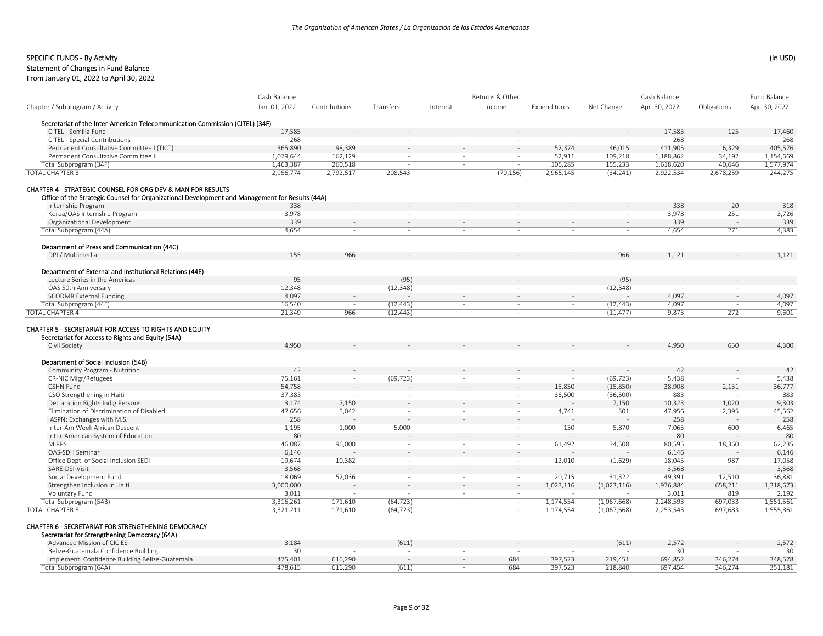## Statement of Changes in Fund Balance

|                                                                                                              | Cash Balance  |               |           |                | Returns & Other |              |             | Cash Balance  |             | Fund Balance  |
|--------------------------------------------------------------------------------------------------------------|---------------|---------------|-----------|----------------|-----------------|--------------|-------------|---------------|-------------|---------------|
| Chapter / Subprogram / Activity                                                                              | Jan. 01, 2022 | Contributions | Transfers | Interest       | Income          | Expenditures | Net Change  | Apr. 30, 2022 | Obligations | Apr. 30, 2022 |
|                                                                                                              |               |               |           |                |                 |              |             |               |             |               |
| Secretariat of the Inter-American Telecommunication Commission (CITEL) (34F)                                 |               |               |           |                |                 |              |             |               |             |               |
| CITEL - Semilla Fund                                                                                         | 17,585        |               |           |                |                 |              |             | 17,585        | 125         | 17,460        |
| CITEL - Special Contributions                                                                                | 268           |               |           |                |                 |              |             | 268           | ÷.          | 268           |
| Permanent Consultative Committee I (TICT)                                                                    | 365,890       | 98,389        |           |                |                 | 52,374       | 46,015      | 411,905       | 6,329       | 405,576       |
| Permanent Consultative Committee II                                                                          | 1,079,644     | 162,129       | $\sim$    | $\sim$         | $\sim$          | 52,911       | 109,218     | 1,188,862     | 34,192      | 1,154,669     |
| Total Subprogram (34F)                                                                                       | 1,463,387     | 260.518       |           |                |                 | 105.285      | 155,233     | 1,618,620     | 40.646      | 1,577,974     |
| <b>TOTAL CHAPTER 3</b>                                                                                       | 2,956,774     | 2,792,517     | 208,543   | $\sim$         | (70, 156)       | 2,965,145    | (34, 241)   | 2,922,534     | 2,678,259   | 244,275       |
| CHAPTER 4 - STRATEGIC COUNSEL FOR ORG DEV & MAN FOR RESULTS                                                  |               |               |           |                |                 |              |             |               |             |               |
| Office of the Strategic Counsel for Organizational Development and Management for Results (44A)              |               |               |           |                |                 |              |             |               |             |               |
| Internship Program                                                                                           | 338           |               |           |                |                 |              |             | 338           | 20          | 318           |
| Korea/OAS Internship Program                                                                                 | 3,978         | $\sim$        | $\sim$    |                |                 | ÷.           | $\sim$      | 3,978         | 251         | 3,726         |
| Organizational Development                                                                                   | 339           |               |           |                |                 |              | $\sim$      | 339           |             | 339           |
| Total Subprogram (44A)                                                                                       | 4,654         | $\sim$        | $\sim$    |                | $\sim$          | $\sim$       | $\sim$      | 4,654         | 271         | 4,383         |
|                                                                                                              |               |               |           |                |                 |              |             |               |             |               |
| Department of Press and Communication (44C)                                                                  |               |               |           |                |                 |              |             |               |             |               |
| DPI / Multimedia                                                                                             | 155           | 966           |           |                |                 |              | 966         | 1,121         |             | 1,121         |
| Department of External and Institutional Relations (44E)                                                     |               |               |           |                |                 |              |             |               |             |               |
| Lecture Series in the Americas                                                                               | 95            |               | (95)      |                |                 |              | (95)        |               |             |               |
|                                                                                                              |               |               |           |                |                 |              |             |               |             |               |
| OAS 50th Anniversary                                                                                         | 12,348        | $\sim$        | (12, 348) |                |                 | $\sim$       | (12, 348)   |               |             |               |
| <b>SCODMR External Funding</b>                                                                               | 4,097         | $\sim$        |           |                |                 | $\sim$       |             | 4,097         | $\sim$      | 4,097         |
| Total Subprogram (44E)                                                                                       | 16,540        |               | (12, 443) | $\sim$         | $\sim$          | $\sim$       | (12, 443)   | 4,097         |             | 4,097         |
| <b>TOTAL CHAPTER 4</b>                                                                                       | 21,349        | 966           | (12, 443) | $\sim$         | $\sim$          | $\sim$       | (11, 477)   | 9,873         | 272         | 9,601         |
| CHAPTER 5 - SECRETARIAT FOR ACCESS TO RIGHTS AND EQUITY<br>Secretariat for Access to Rights and Equity (54A) |               |               |           |                |                 |              |             |               |             |               |
| Civil Society                                                                                                | 4,950         |               |           |                |                 |              |             | 4,950         | 650         | 4,300         |
| Department of Social Inclusion (54B)                                                                         |               |               |           |                |                 |              |             |               |             |               |
| Community Program - Nutrition                                                                                | 42            |               |           |                |                 |              |             | 42            |             | 42            |
| <b>CR-NIC Migr/Refugees</b>                                                                                  | 75,161        |               | (69, 723) |                |                 |              | (69, 723)   | 5,438         |             | 5,438         |
| CSHN Fund                                                                                                    | 54,758        |               |           |                |                 | 15,850       | (15,850)    | 38,908        | 2,131       | 36,777        |
| CSO Strengthening in Haiti                                                                                   | 37,383        |               | $\sim$    | $\sim$         | $\sim$          | 36,500       | (36, 500)   | 883           |             | 883           |
| Declaration Rights Indig Persons                                                                             | 3,174         | 7,150         |           |                |                 |              | 7,150       | 10,323        | 1,020       | 9,303         |
| Elimination of Discrimination of Disabled                                                                    | 47,656        | 5,042         | $\sim$    | $\sim$         | $\sim$          | 4,741        | 301         | 47,956        | 2,395       | 45,562        |
| IASPN: Exchanges with M.S.                                                                                   | 258           |               |           |                |                 |              |             | 258           |             | 258           |
|                                                                                                              |               |               |           |                |                 |              |             |               |             |               |
| Inter-Am Week African Descent                                                                                | 1,195         | 1,000         | 5,000     | $\sim$         | $\sim$          | 130          | 5,870       | 7,065         | 600         | 6,465         |
| Inter-American System of Education                                                                           | 80            |               |           |                |                 |              |             | 80            |             | 80            |
| <b>MIRPS</b>                                                                                                 | 46,087        | 96,000        | $\sim$    | $\sim$         | $\sim$          | 61,492       | 34,508      | 80,595        | 18,360      | 62,235        |
| OAS-SDH Seminar                                                                                              | 6,146         |               |           |                |                 |              |             | 6,146         |             | 6,146         |
| Office Dept. of Social Inclusion SEDI                                                                        | 19,674        | 10,382        | $\sim$    | $\sim$         | $\sim$          | 12,010       | (1,629)     | 18,045        | 987         | 17,058        |
| SARE-DSI-Visit                                                                                               | 3,568         |               |           |                |                 |              |             | 3,568         |             | 3,568         |
| Social Development Fund                                                                                      | 18,069        | 52,036        | $\sim$    | <b>Section</b> | $\sim$          | 20,715       | 31,322      | 49,391        | 12,510      | 36,881        |
| Strengthen Inclusion in Haiti                                                                                | 3,000,000     |               |           |                |                 | 1,023,116    | (1,023,116) | 1,976,884     | 658,211     | 1,318,673     |
| Voluntary Fund                                                                                               | 3,011         |               |           |                |                 | ÷.           |             | 3,011         | 819         | 2,192         |
| Total Subprogram (54B)                                                                                       | 3,316,261     | 171,610       | (64, 723) | $\sim$         | $\sim$          | 1,174,554    | (1,067,668) | 2,248,593     | 697,033     | 1,551,561     |
| <b>TOTAL CHAPTER 5</b>                                                                                       | 3,321,211     | 171,610       | (64, 723) |                |                 | 1,174,554    | (1,067,668) | 2,253,543     | 697,683     | 1,555,861     |
| CHAPTER 6 - SECRETARIAT FOR STRENGTHENING DEMOCRACY                                                          |               |               |           |                |                 |              |             |               |             |               |
| Secretariat for Strengthening Democracy (64A)                                                                |               |               |           |                |                 |              |             |               |             |               |
| Advanced Mission of CICIES                                                                                   | 3,184         |               | (611)     |                |                 |              | (611)       | 2,572         |             | 2,572         |
| Belize-Guatemala Confidence Building                                                                         | 30            |               |           |                |                 |              |             | 30            |             | 30            |
| Implement. Confidence Building Belize-Guatemala                                                              | 475,401       | 616,290       |           |                | 684             | 397,523      | 219,451     | 694,852       | 346,274     | 348,578       |
| Total Subprogram (64A)                                                                                       | 478.615       | 616.290       | (611)     |                | 684             | 397,523      | 218,840     | 697,454       | 346.274     | 351.181       |
|                                                                                                              |               |               |           |                |                 |              |             |               |             |               |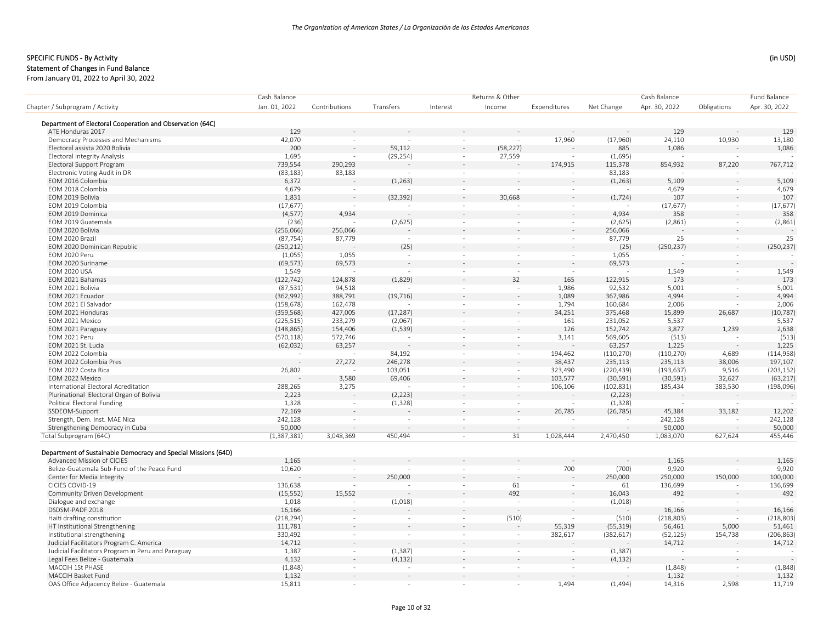#### Statement of Changes in Fund Balance

|                                                                | Cash Balance  |                          |           |           | Returns & Other          |              |            | Cash Balance  |             | <b>Fund Balance</b> |
|----------------------------------------------------------------|---------------|--------------------------|-----------|-----------|--------------------------|--------------|------------|---------------|-------------|---------------------|
| Chapter / Subprogram / Activity                                | Jan. 01, 2022 | Contributions            | Transfers | Interest  | Income                   | Expenditures | Net Change | Apr. 30, 2022 | Obligations | Apr. 30, 2022       |
| Department of Electoral Cooperation and Observation (64C)      |               |                          |           |           |                          |              |            |               |             |                     |
| ATE Honduras 2017                                              | 129           |                          |           |           |                          |              |            | 129           |             | 129                 |
| Democracy Processes and Mechanisms                             | 42,070        |                          |           |           |                          | 17,960       | (17,960)   | 24,110        | 10,930      | 13,180              |
| Electoral assista 2020 Bolivia                                 | 200           |                          | 59,112    |           | (58, 227)                |              | 885        | 1,086         |             | 1,086               |
| <b>Electoral Integrity Analysis</b>                            | 1,695         |                          | (29, 254) | $\sim$    | 27,559                   |              | (1,695)    |               |             |                     |
| Electoral Support Program                                      | 739,554       | 290,293                  |           |           |                          | 174,915      | 115,378    | 854,932       | 87,220      | 767,712             |
| Electronic Voting Audit in DR                                  | (83, 183)     | 83,183                   |           | $\sim$    |                          |              | 83,183     |               |             |                     |
| EOM 2016 Colombia                                              | 6,372         |                          | (1, 263)  |           |                          |              | (1, 263)   | 5,109         |             | 5,109               |
| EOM 2018 Colombia                                              | 4,679         | $\sim$                   |           | ÷.        |                          | $\sim$       |            | 4,679         | $\sim$      | 4,679               |
| EOM 2019 Bolivia                                               | 1,831         | $\sim$                   | (32, 392) |           | 30,668                   |              | (1, 724)   | 107           |             | 107                 |
| EOM 2019 Colombia                                              | (17, 677)     | $\sim$                   |           | $\sim$    |                          | $\sim$       |            | (17, 677)     | $\sim$      | (17, 677)           |
| EOM 2019 Dominica                                              | (4, 577)      | 4,934                    |           |           |                          |              | 4,934      | 358           |             | 358                 |
| EOM 2019 Guatemala                                             | (236)         |                          | (2,625)   | $\sim$    | ÷.                       | $\sim$       | (2,625)    | (2,861)       | $\sim$      | (2,861)             |
| EOM 2020 Bolivia                                               | (256,066)     | 256,066                  |           |           |                          |              | 256,066    |               |             |                     |
| EOM 2020 Brazil                                                |               | 87,779                   |           | $\sim$    | $\sim$                   | $\sim$       | 87,779     | 25            | $\sim$      | 25                  |
|                                                                | (87, 754)     |                          |           |           |                          |              |            |               |             |                     |
| EOM 2020 Dominican Republic                                    | (250, 212)    |                          | (25)      |           |                          |              | (25)       | (250, 237)    | $\sim$      | (250, 237)          |
| EOM 2020 Peru                                                  | (1,055)       | 1,055                    |           | $\sim$    | $\overline{\phantom{a}}$ | $\sim$       | 1,055      |               |             |                     |
| EOM 2020 Suriname                                              | (69, 573)     | 69,573                   |           |           |                          |              | 69,573     |               |             |                     |
| <b>EOM 2020 USA</b>                                            | 1,549         |                          |           | $\sim$    | $\sim$                   | $\sim$       |            | 1,549         | $\sim$      | 1,549               |
| EOM 2021 Bahamas                                               | (122, 742)    | 124,878                  | (1,829)   |           | 32                       | 165          | 122,915    | 173           |             | 173                 |
| EOM 2021 Bolivia                                               | (87, 531)     | 94,518                   |           | ÷,        | $\sim$                   | 1,986        | 92,532     | 5,001         | $\sim$      | 5,001               |
| EOM 2021 Ecuador                                               | (362,992)     | 388,791                  | (19, 716) | $\bar{a}$ | $\bar{\phantom{a}}$      | 1,089        | 367,986    | 4,994         |             | 4,994               |
| EOM 2021 El Salvador                                           | (158, 678)    | 162,478                  |           | $\sim$    | $\sim$                   | 1,794        | 160,684    | 2,006         | $\sim$      | 2,006               |
| EOM 2021 Honduras                                              | (359, 568)    | 427,005                  | (17, 287) |           | $\bar{a}$                | 34,251       | 375,468    | 15,899        | 26,687      | (10, 787)           |
| EOM 2021 Mexico                                                | (225, 515)    | 233,279                  | (2,067)   | $\sim$    | $\overline{\phantom{a}}$ | 161          | 231,052    | 5,537         |             | 5,537               |
| EOM 2021 Paraguay                                              | (148, 865)    | 154,406                  | (1,539)   | ÷.        | $\sim$                   | 126          | 152,742    | 3,877         | 1,239       | 2,638               |
| EOM 2021 Peru                                                  | (570, 118)    | 572,746                  |           | $\sim$    | $\overline{\phantom{a}}$ | 3,141        | 569,605    | (513)         | $\sim$      | (513)               |
| EOM 2021 St. Lucia                                             | (62, 032)     | 63,257                   |           |           |                          |              | 63,257     | 1,225         |             | 1,225               |
| EOM 2022 Colombia                                              |               |                          | 84,192    | $\sim$    | $\sim$                   | 194,462      | (110, 270) | (110, 270)    | 4,689       | (114, 958)          |
| EOM 2022 Colombia Pres                                         |               | 27,272                   | 246,278   |           | $\sim$                   | 38,437       | 235,113    | 235,113       | 38,006      | 197,107             |
| EOM 2022 Costa Rica                                            | 26,802        | $\sim$                   | 103,051   | $\sim$    | $\sim$                   | 323,490      | (220, 439) | (193, 637)    | 9,516       | (203, 152)          |
| EOM 2022 Mexico                                                |               | 3,580                    | 69,406    |           | $\overline{a}$           | 103,577      | (30, 591)  | (30, 591)     | 32,627      | (63, 217)           |
| International Electoral Acreditation                           | 288,265       | 3,275                    |           | $\sim$    | $\overline{\phantom{a}}$ | 106,106      | (102, 831) | 185,434       | 383,530     | (198, 096)          |
| Plurinational Electoral Organ of Bolivia                       | 2,223         |                          | (2, 223)  |           |                          |              | (2, 223)   |               |             |                     |
| Political Electoral Funding                                    | 1,328         | $\overline{\phantom{a}}$ | (1, 328)  | $\sim$    | $\sim$                   | $\sim$       | (1, 328)   |               |             |                     |
| SSDEOM-Support                                                 | 72,169        |                          |           |           | $\sim$                   | 26,785       | (26, 785)  | 45,384        | 33,182      | 12,202              |
| Strength, Dem. Inst. MAE Nica                                  | 242,128       |                          |           | $\sim$    | $\sim$                   | $\sim$       |            | 242,128       | $\sim$      | 242,128             |
| Strengthening Democracy in Cuba                                | 50,000        |                          |           |           |                          |              |            | 50,000        |             | 50,000              |
| Total Subprogram (64C)                                         | (1,387,381)   | 3,048,369                | 450,494   | $\sim$    | $\overline{31}$          | 1,028,444    | 2,470,450  | 1,083,070     | 627,624     | 455,446             |
| Department of Sustainable Democracy and Special Missions (64D) |               |                          |           |           |                          |              |            |               |             |                     |
| Advanced Mission of CICIES                                     | 1,165         |                          |           |           |                          |              |            | 1,165         |             | 1,165               |
| Belize-Guatemala Sub-Fund of the Peace Fund                    | 10,620        | $\sim$                   |           | ÷,        | ÷,                       | 700          | (700)      | 9,920         |             | 9,920               |
| Center for Media Integrity                                     |               |                          | 250,000   |           |                          |              | 250,000    | 250,000       | 150,000     | 100,000             |
| CICIES COVID-19                                                | 136,638       |                          |           | $\equiv$  | 61                       | $\sim$       | 61         | 136,699       |             | 136,699             |
| Community Driven Development                                   | (15, 552)     | 15,552                   |           |           | 492                      |              | 16,043     | 492           |             | 492                 |
| Dialogue and exchange                                          | 1,018         |                          | (1,018)   | $\sim$    | $\sim$                   | $\sim$       | (1,018)    |               | $\sim$      |                     |
| DSDSM-PADF 2018                                                | 16,166        |                          |           |           |                          |              |            | 16,166        |             | 16,166              |
| Haiti drafting constitution                                    | (218, 294)    | $\sim$                   |           | $\sim$    | (510)                    |              | (510)      | (218, 803)    |             | (218, 803)          |
| HT Institutional Strengthening                                 | 111,781       |                          |           |           |                          | 55,319       | (55, 319)  | 56,461        | 5,000       | 51,461              |
| Institutional strengthening                                    | 330,492       | $\sim$                   | $\sim$    | $\sim$    | $\sim$                   | 382,617      | (382, 617) | (52, 125)     | 154,738     | (206, 863)          |
| Judicial Facilitators Program C. America                       | 14,712        | $\sim$                   |           |           | $\sim$                   |              |            | 14,712        |             |                     |
|                                                                |               |                          |           |           |                          |              |            |               |             | 14,712              |
| Judicial Facilitators Program in Peru and Paraguay             | 1,387         | $\sim$                   | (1, 387)  | $\sim$    | $\overline{\phantom{a}}$ | $\sim$       | (1, 387)   |               | $\sim$      |                     |
| Legal Fees Belize - Guatemala                                  | 4,132         | $\sim$                   | (4, 132)  |           |                          |              | (4, 132)   |               |             |                     |
| MACCIH 1St PHASE                                               | (1,848)       | $\sim$                   |           |           | $\sim$                   |              |            | (1,848)       |             | (1,848)             |
| MACCIH Basket Fund                                             | 1,132         |                          |           |           | $\sim$                   |              |            | 1,132         |             | 1,132               |
| OAS Office Adjacency Belize - Guatemala                        | 15,811        | $\sim$                   |           | $\sim$    | $\sim$                   | 1,494        | (1, 494)   | 14,316        | 2,598       | 11,719              |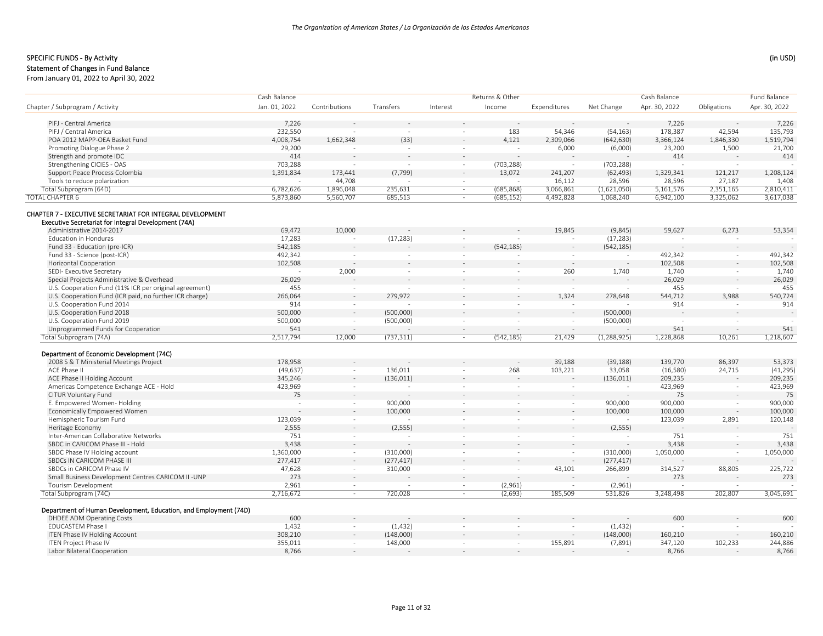# SPECIFIC FUNDS - By Activity (in USD) (in USD)

# Statement of Changes in Fund Balance

|                                                                                                                    | Cash Balance     |               |            |          | Returns & Other          |                          |               | Cash Balance     |             | Fund Balance     |
|--------------------------------------------------------------------------------------------------------------------|------------------|---------------|------------|----------|--------------------------|--------------------------|---------------|------------------|-------------|------------------|
| Chapter / Subprogram / Activity                                                                                    | Jan. 01, 2022    | Contributions | Transfers  | Interest | Income                   | Expenditures             | Net Change    | Apr. 30, 2022    | Obligations | Apr. 30, 2022    |
| PIFJ - Central America                                                                                             |                  |               |            |          |                          |                          |               |                  |             |                  |
| PIFJ / Central America                                                                                             | 7,226<br>232,550 |               |            |          | 183                      |                          |               | 7,226<br>178,387 |             | 7,226<br>135,793 |
|                                                                                                                    |                  |               |            | $\sim$   |                          | 54,346                   | (54, 163)     |                  | 42,594      |                  |
| POA 2012 MAPP-OEA Basket Fund                                                                                      | 4,008,754        | 1,662,348     | (33)       |          | 4,121                    | 2,309,066                | (642, 630)    | 3,366,124        | 1,846,330   | 1,519,794        |
| Promoting Dialogue Phase 2                                                                                         | 29,200           |               |            | $\sim$   |                          | 6,000                    | (6,000)       | 23,200           | 1,500       | 21,700           |
| Strength and promote IDC                                                                                           | 414              |               |            | $\sim$   |                          |                          |               | 414              |             | 414              |
| Strengthening CICIES - OAS                                                                                         | 703,288          | $\sim$        |            | $\sim$   | (703, 288)               | $\sim$                   | (703, 288)    |                  |             |                  |
| Support Peace Process Colombia                                                                                     | 1,391,834        | 173,441       | (7, 799)   |          | 13,072                   | 241,207                  | (62, 493)     | 1,329,341        | 121,217     | 1,208,124        |
| Tools to reduce polarization                                                                                       |                  | 44,708        |            | $\sim$   |                          | 16,112                   | 28,596        | 28,596           | 27,187      | 1,408            |
| Total Subprogram (64D)                                                                                             | 6,782,626        | 1,896,048     | 235,631    | $\sim$   | (685, 868)               | 3,066,861                | (1,621,050)   | 5,161,576        | 2,351,165   | 2,810,411        |
| <b>TOTAL CHAPTER 6</b>                                                                                             | 5,873,860        | 5,560,707     | 685,513    | $\sim$   | (685, 152)               | 4,492,828                | 1,068,240     | 6,942,100        | 3,325,062   | 3,617,038        |
| CHAPTER 7 - EXECUTIVE SECRETARIAT FOR INTEGRAL DEVELOPMENT<br>Executive Secretariat for Integral Development (74A) |                  |               |            |          |                          |                          |               |                  |             |                  |
| Administrative 2014-2017                                                                                           | 69,472           | 10,000        |            |          |                          | 19,845                   | (9,845)       | 59,627           | 6,273       | 53,354           |
| <b>Education in Honduras</b>                                                                                       | 17,283           |               | (17, 283)  | $\sim$   |                          | $\overline{\phantom{a}}$ | (17, 283)     |                  | $\sim$      |                  |
| Fund 33 - Education (pre-ICR)                                                                                      | 542,185          |               |            | $\sim$   | (542, 185)               | $\sim$                   | (542, 185)    |                  |             |                  |
| Fund 33 - Science (post-ICR)                                                                                       | 492,342          | $\sim$        |            | $\sim$   | $\overline{\phantom{a}}$ | $\sim$                   | $\sim$        | 492,342          | $\sim$      | 492,342          |
| <b>Horizontal Cooperation</b>                                                                                      | 102,508          |               |            |          |                          |                          |               | 102,508          |             | 102,508          |
| SEDI- Executive Secretary                                                                                          |                  | 2,000         | $\sim$     | $\sim$   | $\sim$                   | 260                      | 1,740         | 1,740            | $\sim$      | 1,740            |
| Special Projects Administrative & Overhead                                                                         | 26,029           |               |            |          |                          |                          |               | 26,029           |             | 26,029           |
| U.S. Cooperation Fund (11% ICR per original agreement)                                                             | 455              | $\sim$        |            | $\sim$   | $\sim$                   | $\sim$                   | $\sim$        | 455              |             | 455              |
| U.S. Cooperation Fund (ICR paid, no further ICR charge)                                                            | 266,064          | $\sim$        | 279,972    |          | $\sim$                   | 1,324                    | 278,648       | 544,712          | 3,988       | 540,724          |
| U.S. Cooperation Fund 2014                                                                                         | 914              | $\sim$        |            | $\sim$   | $\sim$                   | $\sim$                   |               | 914              |             | 914              |
| U.S. Cooperation Fund 2018                                                                                         | 500,000          |               | (500,000)  |          |                          | $\sim$                   | (500,000)     |                  |             |                  |
| U.S. Cooperation Fund 2019                                                                                         | 500,000          | $\sim$        | (500,000)  | $\sim$   | $\sim$                   | $\sim$                   | (500,000)     | n.               | $\sim$      |                  |
| Unprogrammed Funds for Cooperation                                                                                 | 541              | $\sim$        |            | $\sim$   | $\sim$                   | $\sim$                   |               | 541              |             | 541              |
| Total Subprogram (74A)                                                                                             | 2,517,794        | 12,000        | (737, 311) | $\sim$   | (542, 185)               | 21,429                   | (1, 288, 925) | 1,228,868        | 10,261      | 1,218,607        |
|                                                                                                                    |                  |               |            |          |                          |                          |               |                  |             |                  |
| Department of Economic Development (74C)                                                                           |                  |               |            |          |                          |                          |               |                  |             |                  |
| 2008 S & T Ministerial Meetings Project                                                                            | 178,958          |               |            |          |                          | 39,188                   | (39, 188)     | 139,770          | 86,397      | 53,373           |
| ACE Phase II                                                                                                       | (49, 637)        | $\sim$        | 136,011    | $\sim$   | 268                      | 103,221                  | 33,058        | (16, 580)        | 24,715      | (41, 295)        |
| ACE Phase II Holding Account                                                                                       | 345,246          |               | (136, 011) |          |                          |                          | (136, 011)    | 209,235          |             | 209,235          |
| Americas Competence Exchange ACE - Hold                                                                            | 423,969          | $\sim$        |            | $\sim$   | $\sim$                   | $\sim$                   | $\sim$        | 423,969          | $\sim$      | 423,969          |
| CITUR Voluntary Fund                                                                                               | 75               | $\sim$        |            |          |                          |                          |               | 75               |             | 75               |
| E. Empowered Women-Holding                                                                                         | $\sim$           | $\sim$        | 900,000    | $\sim$   | $\sim$                   | $\sim$                   | 900,000       | 900,000          |             | 900,000          |
| Economically Empowered Women                                                                                       |                  |               | 100,000    |          |                          | $\sim$                   | 100,000       | 100,000          |             | 100,000          |
| Hemispheric Tourism Fund                                                                                           | 123,039          | $\sim$        |            | $\sim$   | $\sim$                   | ÷                        |               | 123,039          | 2,891       | 120,148          |
| Heritage Economy                                                                                                   | 2,555            |               | (2, 555)   |          |                          |                          | (2, 555)      |                  |             |                  |
| Inter-American Collaborative Networks                                                                              | 751              | $\sim$        |            | $\sim$   | $\overline{\phantom{a}}$ | $\sim$                   | $\sim$        | 751              | $\sim$      | 751              |
| SBDC in CARICOM Phase III - Hold                                                                                   | 3,438            |               |            |          |                          | $\sim$                   |               | 3,438            |             | 3,438            |
| SBDC Phase IV Holding account                                                                                      | 1,360,000        | $\sim$        | (310,000)  | $\sim$   | $\sim$                   | $\sim$                   | (310,000)     | 1,050,000        |             | 1,050,000        |
| SBDCs IN CARICOM PHASE III                                                                                         | 277,417          | $\sim$        | (277, 417) |          |                          | $\sim$                   | (277, 417)    |                  |             |                  |
| SBDCs in CARICOM Phase IV                                                                                          | 47,628           | $\sim$        | 310,000    | $\sim$   | $\overline{\phantom{a}}$ | 43,101                   | 266,899       | 314,527          | 88,805      | 225,722          |
| Small Business Development Centres CARICOM II - UNP                                                                | 273              | $\sim$        |            |          |                          |                          |               | 273              |             | 273              |
| Tourism Development                                                                                                | 2,961            | $\sim$        | $\sim$     | $\sim$   | (2,961)                  | $\sim$                   | (2,961)       |                  |             |                  |
| Total Subprogram (74C)                                                                                             | 2,716,672        | $\sim$        | 720,028    | $\sim$   | (2,693)                  | 185,509                  | 531,826       | 3,248,498        | 202,807     | 3,045,691        |
| Department of Human Development, Education, and Employment (74D)                                                   |                  |               |            |          |                          |                          |               |                  |             |                  |
| <b>DHDEE ADM Operating Costs</b>                                                                                   | 600              |               |            |          |                          |                          |               | 600              |             | 600              |
| <b>EDUCASTEM Phase I</b>                                                                                           | 1,432            | $\sim$        | (1, 432)   |          |                          |                          | (1, 432)      | $\sim$           |             |                  |
| ITEN Phase IV Holding Account                                                                                      | 308,210          |               | (148,000)  |          |                          |                          | (148,000)     | 160,210          |             | 160,210          |
| <b>ITEN Project Phase IV</b>                                                                                       | 355,011          |               | 148,000    |          |                          | 155,891                  | (7,891)       | 347,120          | 102,233     | 244,886          |
| Labor Bilateral Cooperation                                                                                        | 8,766            |               |            |          |                          |                          |               | 8,766            |             | 8,766            |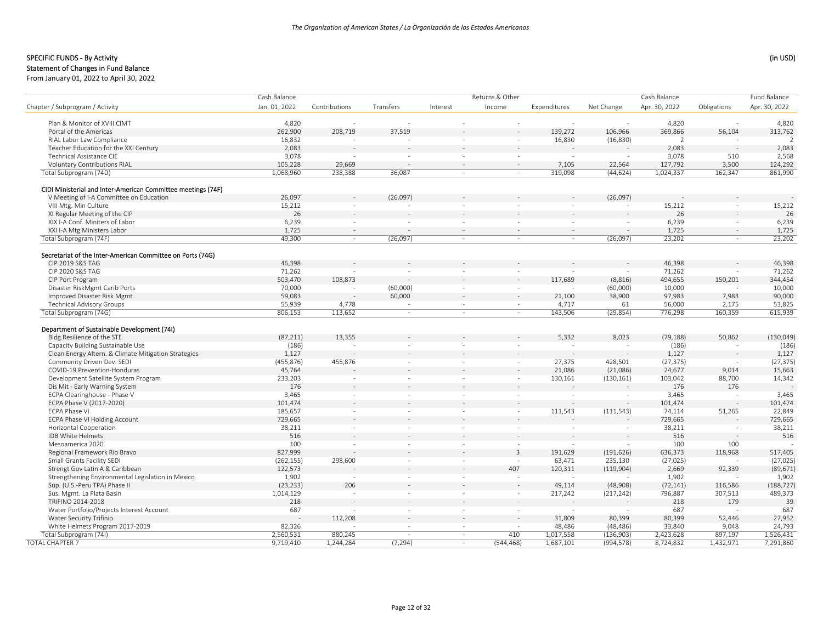Cash Balance

# SPECIFIC FUNDS - By Activity (in USD) (in USD)

#### Statement of Changes in Fund Balance

|                                                                                | Cash Balance         |                  |           |                  | Returns & Other  |                  |                     | Cash Balance         |                  | Fund Balance      |
|--------------------------------------------------------------------------------|----------------------|------------------|-----------|------------------|------------------|------------------|---------------------|----------------------|------------------|-------------------|
| Chapter / Subprogram / Activity                                                | Jan. 01, 2022        | Contributions    | Transfers | Interest         | Income           | Expenditures     | Net Change          | Apr. 30, 2022        | Obligations      | Apr. 30, 2022     |
| Plan & Monitor of XVIII CIMT                                                   | 4,820                |                  |           |                  |                  |                  |                     | 4,820                |                  | 4,820             |
| Portal of the Americas                                                         | 262,900              | 208,719          | 37,519    |                  |                  | 139,272          | 106,966             | 369,866              | 56,104           | 313,762           |
| RIAL Labor Law Compliance                                                      |                      | $\sim$           |           |                  |                  |                  |                     | $\overline{2}$       |                  |                   |
|                                                                                | 16,832<br>2,083      |                  |           |                  | $\sim$           | 16,830           | (16, 830)           |                      |                  |                   |
| Teacher Education for the XXI Century<br><b>Technical Assistance CIE</b>       |                      |                  |           |                  |                  |                  |                     | 2,083                |                  | 2,083             |
| <b>Voluntary Contributions RIAL</b>                                            | 3,078                | $\sim$<br>29,669 |           |                  | $\sim$<br>$\sim$ | 7,105            |                     | 3,078                | 510              | 2,568<br>124,292  |
| Total Subprogram (74D)                                                         | 105,228<br>1,068,960 | 238,388          | 36,087    |                  | $\sim$           | 319,098          | 22,564<br>(44, 624) | 127,792<br>1,024,337 | 3,500<br>162,347 | 861,990           |
|                                                                                |                      |                  |           |                  |                  |                  |                     |                      |                  |                   |
| CIDI Ministerial and Inter-American Committee meetings (74F)                   |                      |                  |           |                  |                  |                  |                     |                      |                  |                   |
| V Meeting of I-A Committee on Education                                        | 26,097               |                  | (26,097)  |                  |                  |                  | (26,097)            |                      |                  |                   |
| VIII Mtg. Min Culture                                                          | 15,212               | $\sim$           |           |                  |                  |                  |                     | 15,212               |                  | 15,212            |
| XI Regular Meeting of the CIP                                                  | 26                   |                  |           |                  |                  |                  |                     | 26                   |                  | 26                |
| XIX I-A Conf. Miniters of Labor                                                | 6,239                | $\sim$           |           |                  |                  |                  |                     | 6,239                |                  | 6,239             |
| XXI I-A Mtg Ministers Labor                                                    | 1,725                | $\sim$           |           |                  |                  | ÷.               |                     | 1,725                | $\sim$           | 1,725             |
| Total Subprogram (74F)                                                         | 49,300               | $\sim$           | (26,097)  | $\sim$           | $\sim$           | $\sim$           | (26,097)            | 23,202               | $\sim$           | 23,202            |
|                                                                                |                      |                  |           |                  |                  |                  |                     |                      |                  |                   |
| Secretariat of the Inter-American Committee on Ports (74G)<br>CIP 2019 S&S TAG | 46,398               |                  |           |                  |                  |                  |                     | 46,398               |                  | 46,398            |
| CIP 2020 S&S TAG                                                               | 71,262               |                  |           |                  |                  |                  |                     | 71,262               |                  | 71,262            |
| CIP Port Program                                                               | 503,470              | 108,873          |           |                  |                  | 117,689          | (8, 816)            | 494,655              | 150,201          | 344,454           |
| Disaster RiskMgmt Carib Ports                                                  | 70,000               | ÷,               | (60,000)  | $\sim$           | $\sim$           |                  |                     | 10,000               |                  | 10,000            |
| Improved Disaster Risk Mgmt                                                    | 59,083               |                  | 60,000    |                  | $\sim$           | 21,100           | (60,000)<br>38,900  | 97,983               | 7.983            | 90,000            |
| <b>Technical Advisory Groups</b>                                               | 55,939               |                  |           |                  |                  |                  | 61                  |                      |                  |                   |
|                                                                                | 806,153              | 4,778<br>113,652 |           | $\sim$<br>$\sim$ | $\sim$           | 4,717<br>143,506 | (29, 854)           | 56,000<br>776,298    | 2,175<br>160,359 | 53,825<br>615,939 |
| Total Subprogram (74G)                                                         |                      |                  | $\sim$    |                  | $\sim$           |                  |                     |                      |                  |                   |
| Department of Sustainable Development (74I)                                    |                      |                  |           |                  |                  |                  |                     |                      |                  |                   |
| Bldg.Resilience of the STE                                                     | (87, 211)            | 13,355           |           |                  |                  | 5,332            | 8,023               | (79, 188)            | 50,862           | (130, 049)        |
| Capacity Building Sustainable Use                                              | (186)                |                  | $\sim$    |                  |                  |                  |                     | (186)                |                  | (186)             |
| Clean Energy Altern. & Climate Mitigation Strategies                           | 1,127                |                  |           |                  |                  |                  |                     | 1,127                |                  | 1,127             |
| Community Driven Dev. SEDI                                                     | (455, 876)           | 455,876          | $\sim$    |                  | $\sim$           | 27,375           | 428,501             | (27, 375)            |                  | (27, 375)         |
| COVID-19 Prevention-Honduras                                                   | 45,764               |                  |           |                  | $\sim$           | 21,086           | (21,086)            | 24,677               | 9,014            | 15,663            |
| Development Satellite System Program                                           | 233,203              | $\sim$           | $\sim$    | $\sim$           | $\sim$           | 130,161          | (130, 161)          | 103,042              | 88,700           | 14,342            |
| Dis Mit - Early Warning System                                                 | 176                  |                  |           |                  | $\sim$           |                  |                     | 176                  | 176              |                   |
| ECPA Clearinghouse - Phase V                                                   | 3,465                | $\sim$           | $\sim$    |                  | $\sim$           |                  |                     | 3,465                |                  | 3,465             |
| ECPA Phase V (2017-2020)                                                       | 101,474              |                  |           |                  |                  |                  |                     | 101,474              |                  | 101,474           |
| <b>ECPA Phase VI</b>                                                           | 185,657              | $\sim$           |           |                  | $\sim$           | 111,543          | (111, 543)          | 74,114               | 51,265           | 22,849            |
| ECPA Phase VI Holding Account                                                  | 729,665              |                  |           |                  |                  |                  |                     | 729,665              |                  | 729,665           |
| Horizontal Cooperation                                                         | 38,211               | $\sim$           | $\sim$    | $\sim$           | $\sim$           | $\sim$           | $\sim$              | 38,211               | $\sim$           | 38,211            |
| IDB White Helmets                                                              | 516                  |                  |           |                  | $\sim$           |                  |                     | 516                  |                  | 516               |
| Mesoamerica 2020                                                               | 100                  | $\sim$           | $\sim$    | $\sim$           | $\sim$           |                  |                     | 100                  | 100              |                   |
| Regional Framework Rio Bravo                                                   | 827,999              |                  |           |                  | $\overline{3}$   | 191,629          | (191, 626)          | 636,373              | 118,968          | 517,405           |
| Small Grants Facility SEDI                                                     | (262, 155)           | 298,600          |           | $\sim$           | $\sim$           | 63,471           | 235,130             | (27, 025)            |                  | (27, 025)         |
| Strengt Gov Latin A & Caribbean                                                | 122,573              |                  |           |                  | 407              | 120,311          | (119,904)           | 2,669                | 92,339           | (89, 671)         |
| Strengthening Environmental Legislation in Mexico                              | 1,902                | $\sim$           | $\sim$    | $\sim$           | $\sim$           |                  |                     | 1,902                |                  | 1,902             |
| Sup. (U.S.-Peru TPA) Phase II                                                  | (23, 233)            | 206              |           |                  | $\sim$           | 49,114           | (48,908)            | (72, 141)            | 116,586          | (188, 727)        |
| Sus. Mgmt. La Plata Basin                                                      | 1,014,129            | $\sim$           | $\sim$    | $\sim$           | $\sim$           | 217,242          | (217, 242)          | 796,887              | 307,513          | 489,373           |
| TRIFINO 2014-2018                                                              | 218                  |                  |           |                  |                  |                  |                     | 218                  | 179              | 39                |
| Water Portfolio/Projects Interest Account                                      | 687                  | $\sim$           | $\sim$    | $\sim$           | $\sim$           |                  |                     | 687                  |                  | 687               |
| Water Security Trifinio                                                        |                      | 112,208          |           |                  |                  | 31,809           | 80,399              | 80,399               | 52,446           | 27,952            |
| White Helmets Program 2017-2019                                                | 82,326               |                  | $\sim$    | $\sim$           |                  | 48,486           | (48, 486)           | 33,840               | 9,048            | 24,793            |
| Total Subprogram (74I)                                                         | 2,560,531            | 880,245          | $\sim$    | $\sim$           | 410              | 1,017,558        | (136,903)           | 2,423,628            | 897,197          | 1,526,431         |
| <b>TOTAL CHAPTER 7</b>                                                         | 9,719,410            | 1,244,284        | (7, 294)  | $\sim$           | (544, 468)       | 1,687,101        | (994, 578)          | 8,724,832            | 1,432,971        | 7,291,860         |
|                                                                                |                      |                  |           |                  |                  |                  |                     |                      |                  |                   |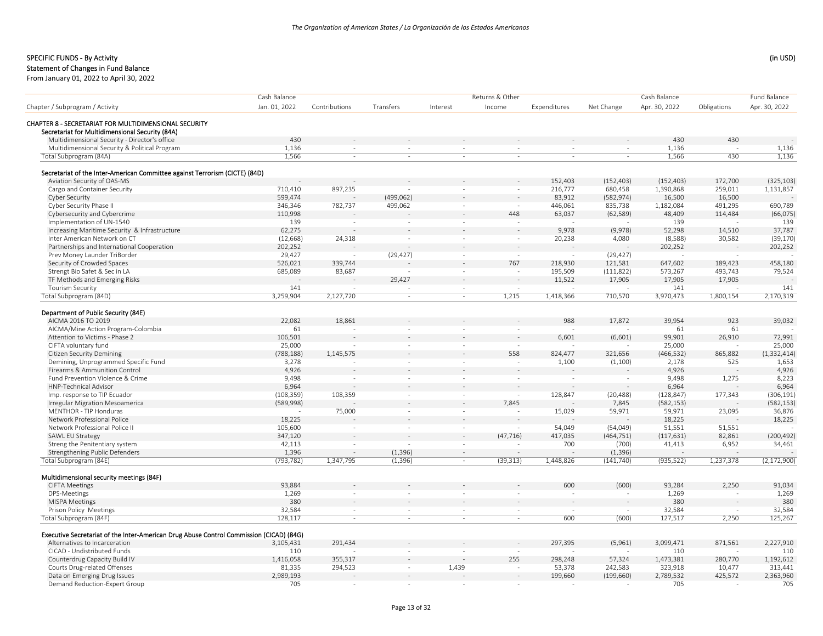Cash Balance

## SPECIFIC FUNDS ‐ By Activity (in USD)

#### Statement of Changes in Fund Balance

From January 01, 2022 to April 30, 2022

|                                                                                                          | Cash Balance  |                          |           |          | Returns & Other          |              |            | Cash Balance  |             | Fund Balance  |
|----------------------------------------------------------------------------------------------------------|---------------|--------------------------|-----------|----------|--------------------------|--------------|------------|---------------|-------------|---------------|
| Chapter / Subprogram / Activity                                                                          | Jan. 01, 2022 | Contributions            | Transfers | Interest | Income                   | Expenditures | Net Change | Apr. 30, 2022 | Obligations | Apr. 30, 2022 |
|                                                                                                          |               |                          |           |          |                          |              |            |               |             |               |
| CHAPTER 8 - SECRETARIAT FOR MULTIDIMENSIONAL SECURITY<br>Secretariat for Multidimensional Security (84A) |               |                          |           |          |                          |              |            |               |             |               |
| Multidimensional Security - Director's office                                                            | 430           |                          |           |          |                          |              |            | 430           | 430         |               |
| Multidimensional Security & Political Program                                                            | 1,136         | $\sim$                   | $\sim$    | $\sim$   | $\sim$                   | $\sim$       | $\sim$     | 1,136         | $\sim$      | 1,136         |
| Total Subprogram (84A)                                                                                   | 1,566         | $\sim$                   | $\sim$    | $\sim$   | $\sim$                   | $\sim$       | $\sim$     | 1,566         | 430         | 1,136         |
|                                                                                                          |               |                          |           |          |                          |              |            |               |             |               |
| Secretariat of the Inter-American Committee against Terrorism (CICTE) (84D)                              |               |                          |           |          |                          |              |            |               |             |               |
| Aviation Security of OAS-MS                                                                              |               |                          |           |          |                          | 152,403      | (152, 403) | (152, 403)    | 172,700     | (325, 103)    |
| Cargo and Container Security                                                                             | 710,410       | 897,235                  |           |          |                          | 216,777      | 680,458    | 1,390,868     | 259,011     | 1,131,857     |
| <b>Cyber Security</b>                                                                                    | 599,474       |                          | (499,062) |          |                          | 83,912       | (582, 974) | 16,500        | 16,500      |               |
| Cyber Security Phase II                                                                                  | 346,346       | 782,737                  | 499,062   |          | $\sim$                   | 446,061      | 835,738    | 1,182,084     | 491,295     | 690,789       |
| Cybersecurity and Cybercrime                                                                             | 110,998       |                          |           |          | 448                      | 63,037       | (62, 589)  | 48,409        | 114,484     | (66, 075)     |
| Implementation of UN-1540                                                                                | 139           | $\sim$                   |           | in a     | $\overline{\phantom{a}}$ |              |            | 139           |             | 139           |
| Increasing Maritime Security & Infrastructure                                                            | 62,275        |                          |           |          |                          | 9,978        | (9,978)    | 52,298        | 14,510      | 37,787        |
| Inter American Network on CT                                                                             | (12, 668)     | 24,318                   |           | $\sim$   | $\sim$                   | 20,238       | 4,080      | (8,588)       | 30,582      | (39, 170)     |
| Partnerships and International Cooperation                                                               | 202,252       |                          |           |          | $\sim$                   |              |            | 202,252       |             | 202,252       |
| Prev Money Launder TriBorder                                                                             | 29,427        | $\sim$                   | (29, 427) | $\sim$   | $\sim$                   |              | (29, 427)  |               |             |               |
|                                                                                                          |               | 339,744                  |           |          | 767                      | 218,930      | 121,581    |               | 189,423     | 458,180       |
| Security of Crowded Spaces                                                                               | 526,021       |                          |           |          |                          |              |            | 647,602       |             |               |
| Strengt Bio Safet & Sec in LA                                                                            | 685,089       | 83,687                   |           | $\sim$   | $\sim$                   | 195,509      | (111, 822) | 573,267       | 493,743     | 79,524        |
| TF Methods and Emerging Risks                                                                            |               |                          | 29,427    |          | $\sim$                   | 11,522       | 17,905     | 17,905        | 17,905      |               |
| <b>Tourism Security</b>                                                                                  | 141           |                          |           | $\sim$   | $\sim$                   |              |            | 141           |             | 141           |
| Total Subprogram (84D)                                                                                   | 3,259,904     | 2,127,720                | $\sim$    | $\sim$   | 1,215                    | 1,418,366    | 710,570    | 3,970,473     | 1,800,154   | 2,170,319     |
| Department of Public Security (84E)                                                                      |               |                          |           |          |                          |              |            |               |             |               |
| AICMA 2016 TO 2019                                                                                       | 22,082        | 18,861                   |           |          |                          | 988          | 17,872     | 39,954        | 923         | 39,032        |
| AICMA/Mine Action Program-Colombia                                                                       | 61            | $\overline{a}$           | $\sim$    | $\sim$   | $\overline{\phantom{a}}$ |              |            | 61            | 61          |               |
| Attention to Victims - Phase 2                                                                           | 106,501       |                          |           |          | $\bar{a}$                | 6,601        | (6,601)    | 99,901        | 26,910      | 72,991        |
|                                                                                                          |               |                          |           |          |                          |              |            |               |             |               |
| CIFTA voluntary fund                                                                                     | 25,000        | $\overline{\phantom{a}}$ | $\sim$    | $\sim$   | $\sim$                   |              |            | 25,000        |             | 25,000        |
| <b>Citizen Security Demining</b>                                                                         | (788, 188)    | 1,145,575                |           |          | 558                      | 824,477      | 321,656    | (466, 532)    | 865,882     | (1, 332, 414) |
| Demining, Unprogrammed Specific Fund                                                                     | 3,278         |                          | $\sim$    | $\sim$   | $\sim$                   | 1,100        | (1,100)    | 2,178         | 525         | 1,653         |
| Firearms & Ammunition Control                                                                            | 4,926         |                          |           |          | $\sim$                   |              |            | 4,926         |             | 4,926         |
| Fund Prevention Violence & Crime                                                                         | 9,498         | $\sim$                   | $\sim$    | $\sim$   | $\sim$                   |              |            | 9,498         | 1,275       | 8,223         |
| HNP-Technical Advisor                                                                                    | 6,964         |                          |           |          | $\overline{a}$           |              |            | 6,964         |             | 6,964         |
| Imp. response to TIP Ecuador                                                                             | (108, 359)    | 108,359                  | $\sim$    | $\sim$   | $\sim$                   | 128,847      | (20, 488)  | (128, 847)    | 177,343     | (306, 191)    |
| Irregular Migration Mesoamerica                                                                          | (589,998)     |                          |           | $\sim$   | 7,845                    |              | 7,845      | (582, 153)    |             | (582, 153)    |
| MENTHOR - TIP Honduras                                                                                   |               | 75,000                   | $\sim$    | $\sim$   | $\sim$                   | 15,029       | 59,971     | 59,971        | 23,095      | 36,876        |
| Network Professional Police                                                                              | 18,225        |                          |           |          | $\sim$                   |              |            | 18,225        |             | 18,225        |
| Network Professional Police II                                                                           | 105,600       | $\sim$                   | $\sim$    | $\sim$   | $\sim$                   | 54,049       | (54,049)   | 51,551        | 51,551      |               |
| SAWL EU Strategy                                                                                         | 347,120       | $\sim$                   |           | $\sim$   | (47, 716)                | 417,035      | (464, 751) | (117, 631)    | 82,861      | (200, 492)    |
| Streng the Penitentiary system                                                                           | 42,113        | $\sim$                   |           | $\sim$   | $\sim$                   | 700          | (700)      | 41,413        | 6,952       | 34,461        |
| Strengthening Public Defenders                                                                           | 1,396         | $\sim$                   | (1, 396)  |          | ÷.<br>$\sim$             |              | (1, 396)   |               |             |               |
| Total Subprogram (84E)                                                                                   | (793, 782)    | 1,347,795                | (1, 396)  |          | (39, 313)<br>$\sim$      | 1,448,826    | (141, 740) | (935, 522)    | 1,237,378   | (2, 172, 900) |
|                                                                                                          |               |                          |           |          |                          |              |            |               |             |               |
| Multidimensional security meetings (84F)                                                                 |               |                          |           |          |                          |              |            |               |             |               |
| <b>CIFTA Meetings</b>                                                                                    | 93,884        |                          |           |          |                          | 600          | (600)      | 93,284        | 2,250       | 91,034        |
| DPS-Meetings                                                                                             | 1,269         | $\sim$                   | $\sim$    | $\sim$   | $\sim$                   | $\sim$       |            | 1,269         |             | 1,269         |
| <b>MISPA Meetings</b>                                                                                    | 380           | $\sim$                   |           |          | $\sim$                   |              |            | 380           |             | 380           |
| Prison Policy Meetings                                                                                   | 32,584        | $\sim$                   | $\sim$    | $\sim$   | $\sim$                   | $\sim$       |            | 32,584        |             | 32,584        |
| Total Subprogram (84F)                                                                                   | 128,117       | $\sim$                   | $\sim$    | $\sim$   | $\overline{\phantom{a}}$ | 600          | (600)      | 127,517       | 2,250       | 125,267       |
| Executive Secretariat of the Inter-American Drug Abuse Control Commission (CICAD) (84G)                  |               |                          |           |          |                          |              |            |               |             |               |
| Alternatives to Incarceration                                                                            | 3,105,431     | 291,434                  |           |          |                          | 297,395      | (5,961)    | 3,099,471     | 871,561     | 2,227,910     |
| CICAD - Undistributed Funds                                                                              | 110           |                          |           |          | $\sim$                   |              |            | 110           |             | 110           |
| Counterdrug Capacity Build IV                                                                            | 1,416,058     | 355,317                  |           |          | 255                      | 298,248      | 57,324     | 1,473,381     | 280,770     | 1,192,612     |
| Courts Drug-related Offenses                                                                             | 81,335        | 294,523                  |           | 1,439    | $\sim$                   | 53,378       | 242,583    | 323,918       | 10,477      | 313,441       |
| Data on Emerging Drug Issues                                                                             | 2,989,193     |                          |           |          | $\sim$                   | 199,660      | (199, 660) | 2,789,532     | 425,572     | 2,363,960     |
|                                                                                                          |               |                          |           |          |                          |              |            |               |             |               |
| Demand Reduction-Expert Group                                                                            | 705           | $\sim$                   |           |          | $\sim$                   |              |            | 705           |             | 705           |

Cash Balance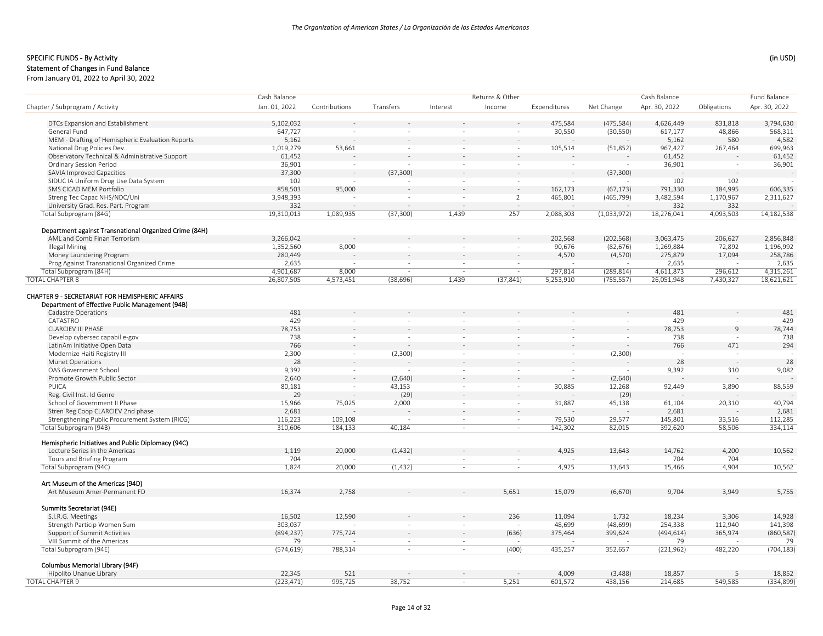# SPECIFIC FUNDS - By Activity (in USD) (in USD)

### Statement of Changes in Fund Balance

| Jan. 01, 2022<br>Apr. 30, 2022<br>Contributions<br>Transfers<br>Interest<br>Income<br>Expenditures<br>Net Change<br>Apr. 30, 2022<br>Obligations<br>DTCs Expansion and Establishment<br>5,102,032<br>475,584<br>(475, 584)<br>831,818<br>3,794,630<br>4,626,449<br>General Fund<br>647,727<br>30,550<br>(30, 550)<br>617,177<br>48,866<br>568,311<br>$\sim$<br>$\sim$<br>5,162<br>580<br>4,582<br>MEM - Drafting of Hemispheric Evaluation Reports<br>5,162<br>National Drug Policies Dev.<br>699,963<br>1,019,279<br>53,661<br>967,427<br>267,464<br>105,514<br>(51,852)<br>$\sim$<br>$\overline{\phantom{a}}$<br>$\sim$<br>61,452<br>Observatory Technical & Administrative Support<br>61,452<br>61,452<br>36,901<br>36,901<br><b>Ordinary Session Period</b><br>36,901<br>$\sim$<br>$\sim$<br>$\sim$<br>$\sim$<br>SAVIA Improved Capacities<br>37,300<br>(37, 300)<br>(37, 300)<br>SIDUC IA Uniform Drug Use Data System<br>102<br>102<br>102<br>$\sim$<br>$\sim$<br>$\sim$<br>SMS CICAD MEM Portfolio<br>858,503<br>95,000<br>162,173<br>(67, 173)<br>791,330<br>184,995<br>606,335<br>3,948,393<br>465,801<br>3,482,594<br>1,170,967<br>2,311,627<br>Streng Tec Capac NHS/NDC/Uni<br>$\overline{2}$<br>(465, 799)<br>$\sim$<br>332<br>University Grad. Res. Part. Program<br>332<br>332<br>4,093,503<br>Total Subprogram (84G)<br>19,310,013<br>1,089,935<br>1,439<br>257<br>2,088,303<br>(1,033,972)<br>18,276,041<br>14,182,538<br>(37, 300)<br>Department against Transnational Organized Crime (84H)<br>AML and Comb Finan Terrorism<br>3,266,042<br>202,568<br>(202, 568)<br>3,063,475<br>206,627<br>2,856,848<br>72,892<br><b>Illegal Mining</b><br>1,352,560<br>8,000<br>90,676<br>(82, 676)<br>1,269,884<br>1,196,992<br>$\sim$<br>$\sim$<br>280,449<br>4,570<br>17,094<br>258,786<br>Money Laundering Program<br>(4,570)<br>275,879<br>Prog Against Transnational Organized Crime<br>2,635<br>2,635<br>2,635<br>$\sim$<br>$\sim$<br>$\sim$<br>4,315,261<br>Total Subprogram (84H)<br>4,901,687<br>8,000<br>4,611,873<br>297,814<br>(289, 814)<br>296,612<br><b>TOTAL CHAPTER 8</b><br>26,807,505<br>1,439<br>5,253,910<br>(755, 557)<br>26,051,948<br>7,430,327<br>18,621,621<br>4,573,451<br>(38, 696)<br>(37, 841)<br>Department of Effective Public Management (94B)<br>481<br>481<br>481<br>Cadastre Operations<br>CATASTRO<br>429<br>429<br>429<br>78,753<br>78,753<br>$\overline{9}$<br><b>CLARCIEV III PHASE</b><br>78,744<br>738<br>Develop cybersec capabil e-gov<br>738<br>738<br>766<br>766<br>471<br>294<br>LatinAm Initiative Open Data<br>2,300<br>Modernize Haiti Registry III<br>(2,300)<br>(2,300)<br>$\omega$<br>$\sim$<br>$\sim$<br>÷.<br>$\sim$<br><b>Munet Operations</b><br>28<br>28<br>28<br>9,082<br>OAS Government School<br>9,392<br>9,392<br>310<br>$\sim$<br>$\sim$<br>$\sim$<br>$\sim$<br>Promote Growth Public Sector<br>2,640<br>(2,640)<br>(2,640)<br>PUICA<br>80,181<br>12,268<br>88,559<br>43,153<br>30,885<br>92,449<br>3,890<br>$\sim$<br>$\sim$<br>(29)<br>Reg. Civil Inst. Id Genre<br>29<br>(29)<br>School of Government II Phase<br>40,794<br>15,966<br>75,025<br>2,000<br>31,887<br>45,138<br>61,104<br>20,310<br>$\sim$<br>$\sim$<br>2,681<br>Stren Reg Coop CLARCIEV 2nd phase<br>2,681<br>2,681<br>Strengthening Public Procurement System (RICG)<br>116,223<br>112,285<br>109,108<br>79,530<br>29,577<br>145,801<br>33,516<br>$\sim$<br>$\sim$<br>310,606<br>82,015<br>334,114<br>Total Subprogram (94B)<br>184,133<br>40,184<br>142,302<br>392,620<br>58,506<br>$\sim$<br>$\sim$<br>Hemispheric Initiatives and Public Diplomacy (94C)<br>Lecture Series in the Americas<br>1,119<br>20,000<br>(1, 432)<br>4,925<br>13,643<br>14,762<br>4,200<br>10,562<br>Tours and Briefing Program<br>704<br>704<br>704<br>$\sim$<br>$\sim$<br>1,824<br>Total Subprogram (94C)<br>13,643<br>15,466<br>4,904<br>10,562<br>20,000<br>(1, 432)<br>4,925<br>$\sim$<br>$\sim$<br>Art Museum of the Americas (94D)<br>16,374<br>2,758<br>5,651<br>15,079<br>(6,670)<br>9,704<br>3.949<br>5,755<br>Art Museum Amer-Permanent FD<br>Summits Secretariat (94E)<br>16,502<br>12,590<br>236<br>1,732<br>18,234<br>14,928<br>S.I.R.G. Meetings<br>11,094<br>3,306<br>Strength Particip Women Sum<br>303,037<br>(48, 699)<br>254,338<br>112,940<br>141,398<br>48,699<br>365,974<br>Support of Summit Activities<br>(894, 237)<br>775,724<br>(636)<br>375,464<br>399,624<br>(494, 614)<br>(860, 587)<br>79<br>79<br>VIII Summit of the Americas<br>79<br>(574, 619)<br>(704, 183)<br>Total Subprogram (94E)<br>788,314<br>(400)<br>435,257<br>(221, 962)<br>482,220<br>352,657<br>$\sim$<br>$\sim$<br>Columbus Memorial Library (94F)<br>Hipolito Unanue Library<br>22,345<br>521<br>4,009<br>(3,488)<br>18,857<br>18,852<br>-5<br>(223, 471)<br>995,725<br>38,752<br>5,251<br>601,572<br>438,156<br>214,685<br>549,585<br>(334, 899)<br>$\sim$ |                                                        | Cash Balance |  | Returns & Other |  | Cash Balance | Fund Balance |
|----------------------------------------------------------------------------------------------------------------------------------------------------------------------------------------------------------------------------------------------------------------------------------------------------------------------------------------------------------------------------------------------------------------------------------------------------------------------------------------------------------------------------------------------------------------------------------------------------------------------------------------------------------------------------------------------------------------------------------------------------------------------------------------------------------------------------------------------------------------------------------------------------------------------------------------------------------------------------------------------------------------------------------------------------------------------------------------------------------------------------------------------------------------------------------------------------------------------------------------------------------------------------------------------------------------------------------------------------------------------------------------------------------------------------------------------------------------------------------------------------------------------------------------------------------------------------------------------------------------------------------------------------------------------------------------------------------------------------------------------------------------------------------------------------------------------------------------------------------------------------------------------------------------------------------------------------------------------------------------------------------------------------------------------------------------------------------------------------------------------------------------------------------------------------------------------------------------------------------------------------------------------------------------------------------------------------------------------------------------------------------------------------------------------------------------------------------------------------------------------------------------------------------------------------------------------------------------------------------------------------------------------------------------------------------------------------------------------------------------------------------------------------------------------------------------------------------------------------------------------------------------------------------------------------------------------------------------------------------------------------------------------------------------------------------------------------------------------------------------------------------------------------------------------------------------------------------------------------------------------------------------------------------------------------------------------------------------------------------------------------------------------------------------------------------------------------------------------------------------------------------------------------------------------------------------------------------------------------------------------------------------------------------------------------------------------------------------------------------------------------------------------------------------------------------------------------------------------------------------------------------------------------------------------------------------------------------------------------------------------------------------------------------------------------------------------------------------------------------------------------------------------------------------------------------------------------------------------------------------------------------------------------------------------------------------------------------------------------------------------------------------------------------------------------------------------------------------------------------------------------------------------------------------------------------------------------------------------------------------------------------------------------------------------------------------------------------------------------------------------------------------------------------------------------------------------------------------------------------------------------------|--------------------------------------------------------|--------------|--|-----------------|--|--------------|--------------|
|                                                                                                                                                                                                                                                                                                                                                                                                                                                                                                                                                                                                                                                                                                                                                                                                                                                                                                                                                                                                                                                                                                                                                                                                                                                                                                                                                                                                                                                                                                                                                                                                                                                                                                                                                                                                                                                                                                                                                                                                                                                                                                                                                                                                                                                                                                                                                                                                                                                                                                                                                                                                                                                                                                                                                                                                                                                                                                                                                                                                                                                                                                                                                                                                                                                                                                                                                                                                                                                                                                                                                                                                                                                                                                                                                                                                                                                                                                                                                                                                                                                                                                                                                                                                                                                                                                                                                                                                                                                                                                                                                                                                                                                                                                                                                                                                                                                                                  | Chapter / Subprogram / Activity                        |              |  |                 |  |              |              |
|                                                                                                                                                                                                                                                                                                                                                                                                                                                                                                                                                                                                                                                                                                                                                                                                                                                                                                                                                                                                                                                                                                                                                                                                                                                                                                                                                                                                                                                                                                                                                                                                                                                                                                                                                                                                                                                                                                                                                                                                                                                                                                                                                                                                                                                                                                                                                                                                                                                                                                                                                                                                                                                                                                                                                                                                                                                                                                                                                                                                                                                                                                                                                                                                                                                                                                                                                                                                                                                                                                                                                                                                                                                                                                                                                                                                                                                                                                                                                                                                                                                                                                                                                                                                                                                                                                                                                                                                                                                                                                                                                                                                                                                                                                                                                                                                                                                                                  |                                                        |              |  |                 |  |              |              |
|                                                                                                                                                                                                                                                                                                                                                                                                                                                                                                                                                                                                                                                                                                                                                                                                                                                                                                                                                                                                                                                                                                                                                                                                                                                                                                                                                                                                                                                                                                                                                                                                                                                                                                                                                                                                                                                                                                                                                                                                                                                                                                                                                                                                                                                                                                                                                                                                                                                                                                                                                                                                                                                                                                                                                                                                                                                                                                                                                                                                                                                                                                                                                                                                                                                                                                                                                                                                                                                                                                                                                                                                                                                                                                                                                                                                                                                                                                                                                                                                                                                                                                                                                                                                                                                                                                                                                                                                                                                                                                                                                                                                                                                                                                                                                                                                                                                                                  |                                                        |              |  |                 |  |              |              |
|                                                                                                                                                                                                                                                                                                                                                                                                                                                                                                                                                                                                                                                                                                                                                                                                                                                                                                                                                                                                                                                                                                                                                                                                                                                                                                                                                                                                                                                                                                                                                                                                                                                                                                                                                                                                                                                                                                                                                                                                                                                                                                                                                                                                                                                                                                                                                                                                                                                                                                                                                                                                                                                                                                                                                                                                                                                                                                                                                                                                                                                                                                                                                                                                                                                                                                                                                                                                                                                                                                                                                                                                                                                                                                                                                                                                                                                                                                                                                                                                                                                                                                                                                                                                                                                                                                                                                                                                                                                                                                                                                                                                                                                                                                                                                                                                                                                                                  |                                                        |              |  |                 |  |              |              |
|                                                                                                                                                                                                                                                                                                                                                                                                                                                                                                                                                                                                                                                                                                                                                                                                                                                                                                                                                                                                                                                                                                                                                                                                                                                                                                                                                                                                                                                                                                                                                                                                                                                                                                                                                                                                                                                                                                                                                                                                                                                                                                                                                                                                                                                                                                                                                                                                                                                                                                                                                                                                                                                                                                                                                                                                                                                                                                                                                                                                                                                                                                                                                                                                                                                                                                                                                                                                                                                                                                                                                                                                                                                                                                                                                                                                                                                                                                                                                                                                                                                                                                                                                                                                                                                                                                                                                                                                                                                                                                                                                                                                                                                                                                                                                                                                                                                                                  |                                                        |              |  |                 |  |              |              |
|                                                                                                                                                                                                                                                                                                                                                                                                                                                                                                                                                                                                                                                                                                                                                                                                                                                                                                                                                                                                                                                                                                                                                                                                                                                                                                                                                                                                                                                                                                                                                                                                                                                                                                                                                                                                                                                                                                                                                                                                                                                                                                                                                                                                                                                                                                                                                                                                                                                                                                                                                                                                                                                                                                                                                                                                                                                                                                                                                                                                                                                                                                                                                                                                                                                                                                                                                                                                                                                                                                                                                                                                                                                                                                                                                                                                                                                                                                                                                                                                                                                                                                                                                                                                                                                                                                                                                                                                                                                                                                                                                                                                                                                                                                                                                                                                                                                                                  |                                                        |              |  |                 |  |              |              |
|                                                                                                                                                                                                                                                                                                                                                                                                                                                                                                                                                                                                                                                                                                                                                                                                                                                                                                                                                                                                                                                                                                                                                                                                                                                                                                                                                                                                                                                                                                                                                                                                                                                                                                                                                                                                                                                                                                                                                                                                                                                                                                                                                                                                                                                                                                                                                                                                                                                                                                                                                                                                                                                                                                                                                                                                                                                                                                                                                                                                                                                                                                                                                                                                                                                                                                                                                                                                                                                                                                                                                                                                                                                                                                                                                                                                                                                                                                                                                                                                                                                                                                                                                                                                                                                                                                                                                                                                                                                                                                                                                                                                                                                                                                                                                                                                                                                                                  |                                                        |              |  |                 |  |              |              |
|                                                                                                                                                                                                                                                                                                                                                                                                                                                                                                                                                                                                                                                                                                                                                                                                                                                                                                                                                                                                                                                                                                                                                                                                                                                                                                                                                                                                                                                                                                                                                                                                                                                                                                                                                                                                                                                                                                                                                                                                                                                                                                                                                                                                                                                                                                                                                                                                                                                                                                                                                                                                                                                                                                                                                                                                                                                                                                                                                                                                                                                                                                                                                                                                                                                                                                                                                                                                                                                                                                                                                                                                                                                                                                                                                                                                                                                                                                                                                                                                                                                                                                                                                                                                                                                                                                                                                                                                                                                                                                                                                                                                                                                                                                                                                                                                                                                                                  |                                                        |              |  |                 |  |              |              |
|                                                                                                                                                                                                                                                                                                                                                                                                                                                                                                                                                                                                                                                                                                                                                                                                                                                                                                                                                                                                                                                                                                                                                                                                                                                                                                                                                                                                                                                                                                                                                                                                                                                                                                                                                                                                                                                                                                                                                                                                                                                                                                                                                                                                                                                                                                                                                                                                                                                                                                                                                                                                                                                                                                                                                                                                                                                                                                                                                                                                                                                                                                                                                                                                                                                                                                                                                                                                                                                                                                                                                                                                                                                                                                                                                                                                                                                                                                                                                                                                                                                                                                                                                                                                                                                                                                                                                                                                                                                                                                                                                                                                                                                                                                                                                                                                                                                                                  |                                                        |              |  |                 |  |              |              |
|                                                                                                                                                                                                                                                                                                                                                                                                                                                                                                                                                                                                                                                                                                                                                                                                                                                                                                                                                                                                                                                                                                                                                                                                                                                                                                                                                                                                                                                                                                                                                                                                                                                                                                                                                                                                                                                                                                                                                                                                                                                                                                                                                                                                                                                                                                                                                                                                                                                                                                                                                                                                                                                                                                                                                                                                                                                                                                                                                                                                                                                                                                                                                                                                                                                                                                                                                                                                                                                                                                                                                                                                                                                                                                                                                                                                                                                                                                                                                                                                                                                                                                                                                                                                                                                                                                                                                                                                                                                                                                                                                                                                                                                                                                                                                                                                                                                                                  |                                                        |              |  |                 |  |              |              |
|                                                                                                                                                                                                                                                                                                                                                                                                                                                                                                                                                                                                                                                                                                                                                                                                                                                                                                                                                                                                                                                                                                                                                                                                                                                                                                                                                                                                                                                                                                                                                                                                                                                                                                                                                                                                                                                                                                                                                                                                                                                                                                                                                                                                                                                                                                                                                                                                                                                                                                                                                                                                                                                                                                                                                                                                                                                                                                                                                                                                                                                                                                                                                                                                                                                                                                                                                                                                                                                                                                                                                                                                                                                                                                                                                                                                                                                                                                                                                                                                                                                                                                                                                                                                                                                                                                                                                                                                                                                                                                                                                                                                                                                                                                                                                                                                                                                                                  |                                                        |              |  |                 |  |              |              |
|                                                                                                                                                                                                                                                                                                                                                                                                                                                                                                                                                                                                                                                                                                                                                                                                                                                                                                                                                                                                                                                                                                                                                                                                                                                                                                                                                                                                                                                                                                                                                                                                                                                                                                                                                                                                                                                                                                                                                                                                                                                                                                                                                                                                                                                                                                                                                                                                                                                                                                                                                                                                                                                                                                                                                                                                                                                                                                                                                                                                                                                                                                                                                                                                                                                                                                                                                                                                                                                                                                                                                                                                                                                                                                                                                                                                                                                                                                                                                                                                                                                                                                                                                                                                                                                                                                                                                                                                                                                                                                                                                                                                                                                                                                                                                                                                                                                                                  |                                                        |              |  |                 |  |              |              |
|                                                                                                                                                                                                                                                                                                                                                                                                                                                                                                                                                                                                                                                                                                                                                                                                                                                                                                                                                                                                                                                                                                                                                                                                                                                                                                                                                                                                                                                                                                                                                                                                                                                                                                                                                                                                                                                                                                                                                                                                                                                                                                                                                                                                                                                                                                                                                                                                                                                                                                                                                                                                                                                                                                                                                                                                                                                                                                                                                                                                                                                                                                                                                                                                                                                                                                                                                                                                                                                                                                                                                                                                                                                                                                                                                                                                                                                                                                                                                                                                                                                                                                                                                                                                                                                                                                                                                                                                                                                                                                                                                                                                                                                                                                                                                                                                                                                                                  |                                                        |              |  |                 |  |              |              |
|                                                                                                                                                                                                                                                                                                                                                                                                                                                                                                                                                                                                                                                                                                                                                                                                                                                                                                                                                                                                                                                                                                                                                                                                                                                                                                                                                                                                                                                                                                                                                                                                                                                                                                                                                                                                                                                                                                                                                                                                                                                                                                                                                                                                                                                                                                                                                                                                                                                                                                                                                                                                                                                                                                                                                                                                                                                                                                                                                                                                                                                                                                                                                                                                                                                                                                                                                                                                                                                                                                                                                                                                                                                                                                                                                                                                                                                                                                                                                                                                                                                                                                                                                                                                                                                                                                                                                                                                                                                                                                                                                                                                                                                                                                                                                                                                                                                                                  |                                                        |              |  |                 |  |              |              |
|                                                                                                                                                                                                                                                                                                                                                                                                                                                                                                                                                                                                                                                                                                                                                                                                                                                                                                                                                                                                                                                                                                                                                                                                                                                                                                                                                                                                                                                                                                                                                                                                                                                                                                                                                                                                                                                                                                                                                                                                                                                                                                                                                                                                                                                                                                                                                                                                                                                                                                                                                                                                                                                                                                                                                                                                                                                                                                                                                                                                                                                                                                                                                                                                                                                                                                                                                                                                                                                                                                                                                                                                                                                                                                                                                                                                                                                                                                                                                                                                                                                                                                                                                                                                                                                                                                                                                                                                                                                                                                                                                                                                                                                                                                                                                                                                                                                                                  |                                                        |              |  |                 |  |              |              |
|                                                                                                                                                                                                                                                                                                                                                                                                                                                                                                                                                                                                                                                                                                                                                                                                                                                                                                                                                                                                                                                                                                                                                                                                                                                                                                                                                                                                                                                                                                                                                                                                                                                                                                                                                                                                                                                                                                                                                                                                                                                                                                                                                                                                                                                                                                                                                                                                                                                                                                                                                                                                                                                                                                                                                                                                                                                                                                                                                                                                                                                                                                                                                                                                                                                                                                                                                                                                                                                                                                                                                                                                                                                                                                                                                                                                                                                                                                                                                                                                                                                                                                                                                                                                                                                                                                                                                                                                                                                                                                                                                                                                                                                                                                                                                                                                                                                                                  |                                                        |              |  |                 |  |              |              |
|                                                                                                                                                                                                                                                                                                                                                                                                                                                                                                                                                                                                                                                                                                                                                                                                                                                                                                                                                                                                                                                                                                                                                                                                                                                                                                                                                                                                                                                                                                                                                                                                                                                                                                                                                                                                                                                                                                                                                                                                                                                                                                                                                                                                                                                                                                                                                                                                                                                                                                                                                                                                                                                                                                                                                                                                                                                                                                                                                                                                                                                                                                                                                                                                                                                                                                                                                                                                                                                                                                                                                                                                                                                                                                                                                                                                                                                                                                                                                                                                                                                                                                                                                                                                                                                                                                                                                                                                                                                                                                                                                                                                                                                                                                                                                                                                                                                                                  |                                                        |              |  |                 |  |              |              |
|                                                                                                                                                                                                                                                                                                                                                                                                                                                                                                                                                                                                                                                                                                                                                                                                                                                                                                                                                                                                                                                                                                                                                                                                                                                                                                                                                                                                                                                                                                                                                                                                                                                                                                                                                                                                                                                                                                                                                                                                                                                                                                                                                                                                                                                                                                                                                                                                                                                                                                                                                                                                                                                                                                                                                                                                                                                                                                                                                                                                                                                                                                                                                                                                                                                                                                                                                                                                                                                                                                                                                                                                                                                                                                                                                                                                                                                                                                                                                                                                                                                                                                                                                                                                                                                                                                                                                                                                                                                                                                                                                                                                                                                                                                                                                                                                                                                                                  |                                                        |              |  |                 |  |              |              |
|                                                                                                                                                                                                                                                                                                                                                                                                                                                                                                                                                                                                                                                                                                                                                                                                                                                                                                                                                                                                                                                                                                                                                                                                                                                                                                                                                                                                                                                                                                                                                                                                                                                                                                                                                                                                                                                                                                                                                                                                                                                                                                                                                                                                                                                                                                                                                                                                                                                                                                                                                                                                                                                                                                                                                                                                                                                                                                                                                                                                                                                                                                                                                                                                                                                                                                                                                                                                                                                                                                                                                                                                                                                                                                                                                                                                                                                                                                                                                                                                                                                                                                                                                                                                                                                                                                                                                                                                                                                                                                                                                                                                                                                                                                                                                                                                                                                                                  |                                                        |              |  |                 |  |              |              |
|                                                                                                                                                                                                                                                                                                                                                                                                                                                                                                                                                                                                                                                                                                                                                                                                                                                                                                                                                                                                                                                                                                                                                                                                                                                                                                                                                                                                                                                                                                                                                                                                                                                                                                                                                                                                                                                                                                                                                                                                                                                                                                                                                                                                                                                                                                                                                                                                                                                                                                                                                                                                                                                                                                                                                                                                                                                                                                                                                                                                                                                                                                                                                                                                                                                                                                                                                                                                                                                                                                                                                                                                                                                                                                                                                                                                                                                                                                                                                                                                                                                                                                                                                                                                                                                                                                                                                                                                                                                                                                                                                                                                                                                                                                                                                                                                                                                                                  |                                                        |              |  |                 |  |              |              |
|                                                                                                                                                                                                                                                                                                                                                                                                                                                                                                                                                                                                                                                                                                                                                                                                                                                                                                                                                                                                                                                                                                                                                                                                                                                                                                                                                                                                                                                                                                                                                                                                                                                                                                                                                                                                                                                                                                                                                                                                                                                                                                                                                                                                                                                                                                                                                                                                                                                                                                                                                                                                                                                                                                                                                                                                                                                                                                                                                                                                                                                                                                                                                                                                                                                                                                                                                                                                                                                                                                                                                                                                                                                                                                                                                                                                                                                                                                                                                                                                                                                                                                                                                                                                                                                                                                                                                                                                                                                                                                                                                                                                                                                                                                                                                                                                                                                                                  |                                                        |              |  |                 |  |              |              |
|                                                                                                                                                                                                                                                                                                                                                                                                                                                                                                                                                                                                                                                                                                                                                                                                                                                                                                                                                                                                                                                                                                                                                                                                                                                                                                                                                                                                                                                                                                                                                                                                                                                                                                                                                                                                                                                                                                                                                                                                                                                                                                                                                                                                                                                                                                                                                                                                                                                                                                                                                                                                                                                                                                                                                                                                                                                                                                                                                                                                                                                                                                                                                                                                                                                                                                                                                                                                                                                                                                                                                                                                                                                                                                                                                                                                                                                                                                                                                                                                                                                                                                                                                                                                                                                                                                                                                                                                                                                                                                                                                                                                                                                                                                                                                                                                                                                                                  |                                                        |              |  |                 |  |              |              |
|                                                                                                                                                                                                                                                                                                                                                                                                                                                                                                                                                                                                                                                                                                                                                                                                                                                                                                                                                                                                                                                                                                                                                                                                                                                                                                                                                                                                                                                                                                                                                                                                                                                                                                                                                                                                                                                                                                                                                                                                                                                                                                                                                                                                                                                                                                                                                                                                                                                                                                                                                                                                                                                                                                                                                                                                                                                                                                                                                                                                                                                                                                                                                                                                                                                                                                                                                                                                                                                                                                                                                                                                                                                                                                                                                                                                                                                                                                                                                                                                                                                                                                                                                                                                                                                                                                                                                                                                                                                                                                                                                                                                                                                                                                                                                                                                                                                                                  |                                                        |              |  |                 |  |              |              |
|                                                                                                                                                                                                                                                                                                                                                                                                                                                                                                                                                                                                                                                                                                                                                                                                                                                                                                                                                                                                                                                                                                                                                                                                                                                                                                                                                                                                                                                                                                                                                                                                                                                                                                                                                                                                                                                                                                                                                                                                                                                                                                                                                                                                                                                                                                                                                                                                                                                                                                                                                                                                                                                                                                                                                                                                                                                                                                                                                                                                                                                                                                                                                                                                                                                                                                                                                                                                                                                                                                                                                                                                                                                                                                                                                                                                                                                                                                                                                                                                                                                                                                                                                                                                                                                                                                                                                                                                                                                                                                                                                                                                                                                                                                                                                                                                                                                                                  | <b>CHAPTER 9 - SECRETARIAT FOR HEMISPHERIC AFFAIRS</b> |              |  |                 |  |              |              |
|                                                                                                                                                                                                                                                                                                                                                                                                                                                                                                                                                                                                                                                                                                                                                                                                                                                                                                                                                                                                                                                                                                                                                                                                                                                                                                                                                                                                                                                                                                                                                                                                                                                                                                                                                                                                                                                                                                                                                                                                                                                                                                                                                                                                                                                                                                                                                                                                                                                                                                                                                                                                                                                                                                                                                                                                                                                                                                                                                                                                                                                                                                                                                                                                                                                                                                                                                                                                                                                                                                                                                                                                                                                                                                                                                                                                                                                                                                                                                                                                                                                                                                                                                                                                                                                                                                                                                                                                                                                                                                                                                                                                                                                                                                                                                                                                                                                                                  |                                                        |              |  |                 |  |              |              |
|                                                                                                                                                                                                                                                                                                                                                                                                                                                                                                                                                                                                                                                                                                                                                                                                                                                                                                                                                                                                                                                                                                                                                                                                                                                                                                                                                                                                                                                                                                                                                                                                                                                                                                                                                                                                                                                                                                                                                                                                                                                                                                                                                                                                                                                                                                                                                                                                                                                                                                                                                                                                                                                                                                                                                                                                                                                                                                                                                                                                                                                                                                                                                                                                                                                                                                                                                                                                                                                                                                                                                                                                                                                                                                                                                                                                                                                                                                                                                                                                                                                                                                                                                                                                                                                                                                                                                                                                                                                                                                                                                                                                                                                                                                                                                                                                                                                                                  |                                                        |              |  |                 |  |              |              |
|                                                                                                                                                                                                                                                                                                                                                                                                                                                                                                                                                                                                                                                                                                                                                                                                                                                                                                                                                                                                                                                                                                                                                                                                                                                                                                                                                                                                                                                                                                                                                                                                                                                                                                                                                                                                                                                                                                                                                                                                                                                                                                                                                                                                                                                                                                                                                                                                                                                                                                                                                                                                                                                                                                                                                                                                                                                                                                                                                                                                                                                                                                                                                                                                                                                                                                                                                                                                                                                                                                                                                                                                                                                                                                                                                                                                                                                                                                                                                                                                                                                                                                                                                                                                                                                                                                                                                                                                                                                                                                                                                                                                                                                                                                                                                                                                                                                                                  |                                                        |              |  |                 |  |              |              |
|                                                                                                                                                                                                                                                                                                                                                                                                                                                                                                                                                                                                                                                                                                                                                                                                                                                                                                                                                                                                                                                                                                                                                                                                                                                                                                                                                                                                                                                                                                                                                                                                                                                                                                                                                                                                                                                                                                                                                                                                                                                                                                                                                                                                                                                                                                                                                                                                                                                                                                                                                                                                                                                                                                                                                                                                                                                                                                                                                                                                                                                                                                                                                                                                                                                                                                                                                                                                                                                                                                                                                                                                                                                                                                                                                                                                                                                                                                                                                                                                                                                                                                                                                                                                                                                                                                                                                                                                                                                                                                                                                                                                                                                                                                                                                                                                                                                                                  |                                                        |              |  |                 |  |              |              |
|                                                                                                                                                                                                                                                                                                                                                                                                                                                                                                                                                                                                                                                                                                                                                                                                                                                                                                                                                                                                                                                                                                                                                                                                                                                                                                                                                                                                                                                                                                                                                                                                                                                                                                                                                                                                                                                                                                                                                                                                                                                                                                                                                                                                                                                                                                                                                                                                                                                                                                                                                                                                                                                                                                                                                                                                                                                                                                                                                                                                                                                                                                                                                                                                                                                                                                                                                                                                                                                                                                                                                                                                                                                                                                                                                                                                                                                                                                                                                                                                                                                                                                                                                                                                                                                                                                                                                                                                                                                                                                                                                                                                                                                                                                                                                                                                                                                                                  |                                                        |              |  |                 |  |              |              |
|                                                                                                                                                                                                                                                                                                                                                                                                                                                                                                                                                                                                                                                                                                                                                                                                                                                                                                                                                                                                                                                                                                                                                                                                                                                                                                                                                                                                                                                                                                                                                                                                                                                                                                                                                                                                                                                                                                                                                                                                                                                                                                                                                                                                                                                                                                                                                                                                                                                                                                                                                                                                                                                                                                                                                                                                                                                                                                                                                                                                                                                                                                                                                                                                                                                                                                                                                                                                                                                                                                                                                                                                                                                                                                                                                                                                                                                                                                                                                                                                                                                                                                                                                                                                                                                                                                                                                                                                                                                                                                                                                                                                                                                                                                                                                                                                                                                                                  |                                                        |              |  |                 |  |              |              |
|                                                                                                                                                                                                                                                                                                                                                                                                                                                                                                                                                                                                                                                                                                                                                                                                                                                                                                                                                                                                                                                                                                                                                                                                                                                                                                                                                                                                                                                                                                                                                                                                                                                                                                                                                                                                                                                                                                                                                                                                                                                                                                                                                                                                                                                                                                                                                                                                                                                                                                                                                                                                                                                                                                                                                                                                                                                                                                                                                                                                                                                                                                                                                                                                                                                                                                                                                                                                                                                                                                                                                                                                                                                                                                                                                                                                                                                                                                                                                                                                                                                                                                                                                                                                                                                                                                                                                                                                                                                                                                                                                                                                                                                                                                                                                                                                                                                                                  |                                                        |              |  |                 |  |              |              |
|                                                                                                                                                                                                                                                                                                                                                                                                                                                                                                                                                                                                                                                                                                                                                                                                                                                                                                                                                                                                                                                                                                                                                                                                                                                                                                                                                                                                                                                                                                                                                                                                                                                                                                                                                                                                                                                                                                                                                                                                                                                                                                                                                                                                                                                                                                                                                                                                                                                                                                                                                                                                                                                                                                                                                                                                                                                                                                                                                                                                                                                                                                                                                                                                                                                                                                                                                                                                                                                                                                                                                                                                                                                                                                                                                                                                                                                                                                                                                                                                                                                                                                                                                                                                                                                                                                                                                                                                                                                                                                                                                                                                                                                                                                                                                                                                                                                                                  |                                                        |              |  |                 |  |              |              |
|                                                                                                                                                                                                                                                                                                                                                                                                                                                                                                                                                                                                                                                                                                                                                                                                                                                                                                                                                                                                                                                                                                                                                                                                                                                                                                                                                                                                                                                                                                                                                                                                                                                                                                                                                                                                                                                                                                                                                                                                                                                                                                                                                                                                                                                                                                                                                                                                                                                                                                                                                                                                                                                                                                                                                                                                                                                                                                                                                                                                                                                                                                                                                                                                                                                                                                                                                                                                                                                                                                                                                                                                                                                                                                                                                                                                                                                                                                                                                                                                                                                                                                                                                                                                                                                                                                                                                                                                                                                                                                                                                                                                                                                                                                                                                                                                                                                                                  |                                                        |              |  |                 |  |              |              |
|                                                                                                                                                                                                                                                                                                                                                                                                                                                                                                                                                                                                                                                                                                                                                                                                                                                                                                                                                                                                                                                                                                                                                                                                                                                                                                                                                                                                                                                                                                                                                                                                                                                                                                                                                                                                                                                                                                                                                                                                                                                                                                                                                                                                                                                                                                                                                                                                                                                                                                                                                                                                                                                                                                                                                                                                                                                                                                                                                                                                                                                                                                                                                                                                                                                                                                                                                                                                                                                                                                                                                                                                                                                                                                                                                                                                                                                                                                                                                                                                                                                                                                                                                                                                                                                                                                                                                                                                                                                                                                                                                                                                                                                                                                                                                                                                                                                                                  |                                                        |              |  |                 |  |              |              |
|                                                                                                                                                                                                                                                                                                                                                                                                                                                                                                                                                                                                                                                                                                                                                                                                                                                                                                                                                                                                                                                                                                                                                                                                                                                                                                                                                                                                                                                                                                                                                                                                                                                                                                                                                                                                                                                                                                                                                                                                                                                                                                                                                                                                                                                                                                                                                                                                                                                                                                                                                                                                                                                                                                                                                                                                                                                                                                                                                                                                                                                                                                                                                                                                                                                                                                                                                                                                                                                                                                                                                                                                                                                                                                                                                                                                                                                                                                                                                                                                                                                                                                                                                                                                                                                                                                                                                                                                                                                                                                                                                                                                                                                                                                                                                                                                                                                                                  |                                                        |              |  |                 |  |              |              |
|                                                                                                                                                                                                                                                                                                                                                                                                                                                                                                                                                                                                                                                                                                                                                                                                                                                                                                                                                                                                                                                                                                                                                                                                                                                                                                                                                                                                                                                                                                                                                                                                                                                                                                                                                                                                                                                                                                                                                                                                                                                                                                                                                                                                                                                                                                                                                                                                                                                                                                                                                                                                                                                                                                                                                                                                                                                                                                                                                                                                                                                                                                                                                                                                                                                                                                                                                                                                                                                                                                                                                                                                                                                                                                                                                                                                                                                                                                                                                                                                                                                                                                                                                                                                                                                                                                                                                                                                                                                                                                                                                                                                                                                                                                                                                                                                                                                                                  |                                                        |              |  |                 |  |              |              |
|                                                                                                                                                                                                                                                                                                                                                                                                                                                                                                                                                                                                                                                                                                                                                                                                                                                                                                                                                                                                                                                                                                                                                                                                                                                                                                                                                                                                                                                                                                                                                                                                                                                                                                                                                                                                                                                                                                                                                                                                                                                                                                                                                                                                                                                                                                                                                                                                                                                                                                                                                                                                                                                                                                                                                                                                                                                                                                                                                                                                                                                                                                                                                                                                                                                                                                                                                                                                                                                                                                                                                                                                                                                                                                                                                                                                                                                                                                                                                                                                                                                                                                                                                                                                                                                                                                                                                                                                                                                                                                                                                                                                                                                                                                                                                                                                                                                                                  |                                                        |              |  |                 |  |              |              |
|                                                                                                                                                                                                                                                                                                                                                                                                                                                                                                                                                                                                                                                                                                                                                                                                                                                                                                                                                                                                                                                                                                                                                                                                                                                                                                                                                                                                                                                                                                                                                                                                                                                                                                                                                                                                                                                                                                                                                                                                                                                                                                                                                                                                                                                                                                                                                                                                                                                                                                                                                                                                                                                                                                                                                                                                                                                                                                                                                                                                                                                                                                                                                                                                                                                                                                                                                                                                                                                                                                                                                                                                                                                                                                                                                                                                                                                                                                                                                                                                                                                                                                                                                                                                                                                                                                                                                                                                                                                                                                                                                                                                                                                                                                                                                                                                                                                                                  |                                                        |              |  |                 |  |              |              |
|                                                                                                                                                                                                                                                                                                                                                                                                                                                                                                                                                                                                                                                                                                                                                                                                                                                                                                                                                                                                                                                                                                                                                                                                                                                                                                                                                                                                                                                                                                                                                                                                                                                                                                                                                                                                                                                                                                                                                                                                                                                                                                                                                                                                                                                                                                                                                                                                                                                                                                                                                                                                                                                                                                                                                                                                                                                                                                                                                                                                                                                                                                                                                                                                                                                                                                                                                                                                                                                                                                                                                                                                                                                                                                                                                                                                                                                                                                                                                                                                                                                                                                                                                                                                                                                                                                                                                                                                                                                                                                                                                                                                                                                                                                                                                                                                                                                                                  |                                                        |              |  |                 |  |              |              |
|                                                                                                                                                                                                                                                                                                                                                                                                                                                                                                                                                                                                                                                                                                                                                                                                                                                                                                                                                                                                                                                                                                                                                                                                                                                                                                                                                                                                                                                                                                                                                                                                                                                                                                                                                                                                                                                                                                                                                                                                                                                                                                                                                                                                                                                                                                                                                                                                                                                                                                                                                                                                                                                                                                                                                                                                                                                                                                                                                                                                                                                                                                                                                                                                                                                                                                                                                                                                                                                                                                                                                                                                                                                                                                                                                                                                                                                                                                                                                                                                                                                                                                                                                                                                                                                                                                                                                                                                                                                                                                                                                                                                                                                                                                                                                                                                                                                                                  |                                                        |              |  |                 |  |              |              |
|                                                                                                                                                                                                                                                                                                                                                                                                                                                                                                                                                                                                                                                                                                                                                                                                                                                                                                                                                                                                                                                                                                                                                                                                                                                                                                                                                                                                                                                                                                                                                                                                                                                                                                                                                                                                                                                                                                                                                                                                                                                                                                                                                                                                                                                                                                                                                                                                                                                                                                                                                                                                                                                                                                                                                                                                                                                                                                                                                                                                                                                                                                                                                                                                                                                                                                                                                                                                                                                                                                                                                                                                                                                                                                                                                                                                                                                                                                                                                                                                                                                                                                                                                                                                                                                                                                                                                                                                                                                                                                                                                                                                                                                                                                                                                                                                                                                                                  |                                                        |              |  |                 |  |              |              |
|                                                                                                                                                                                                                                                                                                                                                                                                                                                                                                                                                                                                                                                                                                                                                                                                                                                                                                                                                                                                                                                                                                                                                                                                                                                                                                                                                                                                                                                                                                                                                                                                                                                                                                                                                                                                                                                                                                                                                                                                                                                                                                                                                                                                                                                                                                                                                                                                                                                                                                                                                                                                                                                                                                                                                                                                                                                                                                                                                                                                                                                                                                                                                                                                                                                                                                                                                                                                                                                                                                                                                                                                                                                                                                                                                                                                                                                                                                                                                                                                                                                                                                                                                                                                                                                                                                                                                                                                                                                                                                                                                                                                                                                                                                                                                                                                                                                                                  |                                                        |              |  |                 |  |              |              |
|                                                                                                                                                                                                                                                                                                                                                                                                                                                                                                                                                                                                                                                                                                                                                                                                                                                                                                                                                                                                                                                                                                                                                                                                                                                                                                                                                                                                                                                                                                                                                                                                                                                                                                                                                                                                                                                                                                                                                                                                                                                                                                                                                                                                                                                                                                                                                                                                                                                                                                                                                                                                                                                                                                                                                                                                                                                                                                                                                                                                                                                                                                                                                                                                                                                                                                                                                                                                                                                                                                                                                                                                                                                                                                                                                                                                                                                                                                                                                                                                                                                                                                                                                                                                                                                                                                                                                                                                                                                                                                                                                                                                                                                                                                                                                                                                                                                                                  |                                                        |              |  |                 |  |              |              |
|                                                                                                                                                                                                                                                                                                                                                                                                                                                                                                                                                                                                                                                                                                                                                                                                                                                                                                                                                                                                                                                                                                                                                                                                                                                                                                                                                                                                                                                                                                                                                                                                                                                                                                                                                                                                                                                                                                                                                                                                                                                                                                                                                                                                                                                                                                                                                                                                                                                                                                                                                                                                                                                                                                                                                                                                                                                                                                                                                                                                                                                                                                                                                                                                                                                                                                                                                                                                                                                                                                                                                                                                                                                                                                                                                                                                                                                                                                                                                                                                                                                                                                                                                                                                                                                                                                                                                                                                                                                                                                                                                                                                                                                                                                                                                                                                                                                                                  |                                                        |              |  |                 |  |              |              |
|                                                                                                                                                                                                                                                                                                                                                                                                                                                                                                                                                                                                                                                                                                                                                                                                                                                                                                                                                                                                                                                                                                                                                                                                                                                                                                                                                                                                                                                                                                                                                                                                                                                                                                                                                                                                                                                                                                                                                                                                                                                                                                                                                                                                                                                                                                                                                                                                                                                                                                                                                                                                                                                                                                                                                                                                                                                                                                                                                                                                                                                                                                                                                                                                                                                                                                                                                                                                                                                                                                                                                                                                                                                                                                                                                                                                                                                                                                                                                                                                                                                                                                                                                                                                                                                                                                                                                                                                                                                                                                                                                                                                                                                                                                                                                                                                                                                                                  |                                                        |              |  |                 |  |              |              |
|                                                                                                                                                                                                                                                                                                                                                                                                                                                                                                                                                                                                                                                                                                                                                                                                                                                                                                                                                                                                                                                                                                                                                                                                                                                                                                                                                                                                                                                                                                                                                                                                                                                                                                                                                                                                                                                                                                                                                                                                                                                                                                                                                                                                                                                                                                                                                                                                                                                                                                                                                                                                                                                                                                                                                                                                                                                                                                                                                                                                                                                                                                                                                                                                                                                                                                                                                                                                                                                                                                                                                                                                                                                                                                                                                                                                                                                                                                                                                                                                                                                                                                                                                                                                                                                                                                                                                                                                                                                                                                                                                                                                                                                                                                                                                                                                                                                                                  |                                                        |              |  |                 |  |              |              |
|                                                                                                                                                                                                                                                                                                                                                                                                                                                                                                                                                                                                                                                                                                                                                                                                                                                                                                                                                                                                                                                                                                                                                                                                                                                                                                                                                                                                                                                                                                                                                                                                                                                                                                                                                                                                                                                                                                                                                                                                                                                                                                                                                                                                                                                                                                                                                                                                                                                                                                                                                                                                                                                                                                                                                                                                                                                                                                                                                                                                                                                                                                                                                                                                                                                                                                                                                                                                                                                                                                                                                                                                                                                                                                                                                                                                                                                                                                                                                                                                                                                                                                                                                                                                                                                                                                                                                                                                                                                                                                                                                                                                                                                                                                                                                                                                                                                                                  |                                                        |              |  |                 |  |              |              |
|                                                                                                                                                                                                                                                                                                                                                                                                                                                                                                                                                                                                                                                                                                                                                                                                                                                                                                                                                                                                                                                                                                                                                                                                                                                                                                                                                                                                                                                                                                                                                                                                                                                                                                                                                                                                                                                                                                                                                                                                                                                                                                                                                                                                                                                                                                                                                                                                                                                                                                                                                                                                                                                                                                                                                                                                                                                                                                                                                                                                                                                                                                                                                                                                                                                                                                                                                                                                                                                                                                                                                                                                                                                                                                                                                                                                                                                                                                                                                                                                                                                                                                                                                                                                                                                                                                                                                                                                                                                                                                                                                                                                                                                                                                                                                                                                                                                                                  |                                                        |              |  |                 |  |              |              |
|                                                                                                                                                                                                                                                                                                                                                                                                                                                                                                                                                                                                                                                                                                                                                                                                                                                                                                                                                                                                                                                                                                                                                                                                                                                                                                                                                                                                                                                                                                                                                                                                                                                                                                                                                                                                                                                                                                                                                                                                                                                                                                                                                                                                                                                                                                                                                                                                                                                                                                                                                                                                                                                                                                                                                                                                                                                                                                                                                                                                                                                                                                                                                                                                                                                                                                                                                                                                                                                                                                                                                                                                                                                                                                                                                                                                                                                                                                                                                                                                                                                                                                                                                                                                                                                                                                                                                                                                                                                                                                                                                                                                                                                                                                                                                                                                                                                                                  |                                                        |              |  |                 |  |              |              |
|                                                                                                                                                                                                                                                                                                                                                                                                                                                                                                                                                                                                                                                                                                                                                                                                                                                                                                                                                                                                                                                                                                                                                                                                                                                                                                                                                                                                                                                                                                                                                                                                                                                                                                                                                                                                                                                                                                                                                                                                                                                                                                                                                                                                                                                                                                                                                                                                                                                                                                                                                                                                                                                                                                                                                                                                                                                                                                                                                                                                                                                                                                                                                                                                                                                                                                                                                                                                                                                                                                                                                                                                                                                                                                                                                                                                                                                                                                                                                                                                                                                                                                                                                                                                                                                                                                                                                                                                                                                                                                                                                                                                                                                                                                                                                                                                                                                                                  |                                                        |              |  |                 |  |              |              |
|                                                                                                                                                                                                                                                                                                                                                                                                                                                                                                                                                                                                                                                                                                                                                                                                                                                                                                                                                                                                                                                                                                                                                                                                                                                                                                                                                                                                                                                                                                                                                                                                                                                                                                                                                                                                                                                                                                                                                                                                                                                                                                                                                                                                                                                                                                                                                                                                                                                                                                                                                                                                                                                                                                                                                                                                                                                                                                                                                                                                                                                                                                                                                                                                                                                                                                                                                                                                                                                                                                                                                                                                                                                                                                                                                                                                                                                                                                                                                                                                                                                                                                                                                                                                                                                                                                                                                                                                                                                                                                                                                                                                                                                                                                                                                                                                                                                                                  |                                                        |              |  |                 |  |              |              |
|                                                                                                                                                                                                                                                                                                                                                                                                                                                                                                                                                                                                                                                                                                                                                                                                                                                                                                                                                                                                                                                                                                                                                                                                                                                                                                                                                                                                                                                                                                                                                                                                                                                                                                                                                                                                                                                                                                                                                                                                                                                                                                                                                                                                                                                                                                                                                                                                                                                                                                                                                                                                                                                                                                                                                                                                                                                                                                                                                                                                                                                                                                                                                                                                                                                                                                                                                                                                                                                                                                                                                                                                                                                                                                                                                                                                                                                                                                                                                                                                                                                                                                                                                                                                                                                                                                                                                                                                                                                                                                                                                                                                                                                                                                                                                                                                                                                                                  |                                                        |              |  |                 |  |              |              |
|                                                                                                                                                                                                                                                                                                                                                                                                                                                                                                                                                                                                                                                                                                                                                                                                                                                                                                                                                                                                                                                                                                                                                                                                                                                                                                                                                                                                                                                                                                                                                                                                                                                                                                                                                                                                                                                                                                                                                                                                                                                                                                                                                                                                                                                                                                                                                                                                                                                                                                                                                                                                                                                                                                                                                                                                                                                                                                                                                                                                                                                                                                                                                                                                                                                                                                                                                                                                                                                                                                                                                                                                                                                                                                                                                                                                                                                                                                                                                                                                                                                                                                                                                                                                                                                                                                                                                                                                                                                                                                                                                                                                                                                                                                                                                                                                                                                                                  |                                                        |              |  |                 |  |              |              |
|                                                                                                                                                                                                                                                                                                                                                                                                                                                                                                                                                                                                                                                                                                                                                                                                                                                                                                                                                                                                                                                                                                                                                                                                                                                                                                                                                                                                                                                                                                                                                                                                                                                                                                                                                                                                                                                                                                                                                                                                                                                                                                                                                                                                                                                                                                                                                                                                                                                                                                                                                                                                                                                                                                                                                                                                                                                                                                                                                                                                                                                                                                                                                                                                                                                                                                                                                                                                                                                                                                                                                                                                                                                                                                                                                                                                                                                                                                                                                                                                                                                                                                                                                                                                                                                                                                                                                                                                                                                                                                                                                                                                                                                                                                                                                                                                                                                                                  |                                                        |              |  |                 |  |              |              |
|                                                                                                                                                                                                                                                                                                                                                                                                                                                                                                                                                                                                                                                                                                                                                                                                                                                                                                                                                                                                                                                                                                                                                                                                                                                                                                                                                                                                                                                                                                                                                                                                                                                                                                                                                                                                                                                                                                                                                                                                                                                                                                                                                                                                                                                                                                                                                                                                                                                                                                                                                                                                                                                                                                                                                                                                                                                                                                                                                                                                                                                                                                                                                                                                                                                                                                                                                                                                                                                                                                                                                                                                                                                                                                                                                                                                                                                                                                                                                                                                                                                                                                                                                                                                                                                                                                                                                                                                                                                                                                                                                                                                                                                                                                                                                                                                                                                                                  |                                                        |              |  |                 |  |              |              |
|                                                                                                                                                                                                                                                                                                                                                                                                                                                                                                                                                                                                                                                                                                                                                                                                                                                                                                                                                                                                                                                                                                                                                                                                                                                                                                                                                                                                                                                                                                                                                                                                                                                                                                                                                                                                                                                                                                                                                                                                                                                                                                                                                                                                                                                                                                                                                                                                                                                                                                                                                                                                                                                                                                                                                                                                                                                                                                                                                                                                                                                                                                                                                                                                                                                                                                                                                                                                                                                                                                                                                                                                                                                                                                                                                                                                                                                                                                                                                                                                                                                                                                                                                                                                                                                                                                                                                                                                                                                                                                                                                                                                                                                                                                                                                                                                                                                                                  |                                                        |              |  |                 |  |              |              |
|                                                                                                                                                                                                                                                                                                                                                                                                                                                                                                                                                                                                                                                                                                                                                                                                                                                                                                                                                                                                                                                                                                                                                                                                                                                                                                                                                                                                                                                                                                                                                                                                                                                                                                                                                                                                                                                                                                                                                                                                                                                                                                                                                                                                                                                                                                                                                                                                                                                                                                                                                                                                                                                                                                                                                                                                                                                                                                                                                                                                                                                                                                                                                                                                                                                                                                                                                                                                                                                                                                                                                                                                                                                                                                                                                                                                                                                                                                                                                                                                                                                                                                                                                                                                                                                                                                                                                                                                                                                                                                                                                                                                                                                                                                                                                                                                                                                                                  |                                                        |              |  |                 |  |              |              |
|                                                                                                                                                                                                                                                                                                                                                                                                                                                                                                                                                                                                                                                                                                                                                                                                                                                                                                                                                                                                                                                                                                                                                                                                                                                                                                                                                                                                                                                                                                                                                                                                                                                                                                                                                                                                                                                                                                                                                                                                                                                                                                                                                                                                                                                                                                                                                                                                                                                                                                                                                                                                                                                                                                                                                                                                                                                                                                                                                                                                                                                                                                                                                                                                                                                                                                                                                                                                                                                                                                                                                                                                                                                                                                                                                                                                                                                                                                                                                                                                                                                                                                                                                                                                                                                                                                                                                                                                                                                                                                                                                                                                                                                                                                                                                                                                                                                                                  | <b>TOTAL CHAPTER 9</b>                                 |              |  |                 |  |              |              |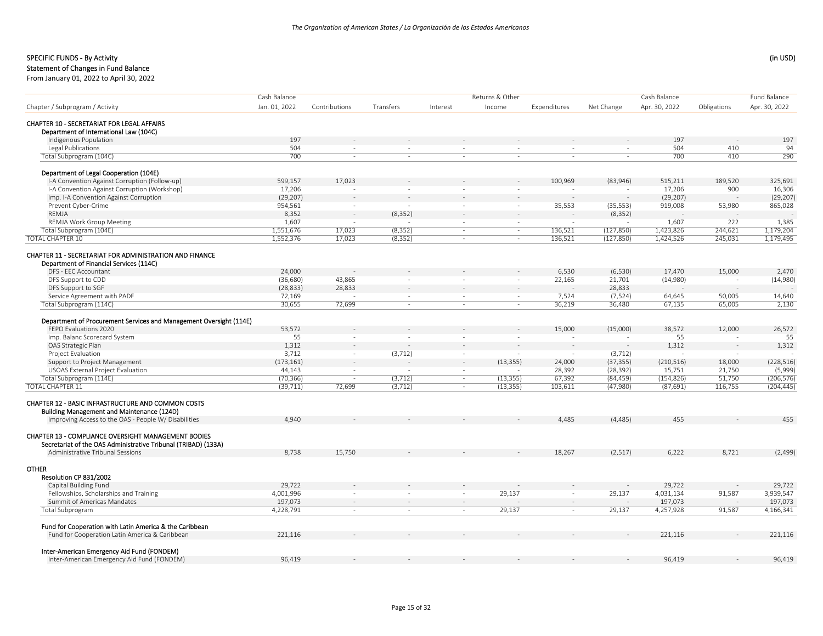### Statement of Changes in Fund Balance

|                                                                                                                              | Cash Balance  |               |           |                          | Returns & Other          |              |            | Cash Balance  |             | Fund Balance  |
|------------------------------------------------------------------------------------------------------------------------------|---------------|---------------|-----------|--------------------------|--------------------------|--------------|------------|---------------|-------------|---------------|
| Chapter / Subprogram / Activity                                                                                              | Jan. 01, 2022 | Contributions | Transfers | Interest                 | Income                   | Expenditures | Net Change | Apr. 30, 2022 | Obligations | Apr. 30, 2022 |
|                                                                                                                              |               |               |           |                          |                          |              |            |               |             |               |
| CHAPTER 10 - SECRETARIAT FOR LEGAL AFFAIRS<br>Department of International Law (104C)                                         |               |               |           |                          |                          |              |            |               |             |               |
| Indigenous Population                                                                                                        | 197           |               |           |                          |                          |              |            | 197           |             | 197           |
| Legal Publications                                                                                                           | 504           | $\sim$        | $\sim$    | $\sim$                   | $\sim$                   | $\sim$       | $\sim$     | 504           | 410         | 94            |
| Total Subprogram (104C)                                                                                                      | 700           |               | $\sim$    | ÷.                       | ÷.                       | $\sim$       | $\sim$     | 700           | 410         | 290           |
|                                                                                                                              |               |               |           |                          |                          |              |            |               |             |               |
| Department of Legal Cooperation (104E)                                                                                       |               |               |           |                          |                          |              |            |               |             |               |
| I-A Convention Against Corruption (Follow-up)                                                                                | 599,157       | 17,023        |           |                          |                          | 100,969      | (83,946)   | 515,211       | 189,520     | 325,691       |
| I-A Convention Against Corruption (Workshop)                                                                                 | 17,206        |               |           | $\sim$                   | ÷,                       |              |            | 17,206        | 900         | 16,306        |
| Imp. I-A Convention Against Corruption                                                                                       | (29, 207)     |               |           |                          |                          |              |            | (29, 207)     |             | (29, 207)     |
| Prevent Cyber-Crime                                                                                                          | 954,561       | $\sim$        |           | $\sim$                   | $\sim$                   | 35,553       | (35, 553)  | 919,008       | 53,980      | 865,028       |
| REMJA                                                                                                                        | 8,352         |               | (8, 352)  | $\sim$                   |                          |              | (8, 352)   |               |             |               |
| REMJA Work Group Meeting                                                                                                     | 1,607         |               |           |                          |                          |              |            | 1,607         | 222         | 1,385         |
| Total Subprogram (104E)                                                                                                      | 1,551,676     | 17,023        | (8, 352)  | $\sim$                   | $\sim$                   | 136,521      | (127, 850) | 1,423,826     | 244,621     | 1,179,204     |
| <b>TOTAL CHAPTER 10</b>                                                                                                      | 1,552,376     | 17,023        | (8, 352)  | $\sim$                   | $\sim$                   | 136,521      | (127, 850) | 1,424,526     | 245,031     | 1,179,495     |
| <b>CHAPTER 11 - SECRETARIAT FOR ADMINISTRATION AND FINANCE</b><br>Department of Financial Services (114C)                    |               |               |           |                          |                          |              |            |               |             |               |
| DFS - EEC Accountant                                                                                                         | 24,000        |               |           |                          |                          | 6,530        | (6,530)    | 17,470        | 15,000      | 2,470         |
| DFS Support to CDD                                                                                                           | (36, 680)     | 43,865        | $\sim$    | $\sim$                   | $\overline{\phantom{a}}$ | 22,165       | 21,701     | (14,980)      |             | (14,980)      |
| DFS Support to SGF                                                                                                           | (28, 833)     | 28,833        |           | $\overline{\phantom{a}}$ | $\sim$                   |              | 28,833     |               |             |               |
| Service Agreement with PADF                                                                                                  | 72,169        |               | $\sim$    | $\sim$                   | $\sim$                   | 7,524        | (7,524)    | 64,645        | 50,005      | 14,640        |
| Total Subprogram (114C)                                                                                                      | 30,655        | 72,699        | $\sim$    | $\sim$                   | $\sim$                   | 36,219       | 36,480     | 67,135        | 65,005      | 2,130         |
|                                                                                                                              |               |               |           |                          |                          |              |            |               |             |               |
| Department of Procurement Services and Management Oversight (114E)                                                           |               |               |           |                          |                          |              |            |               |             |               |
| FEPO Evaluations 2020                                                                                                        | 53,572        |               |           |                          |                          | 15,000       | (15,000)   | 38,572        | 12,000      | 26,572        |
| Imp. Balanc Scorecard System                                                                                                 | 55            | $\sim$        |           | $\sim$                   |                          |              |            | 55            |             | 55            |
| OAS Strategic Plan                                                                                                           | 1,312         |               |           |                          |                          |              |            | 1,312         |             | 1,312         |
| Project Evaluation                                                                                                           | 3,712         | $\sim$        | (3, 712)  | $\sim$                   |                          |              | (3, 712)   |               |             |               |
| Support to Project Management                                                                                                | (173, 161)    |               |           | $\mathbf{r}$             | (13, 355)                | 24,000       | (37, 355)  | (210, 516)    | 18,000      | (228, 516)    |
| <b>USOAS External Project Evaluation</b>                                                                                     | 44,143        | $\sim$        |           | $\sim$                   | $\sim$                   | 28,392       | (28, 392)  | 15,751        | 21,750      | (5,999)       |
| Total Subprogram (114E)                                                                                                      | (70, 366)     | $\sim$        | (3, 712)  | $\sim$                   | (13, 355)                | 67,392       | (84, 459)  | (154, 826)    | 51,750      | (206, 576)    |
| <b>TOTAL CHAPTER 11</b>                                                                                                      | (39, 711)     | 72,699        | (3,712)   | $\sim$                   | (13, 355)                | 103,611      | (47,980)   | (87, 691)     | 116,755     | (204, 445)    |
| <b>CHAPTER 12 - BASIC INFRASTRUCTURE AND COMMON COSTS</b><br>Building Management and Maintenance (124D)                      |               |               |           |                          |                          |              |            |               |             |               |
| Improving Access to the OAS - People W/ Disabilities                                                                         | 4,940         |               |           |                          |                          | 4,485        | (4, 485)   | 455           |             | 455           |
| <b>CHAPTER 13 - COMPLIANCE OVERSIGHT MANAGEMENT BODIES</b><br>Secretariat of the OAS Administrative Tribunal (TRIBAD) (133A) |               |               |           |                          |                          |              |            |               |             |               |
| Administrative Tribunal Sessions                                                                                             | 8,738         | 15,750        |           |                          |                          | 18,267       | (2,517)    | 6,222         | 8,721       | (2,499)       |
| <b>OTHER</b><br>Resolution CP 831/2002                                                                                       |               |               |           |                          |                          |              |            |               |             |               |
| Capital Building Fund                                                                                                        | 29,722        |               |           |                          |                          |              |            | 29,722        |             | 29,722        |
| Fellowships, Scholarships and Training                                                                                       | 4,001,996     |               | ÷.        | $\sim$                   | 29,137                   | $\sim$       | 29,137     | 4,031,134     | 91,587      | 3,939,547     |
| Summit of Americas Mandates                                                                                                  | 197,073       |               |           | ÷.                       |                          | $\sim$       |            | 197,073       |             | 197,073       |
| <b>Total Subprogram</b>                                                                                                      | 4,228,791     | $\sim$        | $\sim$    | $\sim$                   | 29,137                   | $\sim$       | 29,137     | 4,257,928     | 91,587      | 4,166,341     |
|                                                                                                                              |               |               |           |                          |                          |              |            |               |             |               |
| Fund for Cooperation with Latin America & the Caribbean<br>Fund for Cooperation Latin America & Caribbean                    | 221,116       |               |           |                          |                          |              |            | 221,116       |             | 221,116       |
|                                                                                                                              |               |               |           |                          |                          |              |            |               |             |               |
| Inter-American Emergency Aid Fund (FONDEM)                                                                                   | 96.419        |               |           |                          |                          |              |            | 96.419        |             | 96.419        |
| Inter-American Emergency Aid Fund (FONDEM)                                                                                   |               |               |           |                          |                          |              |            |               |             |               |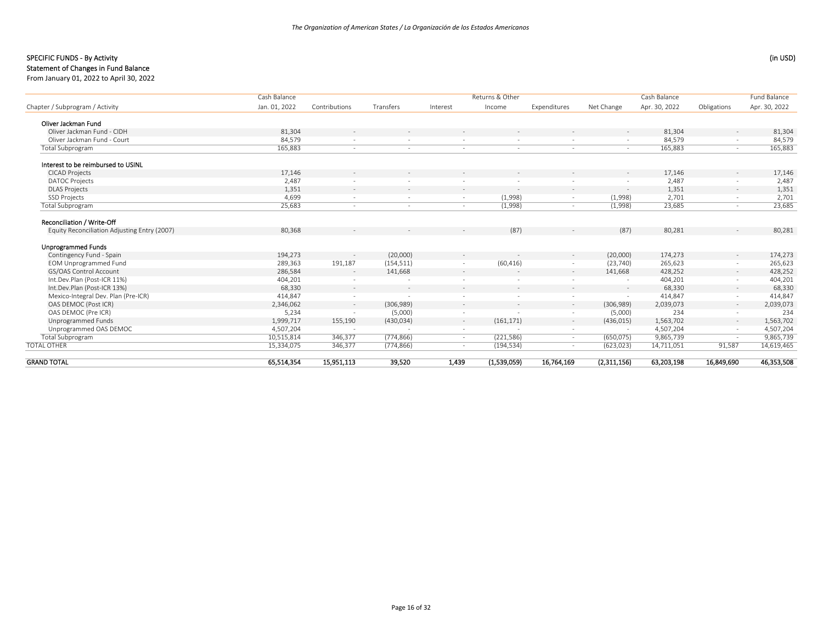## SPECIFIC FUNDS - By Activity (in USD) (in USD)

#### Statement of Changes in Fund Balance

|                                              | Cash Balance  |               |            |          | Returns & Other |              |             | Cash Balance  |             | <b>Fund Balance</b> |
|----------------------------------------------|---------------|---------------|------------|----------|-----------------|--------------|-------------|---------------|-------------|---------------------|
| Chapter / Subprogram / Activity              | Jan. 01, 2022 | Contributions | Transfers  | Interest | Income          | Expenditures | Net Change  | Apr. 30, 2022 | Obligations | Apr. 30, 2022       |
| Oliver Jackman Fund                          |               |               |            |          |                 |              |             |               |             |                     |
| Oliver Jackman Fund - CIDH                   | 81,304        |               |            |          |                 |              |             | 81,304        |             | 81,304              |
| Oliver Jackman Fund - Court                  | 84,579        |               |            | $\sim$   |                 |              | $\sim$      | 84,579        |             | 84,579              |
| <b>Total Subprogram</b>                      | 165,883       | ٠             | $\sim$     | $\sim$   | ٠               | $\sim$       | $\sim$      | 165,883       | $\sim$      | 165,883             |
| Interest to be reimbursed to USINL           |               |               |            |          |                 |              |             |               |             |                     |
| <b>CICAD Projects</b>                        | 17,146        |               |            |          |                 |              |             | 17,146        |             | 17,146              |
| <b>DATOC Projects</b>                        | 2,487         |               |            |          |                 |              |             | 2,487         |             | 2,487               |
| <b>DLAS Projects</b>                         | 1,351         | ÷             | $\sim$     | $\sim$   | $\sim$          | $\sim$       | $\sim$      | 1,351         | $\sim$      | 1,351               |
| <b>SSD Projects</b>                          | 4,699         |               |            | ÷.       | (1,998)         |              | (1,998)     | 2,701         |             | 2,701               |
| <b>Total Subprogram</b>                      | 25,683        | $\sim$        | $\sim$     | $\sim$   | (1,998)         | $\sim$       | (1,998)     | 23,685        | $\sim$      | 23,685              |
| Reconciliation / Write-Off                   |               |               |            |          |                 |              |             |               |             |                     |
| Equity Reconciliation Adjusting Entry (2007) | 80,368        |               | $\sim$     |          | (87)            |              | (87)        | 80,281        |             | 80,281              |
| <b>Unprogrammed Funds</b>                    |               |               |            |          |                 |              |             |               |             |                     |
| Contingency Fund - Spain                     | 194,273       |               | (20,000)   | $\sim$   |                 | $\sim$       | (20,000)    | 174,273       | $\sim$      | 174,273             |
| <b>EOM Unprogrammed Fund</b>                 | 289,363       | 191,187       | (154, 511) |          | (60, 416)       |              | (23, 740)   | 265,623       |             | 265,623             |
| GS/OAS Control Account                       | 286,584       | $\sim$        | 141,668    | $\sim$   |                 | $\sim$       | 141,668     | 428,252       | $\sim$      | 428,252             |
| Int.Dev.Plan (Post-ICR 11%)                  | 404,201       |               |            |          |                 |              |             | 404,201       |             | 404,201             |
| Int.Dev.Plan (Post-ICR 13%)                  | 68,330        | $\sim$        | $\sim$     | $\sim$   | $\sim$          | $\sim$       | $\sim$      | 68,330        | $\sim$      | 68,330              |
| Mexico-Integral Dev. Plan (Pre-ICR)          | 414,847       |               | $\sim$     |          |                 | $\sim$       | $\sim$      | 414,847       |             | 414,847             |
| OAS DEMOC (Post ICR)                         | 2,346,062     | $\sim$        | (306, 989) | $\sim$   |                 | $\sim$       | (306,989)   | 2,039,073     | $\sim$      | 2,039,073           |
| OAS DEMOC (Pre ICR)                          | 5,234         |               | (5,000)    |          |                 |              | (5,000)     | 234           |             | 234                 |
| Unprogrammed Funds                           | 1,999,717     | 155,190       | (430, 034) | $\sim$   | (161, 171)      | $\sim$       | (436, 015)  | 1,563,702     | $\sim$      | 1,563,702           |
| Unprogrammed OAS DEMOC                       | 4,507,204     |               |            | $\sim$   |                 | $\sim$       |             | 4,507,204     |             | 4,507,204           |
| <b>Total Subprogram</b>                      | 10,515,814    | 346,377       | (774, 866) | $\sim$   | (221, 586)      | $\sim$       | (650, 075)  | 9,865,739     |             | 9,865,739           |
| <b>TOTAL OTHER</b>                           | 15,334,075    | 346,377       | (774, 866) | $\sim$   | (194, 534)      | $\sim$       | (623, 023)  | 14,711,051    | 91,587      | 14,619,465          |
| GRAND TOTAL                                  | 65.514.354    | 15,951,113    | 39,520     | 1,439    | (1,539,059)     | 16,764,169   | (2,311,156) | 63,203,198    | 16,849,690  | 46,353,508          |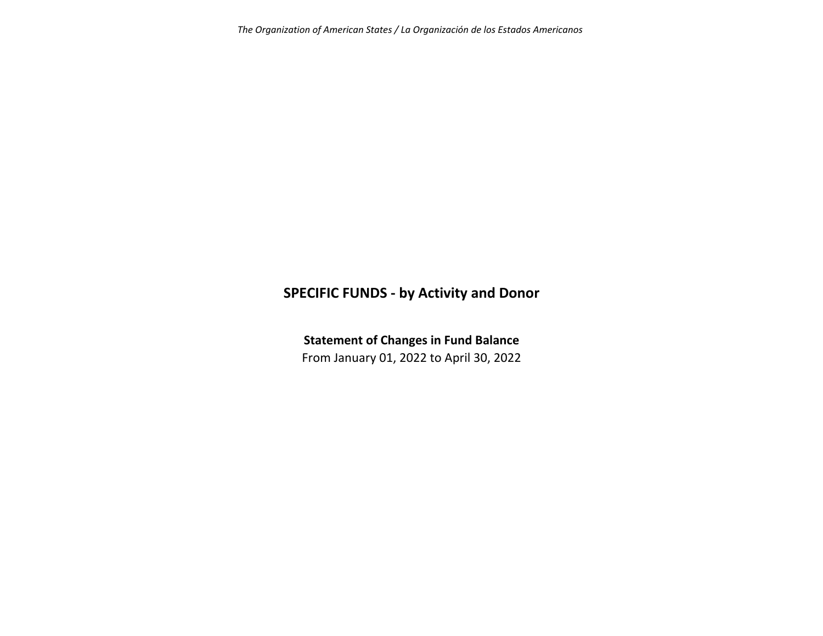# **SPECIFIC FUNDS ‐ by Activity and Donor**

**Statement of Changes in Fund Balance**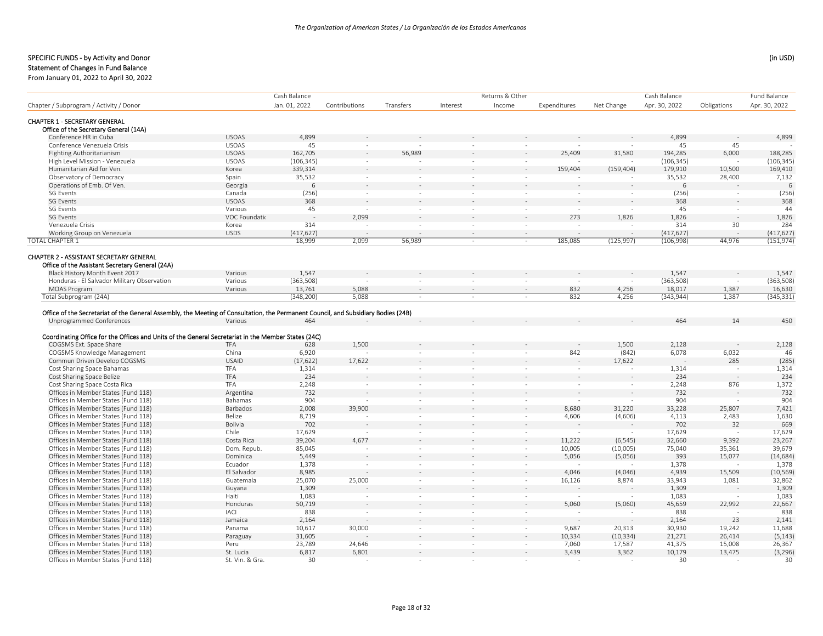# Statement of Changes in Fund Balance

|                                                                                                                                    |                 | Cash Balance  |                          |                          |                          | Returns & Other          |              |            | Cash Balance  |             | Fund Balance  |
|------------------------------------------------------------------------------------------------------------------------------------|-----------------|---------------|--------------------------|--------------------------|--------------------------|--------------------------|--------------|------------|---------------|-------------|---------------|
| Chapter / Subprogram / Activity / Donor                                                                                            |                 | Jan. 01, 2022 | Contributions            | Transfers                | Interest                 | Income                   | Expenditures | Net Change | Apr. 30, 2022 | Obligations | Apr. 30, 2022 |
|                                                                                                                                    |                 |               |                          |                          |                          |                          |              |            |               |             |               |
| <b>CHAPTER 1 - SECRETARY GENERAL</b><br>Office of the Secretary General (14A)                                                      |                 |               |                          |                          |                          |                          |              |            |               |             |               |
| Conference HR in Cuba                                                                                                              | <b>USOAS</b>    | 4,899         |                          |                          |                          |                          |              |            | 4,899         |             | 4,899         |
| Conference Venezuela Crisis                                                                                                        | <b>USOAS</b>    | 45            |                          |                          |                          |                          |              |            | 45            | 45          |               |
| <b>Fighting Authoritarianism</b>                                                                                                   | <b>USOAS</b>    | 162,705       |                          | 56,989                   |                          |                          | 25,409       | 31,580     | 194,285       | 6,000       | 188,285       |
| High Level Mission - Venezuela                                                                                                     | <b>USOAS</b>    | (106, 345)    |                          |                          |                          | ÷                        |              |            | (106, 345)    |             | (106, 345)    |
| Humanitarian Aid for Ven.                                                                                                          | Korea           | 339,314       |                          |                          |                          |                          | 159,404      | (159, 404) | 179,910       | 10,500      | 169,410       |
| Observatory of Democracy                                                                                                           | Spain           | 35,532        | $\sim$                   |                          | $\sim$                   |                          |              |            | 35,532        | 28,400      | 7,132         |
| Operations of Emb. Of Ven.                                                                                                         | Georgia         | 6             |                          |                          |                          |                          |              |            | 6             |             | 6             |
| SG Events                                                                                                                          | Canada          | (256)         | $\sim$                   | $\sim$                   | $\sim$                   | $\sim$                   |              | $\sim$     | (256)         | $\sim$      | (256)         |
| <b>SG Events</b>                                                                                                                   | <b>USOAS</b>    | 368           |                          |                          |                          |                          |              |            | 368           |             | 368           |
| <b>SG Events</b>                                                                                                                   | Various         | 45            | $\sim$                   |                          | $\sim$                   | $\overline{\phantom{a}}$ | $\sim$       | ÷          | 45            | $\sim$      | 44            |
| <b>SG Events</b>                                                                                                                   | VOC Foundatio   |               | 2,099                    |                          |                          |                          | 273          | 1,826      | 1,826         |             | 1,826         |
| Venezuela Crisis                                                                                                                   | Korea           | 314           | ÷,                       |                          | $\overline{\phantom{a}}$ | $\overline{\phantom{a}}$ |              |            | 314           | 30          | 284           |
| Working Group on Venezuela                                                                                                         | <b>USDS</b>     | (417, 627)    | $\sim$                   |                          |                          | $\sim$                   | $\sim$       | ÷.         | (417, 627)    |             | (417, 627)    |
| <b>TOTAL CHAPTER 1</b>                                                                                                             |                 | 18,999        | 2,099                    | 56,989                   | $\sim$                   | $\sim$                   | 185,085      | (125, 997) | (106,998)     | 44,976      | (151, 974)    |
|                                                                                                                                    |                 |               |                          |                          |                          |                          |              |            |               |             |               |
| CHAPTER 2 - ASSISTANT SECRETARY GENERAL                                                                                            |                 |               |                          |                          |                          |                          |              |            |               |             |               |
| Office of the Assistant Secretary General (24A)                                                                                    |                 |               |                          |                          |                          |                          |              |            |               |             |               |
| Black History Month Event 2017                                                                                                     | Various         | 1,547         |                          |                          |                          |                          |              |            | 1,547         |             | 1,547         |
| Honduras - El Salvador Military Observation                                                                                        | Various         | (363,508)     |                          |                          | $\sim$                   |                          |              |            | (363,508)     |             | (363, 508)    |
| <b>MOAS Program</b>                                                                                                                | Various         | 13,761        | 5,088                    |                          |                          | ÷,                       | 832          | 4,256      | 18,017        | 1,387       | 16,630        |
| Total Subprogram (24A)                                                                                                             |                 | (348, 200)    | 5,088                    | $\sim$                   | $\sim$                   | $\overline{\phantom{a}}$ | 832          | 4,256      | (343, 944)    | 1,387       | (345, 331)    |
|                                                                                                                                    |                 |               |                          |                          |                          |                          |              |            |               |             |               |
| Office of the Secretariat of the General Assembly, the Meeting of Consultation, the Permanent Council, and Subsidiary Bodies (24B) |                 |               |                          |                          |                          |                          |              |            |               |             |               |
| Unprogrammed Conferences                                                                                                           | Various         | 464           |                          |                          |                          |                          |              |            | 464           | 14          | 450           |
|                                                                                                                                    |                 |               |                          |                          |                          |                          |              |            |               |             |               |
| Coordinating Office for the Offices and Units of the General Secretariat in the Member States (24C)                                |                 |               |                          |                          |                          |                          |              |            |               |             |               |
| COGSMS Ext. Space Share                                                                                                            | TFA             | 628           | 1,500                    |                          |                          |                          |              | 1,500      | 2,128         |             | 2,128         |
| COGSMS Knowledge Management                                                                                                        | China           | 6,920         |                          |                          |                          | $\sim$                   | 842          | (842)      | 6,078         | 6,032       | 46            |
| Commun Driven Develop COGSMS                                                                                                       | <b>USAID</b>    | (17, 622)     | 17,622                   |                          |                          |                          |              | 17,622     |               | 285         | (285)         |
| Cost Sharing Space Bahamas                                                                                                         | TFA             | 1,314         |                          |                          | $\sim$                   | $\sim$                   | $\sim$       |            | 1,314         |             | 1,314         |
| Cost Sharing Space Belize                                                                                                          | TFA             | 234           |                          |                          |                          |                          |              |            | 234           |             | 234           |
| Cost Sharing Space Costa Rica                                                                                                      | <b>TFA</b>      | 2,248         | $\sim$                   | $\sim$                   | $\sim$                   | $\sim$                   | $\sim$       | $\sim$     | 2,248         | 876         | 1,372         |
| Offices in Member States (Fund 118)                                                                                                | Argentina       | 732           |                          |                          |                          |                          |              |            | 732           |             | 732           |
| Offices in Member States (Fund 118)                                                                                                | Bahamas         | 904           | $\sim$                   | $\sim$                   | $\sim$                   | $\sim$                   | $\sim$       | ÷.         | 904           |             | 904           |
| Offices in Member States (Fund 118)                                                                                                | Barbados        | 2,008         | 39,900                   |                          |                          | ÷,                       | 8,680        | 31,220     | 33,228        | 25,807      | 7,421         |
| Offices in Member States (Fund 118)                                                                                                | Belize          | 8,719         |                          | $\sim$                   | $\sim$                   | $\overline{\phantom{a}}$ | 4,606        | (4,606)    | 4,113         | 2,483       | 1,630         |
| Offices in Member States (Fund 118)                                                                                                | Bolivia         | 702           |                          |                          |                          |                          |              |            | 702           | 32          | 669           |
| Offices in Member States (Fund 118)                                                                                                | Chile           | 17,629        |                          |                          | $\sim$                   | $\sim$                   |              |            | 17,629        |             | 17,629        |
| Offices in Member States (Fund 118)                                                                                                | Costa Rica      | 39,204        | 4,677                    |                          |                          | ÷                        | 11,222       | (6, 545)   | 32,660        | 9,392       | 23,267        |
| Offices in Member States (Fund 118)                                                                                                | Dom. Repub.     | 85,045        |                          |                          | $\sim$                   | $\overline{\phantom{a}}$ | 10,005       | (10,005)   | 75,040        | 35,361      | 39,679        |
| Offices in Member States (Fund 118)                                                                                                | Dominica        | 5,449         |                          |                          |                          |                          | 5,056        | (5,056)    | 393           | 15,077      | (14, 684)     |
| Offices in Member States (Fund 118)                                                                                                | Ecuador         | 1,378         | $\sim$                   |                          | $\sim$                   | $\overline{\phantom{a}}$ |              |            | 1,378         |             | 1,378         |
| Offices in Member States (Fund 118)                                                                                                | El Salvador     | 8,985         |                          |                          |                          |                          | 4,046        | (4,046)    | 4.939         | 15,509      | (10, 569)     |
| Offices in Member States (Fund 118)                                                                                                | Guatemala       | 25,070        | 25,000                   | $\sim$                   | $\sim$                   | $\bar{\phantom{a}}$      | 16,126       | 8,874      | 33,943        | 1,081       | 32,862        |
| Offices in Member States (Fund 118)                                                                                                | Guyana          | 1,309         |                          |                          |                          |                          |              |            | 1,309         |             | 1,309         |
| Offices in Member States (Fund 118)                                                                                                | Haiti           | 1,083         | $\overline{\phantom{a}}$ | $\overline{\phantom{a}}$ | $\sim$                   | $\overline{\phantom{a}}$ |              |            | 1,083         |             | 1,083         |
| Offices in Member States (Fund 118)                                                                                                | Honduras        | 50,719        |                          |                          |                          | ä,                       | 5,060        | (5,060)    | 45,659        | 22,992      | 22,667        |
| Offices in Member States (Fund 118)                                                                                                | <b>IACI</b>     | 838           | $\sim$                   | $\sim$                   | $\sim$                   | $\overline{\phantom{a}}$ |              |            | 838           |             | 838           |
| Offices in Member States (Fund 118)                                                                                                | Jamaica         | 2,164         |                          |                          |                          | $\sim$                   |              |            | 2,164         | 23          | 2,141         |
| Offices in Member States (Fund 118)                                                                                                | Panama          | 10,617        | 30,000                   | $\sim$                   | $\sim$                   | $\sim$                   | 9,687        | 20,313     | 30,930        | 19,242      | 11,688        |
| Offices in Member States (Fund 118)                                                                                                | Paraguay        | 31,605        |                          |                          |                          | ä,                       | 10,334       | (10, 334)  | 21,271        | 26,414      | (5, 143)      |
| Offices in Member States (Fund 118)                                                                                                | Peru            | 23,789        | 24,646                   | $\sim$                   | $\sim$                   | $\sim$                   | 7,060        | 17,587     | 41,375        | 15,008      | 26,367        |
| Offices in Member States (Fund 118)                                                                                                | St. Lucia       | 6,817         | 6,801                    |                          |                          | $\bar{a}$                | 3,439        | 3,362      | 10,179        | 13,475      | (3, 296)      |
| Offices in Member States (Fund 118)                                                                                                | St. Vin. & Gra. | 30            |                          | in 1919.                 | $\sim$                   | $\sim$                   |              |            | 30            |             | 30            |
|                                                                                                                                    |                 |               |                          |                          |                          |                          |              |            |               |             |               |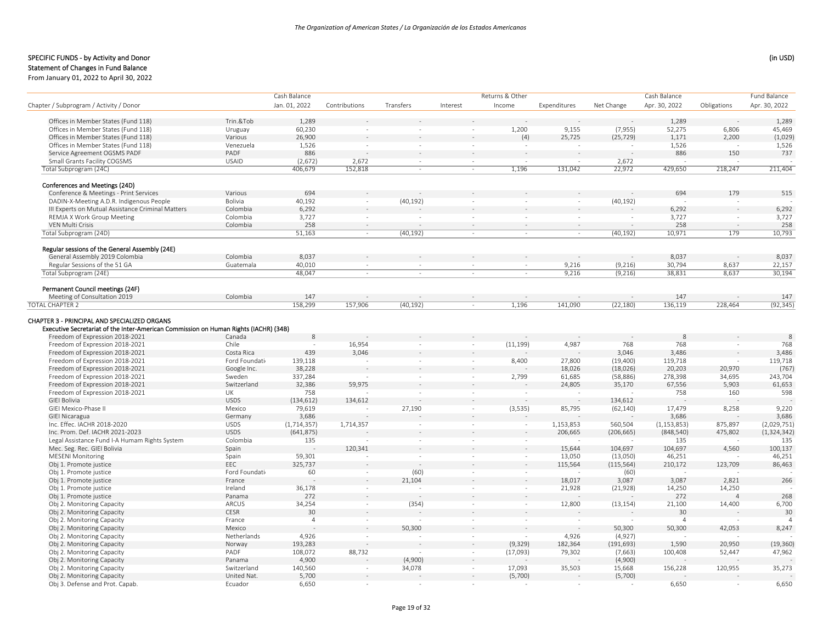# Statement of Changes in Fund Balance

|                                                                            |                    | Cash Balance     |               |                          |          | Returns & Other |              |            | Cash Balance    |                          | Fund Balance      |
|----------------------------------------------------------------------------|--------------------|------------------|---------------|--------------------------|----------|-----------------|--------------|------------|-----------------|--------------------------|-------------------|
| Chapter / Subprogram / Activity / Donor                                    |                    | Jan. 01, 2022    | Contributions | Transfers                | Interest | Income          | Expenditures | Net Change | Apr. 30, 2022   | Obligations              | Apr. 30, 2022     |
|                                                                            |                    |                  |               |                          |          |                 |              |            |                 |                          |                   |
| Offices in Member States (Fund 118)                                        | Trin.&Tob          | 1,289            |               |                          |          |                 | 9,155        |            | 1,289<br>52,275 |                          | 1,289             |
| Offices in Member States (Fund 118)                                        | Uruguay<br>Various | 60,230<br>26,900 |               |                          |          | 1,200           | 25,725       | (7, 955)   | 1,171           | 6,806<br>2,200           | 45,469<br>(1,029) |
| Offices in Member States (Fund 118)<br>Offices in Member States (Fund 118) | Venezuela          | 1,526            | $\sim$        |                          |          | (4)             |              | (25, 729)  | 1,526           |                          | 1,526             |
| Service Agreement OGSMS PADF                                               | PADF               | 886              |               |                          |          |                 |              |            | 886             | 150                      | 737               |
| Small Grants Facility COGSMS                                               | <b>USAID</b>       | (2,672)          | 2,672         | $\sim$                   | $\sim$   | ÷.              |              | 2,672      |                 |                          |                   |
| Total Subprogram (24C)                                                     |                    | 406,679          | 152,818       | $\sim$                   | $\sim$   | 1,196           | 131,042      | 22,972     | 429,650         | 218,247                  | 211,404           |
|                                                                            |                    |                  |               |                          |          |                 |              |            |                 |                          |                   |
| Conferences and Meetings (24D)<br>Conference & Meetings - Print Services   | Various            | 694              |               |                          |          |                 |              |            | 694             | 179                      | 515               |
| DADIN-X-Meeting A.D.R. Indigenous People                                   | Bolivia            | 40,192           | $\sim$        | (40, 192)                | ÷.       | $\sim$          | $\sim$       | (40, 192)  |                 |                          |                   |
| III Experts on Mutual Assistance Criminal Matters                          | Colombia           | 6,292            |               |                          |          |                 |              |            | 6,292           | $\sim$                   | 6,292             |
| REMJA X Work Group Meeting                                                 | Colombia           | 3,727            | $\sim$        | $\overline{\phantom{a}}$ | $\sim$   | $\sim$          | $\sim$       | $\sim$     | 3,727           | $\sim$                   | 3,727             |
| VEN Multi Crisis                                                           | Colombia           | 258              | $\sim$        |                          |          |                 |              |            | 258             |                          | 258               |
| Total Subprogram (24D)                                                     |                    | 51,163           | $\sim$        | (40, 192)                | $\sim$   | $\sim$          | $\sim$       | (40, 192)  | 10,971          | 179                      | 10,793            |
| Regular sessions of the General Assembly (24E)                             |                    |                  |               |                          |          |                 |              |            |                 |                          |                   |
| General Assembly 2019 Colombia                                             | Colombia           | 8,037            |               |                          |          |                 |              |            | 8.037           |                          | 8,037             |
| Regular Sessions of the 51 GA                                              | Guatemala          | 40,010           | $\sim$        | $\sim$                   | $\sim$   | $\sim$          | 9,216        | (9, 216)   | 30,794          | 8,637                    | 22,157            |
| Total Subprogram (24E)                                                     |                    | 48,047           | $\sim$        | $\sim$                   | $\sim$   | $\sim$          | 9,216        | (9,216)    | 38,831          | 8,637                    | 30,194            |
| Permanent Council meetings (24F)                                           |                    |                  |               |                          |          |                 |              |            |                 |                          |                   |
| Meeting of Consultation 2019                                               | Colombia           | 147              |               |                          |          |                 |              |            | 147             |                          | 147               |
| <b>TOTAL CHAPTER 2</b>                                                     |                    | 158,299          | 157,906       | (40, 192)                | $\sim$   | 1,196           | 141,090      | (22, 180)  | 136,119         | 228,464                  | (92, 345)         |
| Freedom of Expression 2018-2021<br>Freedom of Expression 2018-2021         | Canada<br>Chile    | 8                | 16,954        |                          | $\sim$   | (11, 199)       | 4,987        | 768        | 8<br>768        | $\overline{\phantom{a}}$ | 8<br>768          |
| Freedom of Expression 2018-2021                                            | Costa Rica         | 439              | 3,046         |                          |          |                 |              | 3,046      | 3,486           |                          | 3,486             |
| Freedom of Expression 2018-2021                                            | Ford Foundati      | 139,118          |               |                          | $\sim$   | 8,400           | 27,800       | (19,400)   | 119,718         | $\sim$                   | 119,718           |
| Freedom of Expression 2018-2021                                            | Google Inc.        | 38,228           |               |                          |          |                 | 18,026       | (18,026)   | 20,203          | 20,970                   | (767)             |
| Freedom of Expression 2018-2021                                            | Sweden             | 337,284          |               | $\sim$                   | $\sim$   | 2,799           | 61,685       | (58, 886)  | 278,398         | 34,695                   | 243,704           |
| Freedom of Expression 2018-2021                                            | Switzerland        | 32,386           | 59,975        |                          |          |                 | 24,805       | 35,170     | 67,556          | 5,903                    | 61,653            |
| Freedom of Expression 2018-2021                                            | <b>UK</b>          | 758              |               |                          | $\sim$   |                 |              |            | 758             | 160                      | 598               |
| <b>GIEI Bolivia</b>                                                        | <b>USDS</b>        | (134, 612)       | 134,612       |                          |          |                 |              | 134,612    |                 |                          |                   |
| GIEI Mexico-Phase II                                                       | Mexico             | 79,619           |               | 27,190                   | ÷.       | (3, 535)        | 85,795       | (62, 140)  | 17,479          | 8,258                    | 9,220             |
| <b>GIEI Nicaragua</b>                                                      | Germany            | 3,686            |               |                          |          |                 |              |            | 3,686           |                          | 3,686             |
| Inc. Effec. IACHR 2018-2020                                                | <b>USDS</b>        | (1,714,357)      | 1,714,357     |                          | $\sim$   | $\sim$          | 1,153,853    | 560,504    | (1, 153, 853)   | 875,897                  | (2,029,751)       |
| Inc. Prom. Def. IACHR 2021-2023                                            | <b>USDS</b>        | (641, 875)       |               |                          |          |                 | 206,665      | (206, 665) | (848, 540)      | 475,802                  | (1, 324, 342)     |
| Legal Assistance Fund I-A Humam Rights System                              | Colombia           | 135              |               | $\sim$                   | $\sim$   |                 |              |            | 135             |                          | 135               |
| Mec. Seg. Rec. GIEI Bolivia                                                | Spain              |                  | 120,341       |                          |          |                 | 15,644       | 104,697    | 104,697         | 4,560                    | 100,137           |
| <b>MESENI Monitoring</b>                                                   | Spain              | 59,301           |               |                          |          | $\sim$          | 13,050       | (13,050)   | 46,251          |                          | 46,251            |
| Obj 1. Promote justice                                                     | EEC                | 325,737          |               |                          |          |                 | 115,564      | (115, 564) | 210,172         | 123,709                  | 86,463            |
| Obj 1. Promote justice                                                     | Ford Foundati      | 60               | $\sim$        | (60)                     | $\sim$   | $\sim$          |              | (60)       |                 |                          |                   |
| Obj 1. Promote justice                                                     | France             |                  | $\sim$        | 21,104                   |          |                 | 18,017       | 3,087      | 3,087           | 2,821                    | 266               |
| Obj 1. Promote justice                                                     | Ireland<br>Panama  | 36,178<br>272    | $\sim$        | $\sim$                   | $\sim$   | $\sim$          | 21,928       | (21, 928)  | 14,250          | 14,250<br>$\overline{4}$ | 268               |
| Obj 1. Promote justice<br>Obj 2. Monitoring Capacity                       | <b>ARCUS</b>       | 34,254           | $\sim$        | (354)                    | $\sim$   | $\sim$          | 12,800       | (13, 154)  | 272<br>21,100   | 14,400                   | 6,700             |
| Obj 2. Monitoring Capacity                                                 | CESR               | 30               |               |                          |          |                 |              |            | 30              |                          | 30                |
| Obj 2. Monitoring Capacity                                                 | France             | $\overline{4}$   | $\sim$        |                          | $\sim$   | $\sim$          |              |            | $\overline{A}$  |                          |                   |
| Obj 2. Monitoring Capacity                                                 | Mexico             |                  |               | 50,300                   |          |                 |              | 50,300     | 50,300          | 42,053                   | 8,247             |
| Obj 2. Monitoring Capacity                                                 | Netherlands        | 4,926            | $\sim$        |                          | ÷.       |                 | 4,926        | (4,927)    |                 |                          |                   |
| Obj 2. Monitoring Capacity                                                 | Norway             | 193,283          |               |                          | $\sim$   | (9, 329)        | 182,364      | (191, 693) | 1,590           | 20,950                   | (19, 360)         |
| Obj 2. Monitoring Capacity                                                 | PADF               | 108,072          | 88,732        |                          | $\sim$   | (17,093)        | 79,302       | (7,663)    | 100,408         | 52,447                   | 47,962            |
| Obj 2. Monitoring Capacity                                                 | Panama             | 4,900            |               | (4,900)                  |          |                 |              | (4,900)    |                 |                          |                   |
| Obj 2. Monitoring Capacity                                                 | Switzerland        | 140,560          |               | 34,078                   |          | 17,093          | 35,503       | 15,668     | 156,228         | 120,955                  | 35,273            |
| Obj 2. Monitoring Capacity                                                 | United Nat.        | 5,700            |               |                          |          | (5,700)         |              | (5,700)    |                 |                          |                   |
| Obj 3. Defense and Prot. Capab.                                            | Ecuador            | 6,650            | $\sim$        |                          | a.       |                 |              |            | 6,650           |                          | 6,650             |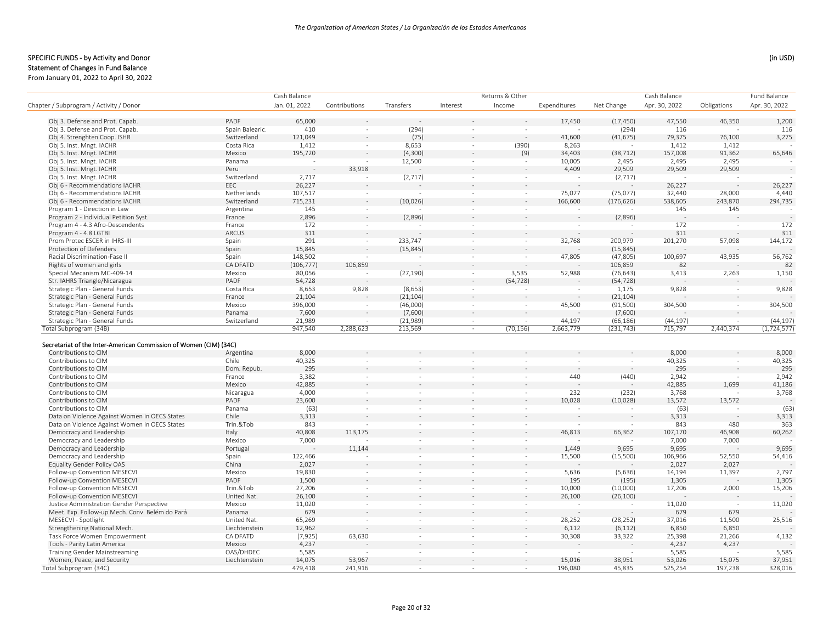#### SPECIFIC FUNDS - by Activity and Donor (in USD) (in USD)

From January 01, 2022 to April 30, 2022

|                                                |                    | Cash Balance    |               |                          |                          | Returns & Other          |              |                          | Cash Balance    |             | Fund Balance    |
|------------------------------------------------|--------------------|-----------------|---------------|--------------------------|--------------------------|--------------------------|--------------|--------------------------|-----------------|-------------|-----------------|
| Chapter / Subprogram / Activity / Donor        |                    | Jan. 01, 2022   | Contributions | Transfers                | Interest                 | Income                   | Expenditures | Net Change               | Apr. 30, 2022   | Obligations | Apr. 30, 2022   |
| Obj 3. Defense and Prot. Capab.                | PADF               | 65,000          |               |                          |                          |                          | 17,450       | (17, 450)                | 47,550          | 46,350      | 1,200           |
| Obj 3. Defense and Prot. Capab.                | Spain Balearic.    | 410             | $\sim$        | (294)                    | $\sim$                   |                          |              | (294)                    | 116             |             | 116             |
| Obj 4. Strenghten Coop. ISHR                   | Switzerland        | 121,049         |               | (75)                     |                          |                          | 41,600       | (41, 675)                | 79,375          | 76,100      | 3,275           |
| Obj 5. Inst. Mngt. IACHR                       | Costa Rica         | 1,412           | $\sim$        | 8,653                    | $\sim$                   | (390)                    | 8,263        |                          | 1,412           | 1,412       |                 |
| Obj 5. Inst. Mngt. IACHR                       | Mexico             | 195,720         |               | (4,300)                  |                          | (9)                      | 34,403       | (38, 712)                | 157,008         | 91,362      | 65,646          |
| Obj 5. Inst. Mngt. IACHR                       | Panama             | $\sim$          |               | 12,500                   | $\sim$                   |                          | 10,005       | 2,495                    | 2,495           | 2,495       |                 |
| Obj 5. Inst. Mngt. IACHR                       | Peru               |                 | 33,918        |                          |                          |                          | 4,409        | 29,509                   | 29,509          | 29,509      |                 |
| Obj 5. Inst. Mngt. IACHR                       | Switzerland        | 2,717           |               | (2,717)                  | $\sim$                   |                          |              | (2,717)                  |                 |             |                 |
| Obj 6 - Recommendations IACHR                  | EEC                | 26,227          |               |                          |                          |                          |              |                          | 26,227          |             | 26,227          |
| Obj 6 - Recommendations IACHR                  | Netherlands        | 107,517         | $\sim$        |                          | $\sim$                   | $\sim$                   | 75,077       | (75, 077)                | 32,440          | 28,000      | 4,440           |
| Obj 6 - Recommendations IACHR                  | Switzerland        | 715,231         |               | (10,026)                 |                          |                          | 166,600      | (176, 626)               | 538,605         | 243,870     | 294,735         |
| Program 1 - Direction in Law                   | Argentina          | 145             | $\sim$        |                          | $\sim$                   |                          |              |                          | 145             | 145         |                 |
| Program 2 - Individual Petition Syst.          | France             | 2,896           |               | (2,896)                  |                          |                          |              | (2,896)                  |                 |             |                 |
| Program 4 - 4.3 Afro-Descendents               | France             | 172             | $\sim$        |                          | $\sim$                   | $\sim$                   |              |                          | 172             | $\sim$      | 172             |
| Program 4 - 4.8 LGTBI                          | ARCUS              | 311             |               |                          |                          |                          |              |                          | 311             |             | 311             |
| Prom Protec ESCER in IHRS-III                  | Spain              | 291             | $\sim$        | 233,747                  | $\sim$                   | $\sim$                   | 32,768       | 200,979                  | 201,270         | 57,098      | 144,172         |
| Protection of Defenders                        | Spain              | 15,845          |               | (15, 845)                |                          |                          |              | (15, 845)                |                 |             |                 |
| Racial Discrimination-Fase II                  | Spain              | 148,502         |               |                          | $\sim$                   | $\sim$                   | 47,805       | (47, 805)                | 100,697         | 43,935      | 56,762          |
| Rights of women and girls                      | CA DFATD           | (106, 777)      | 106,859       |                          |                          |                          |              | 106,859                  | 82              |             | 82              |
| Special Mecanism MC-409-14                     | Mexico             | 80,056          |               | (27, 190)                | $\sim$                   | 3,535                    | 52,988       | (76, 643)                | 3,413           | 2,263       | 1,150           |
| Str. IAHRS Triangle/Nicaragua                  | PADF               | 54,728          |               |                          |                          | (54, 728)                |              | (54, 728)                |                 |             |                 |
| Strategic Plan - General Funds                 | Costa Rica         | 8,653           | 9,828         | (8,653)                  |                          |                          |              | 1,175                    | 9,828           |             | 9,828           |
| Strategic Plan - General Funds                 | France             | 21,104          |               | (21, 104)                |                          |                          |              | (21, 104)                |                 |             |                 |
| Strategic Plan - General Funds                 | Mexico             | 396,000         | $\sim$        | (46,000)                 | $\sim$                   | $\sim$                   | 45,500       | (91, 500)                | 304,500         | $\sim$      | 304,500         |
| Strategic Plan - General Funds                 | Panama             | 7,600           |               | (7,600)                  |                          |                          |              | (7,600)                  |                 |             |                 |
| Strategic Plan - General Funds                 | Switzerland        | 21,989          | $\sim$        | (21, 989)                | $\sim$                   | $\sim$                   | 44,197       | (66, 186)                | (44, 197)       | $\sim$      | (44, 197)       |
| Total Subprogram (34B)                         |                    | 947,540         | 2,288,623     | 213,569                  | $\sim$                   | (70, 156)                | 2,663,779    | (231, 743)               | 715,797         | 2,440,374   | (1, 724, 577)   |
| Contributions to CIM<br>Contributions to CIM   | Argentina<br>Chile | 8,000<br>40,325 | $\sim$        |                          |                          |                          |              |                          | 8,000<br>40,325 |             | 8,000<br>40,325 |
| Contributions to CIM                           | Dom. Repub.        | 295             |               |                          |                          |                          |              |                          | 295             |             | 295             |
| Contributions to CIM                           | France             | 3,382           | $\sim$        | $\sim$                   |                          | $\sim$                   | 440          | (440)                    | 2,942           | $\sim$      | 2,942           |
| Contributions to CIM                           | Mexico             | 42,885          |               |                          |                          |                          |              |                          | 42,885          | 1,699       | 41,186          |
| Contributions to CIM                           | Nicaragua          | 4,000           | $\sim$        |                          |                          | $\sim$                   | 232          | (232)                    | 3,768           |             | 3,768           |
| Contributions to CIM                           | PADF               | 23,600          |               |                          |                          |                          | 10,028       | (10, 028)                | 13,572          | 13,572      |                 |
| Contributions to CIM                           | Panama             | (63)            | $\sim$        | ×                        | $\sim$                   | $\sim$                   |              |                          | (63)            |             | (63)            |
| Data on Violence Against Women in OECS States  | Chile              | 3,313           |               |                          |                          |                          |              |                          | 3,313           |             | 3,313           |
| Data on Violence Against Women in OECS States  | Trin.&Tob          | 843             |               | $\sim$                   | $\sim$                   |                          |              |                          | 843             | 480         | 363             |
| Democracy and Leadership                       | Italy              | 40,808          | 113,175       |                          |                          |                          | 46,813       | 66,362                   | 107,170         | 46,908      | 60,262          |
| Democracy and Leadership                       | Mexico             | 7,000           |               | $\overline{\phantom{a}}$ | $\sim$                   | $\overline{\phantom{a}}$ |              |                          | 7,000           | 7,000       |                 |
| Democracy and Leadership                       | Portugal           |                 | 11,144        |                          |                          |                          | 1,449        | 9,695                    | 9,695           |             | 9,695           |
| Democracy and Leadership                       | Spain              | 122,466         |               | $\overline{\phantom{a}}$ | $\sim$                   | $\overline{\phantom{a}}$ | 15,500       | (15,500)                 | 106,966         | 52,550      | 54,416          |
| Equality Gender Policy OAS                     | China              | 2,027           |               |                          |                          |                          |              |                          | 2,027           | 2,027       |                 |
| Follow-up Convention MESECVI                   | Mexico             | 19,830          | $\sim$        | $\overline{\phantom{a}}$ | $\sim$                   | $\sim$                   | 5,636        | (5,636)                  | 14,194          | 11,397      | 2,797           |
| Follow-up Convention MESECVI                   | PADF               | 1,500           |               |                          |                          |                          | 195          | (195)                    | 1,305           |             | 1,305           |
| Follow-up Convention MESECVI                   | Trin.&Tob          | 27,206          | $\sim$        | $\sim$                   | $\overline{\phantom{a}}$ | $\overline{\phantom{a}}$ | 10,000       | (10,000)                 | 17,206          | 2,000       | 15,206          |
| Follow-up Convention MESECVI                   | United Nat.        | 26,100          |               |                          |                          |                          | 26,100       | (26, 100)                |                 |             |                 |
| Justice Administration Gender Perspective      | Mexico             | 11,020          | $\sim$        | $\sim$                   | $\sim$                   | $\sim$                   | $\sim$       | $\overline{\phantom{a}}$ | 11,020          |             | 11,020          |
| Meet. Exp. Follow-up Mech. Conv. Belém do Pará | Panama             | 679             |               |                          |                          |                          |              |                          | 679             | 679         |                 |
| MESECVI - Spotlight                            | United Nat.        | 65,269          | $\sim$        | $\sim$                   | $\sim$                   | $\overline{\phantom{a}}$ | 28,252       | (28, 252)                | 37,016          | 11,500      | 25,516          |
| Strengthening National Mech.                   | Liechtenstein      | 12,962          |               |                          |                          |                          | 6,112        | (6, 112)                 | 6,850           | 6,850       |                 |
| Task Force Women Empowerment                   | CA DFATD           | (7, 925)        | 63,630        | $\sim$                   | $\sim$                   | $\sim$                   | 30,308       | 33,322                   | 25,398          | 21,266      | 4,132           |
| Tools - Parity Latin America                   | Mexico             | 4,237           |               |                          |                          |                          |              |                          | 4,237           | 4,237       |                 |
| Training Gender Mainstreaming                  | OAS/DHDEC          | 5,585           |               |                          | ÷                        |                          |              |                          | 5,585           |             | 5,585           |
| Women, Peace, and Security                     | Liechtenstein      | 14,075          | 53,967        |                          |                          |                          | 15,016       | 38,951                   | 53,026          | 15,075      | 37,951          |
| Total Subprogram (34C)                         |                    | 479,418         | 241,916       | $\sim$                   | $\sim$                   | $\sim$                   | 196,080      | 45,835                   | 525,254         | 197,238     | 328,016         |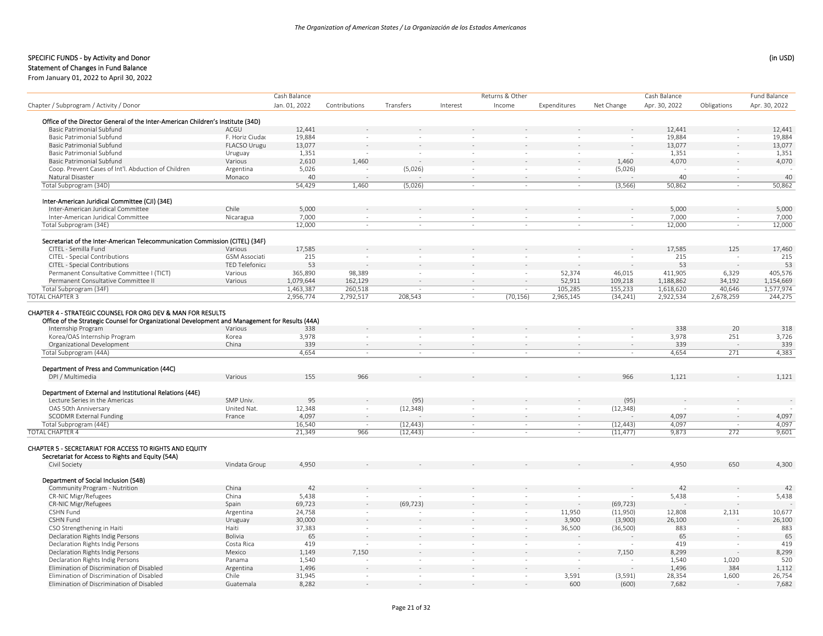# Statement of Changes in Fund Balance

|                                                                                                              |                       | Cash Balance           |               |                          |          | Returns & Other                    |                      |            | Cash Balance           |             | Fund Balance  |
|--------------------------------------------------------------------------------------------------------------|-----------------------|------------------------|---------------|--------------------------|----------|------------------------------------|----------------------|------------|------------------------|-------------|---------------|
| Chapter / Subprogram / Activity / Donor                                                                      |                       | Jan. 01, 2022          | Contributions | Transfers                | Interest | Income                             | Expenditures         | Net Change | Apr. 30, 2022          | Obligations | Apr. 30, 2022 |
|                                                                                                              |                       |                        |               |                          |          |                                    |                      |            |                        |             |               |
| Office of the Director General of the Inter-American Children's Institute (34D)                              |                       |                        |               |                          |          |                                    |                      |            |                        |             |               |
| Basic Patrimonial Subfund                                                                                    | ACGU                  | 12,441                 |               |                          |          |                                    |                      |            | 12,441                 |             | 12,441        |
| Basic Patrimonial Subfund                                                                                    | F. Horiz Ciudac       | 19,884                 | $\sim$        | $\sim$                   |          | $\sim$                             |                      | ÷,         | 19,884                 | $\sim$      | 19,884        |
| <b>Basic Patrimonial Subfund</b>                                                                             | FLACSO Urugu          | 13,077                 |               |                          |          |                                    |                      |            | 13,077                 | $\sim$      | 13,077        |
| <b>Basic Patrimonial Subfund</b>                                                                             | Uruguay               | 1,351                  | $\sim$        | $\sim$                   |          | $\sim$<br>$\overline{\phantom{a}}$ | $\sim$               | $\sim$     | 1,351                  | $\sim$      | 1,351         |
| <b>Basic Patrimonial Subfund</b>                                                                             | Various               | 2,610                  | 1,460         |                          |          |                                    |                      | 1,460      | 4.070                  |             | 4,070         |
| Coop. Prevent Cases of Int'l. Abduction of Children                                                          | Argentina             | 5,026                  |               | (5,026)                  |          | $\sim$<br>$\sim$                   |                      | (5,026)    |                        |             |               |
| Natural Disaster                                                                                             | Monaco                | 40                     |               |                          |          | $\sim$                             | $\sim$               |            | 40                     | $\sim$      | 40            |
| Total Subprogram (34D)                                                                                       |                       | 54,429                 | 1,460         | (5,026)                  |          | $\sim$                             |                      | (3, 566)   | 50,862                 | ×           | 50,862        |
|                                                                                                              |                       |                        |               |                          |          |                                    |                      |            |                        |             |               |
| Inter-American Juridical Committee (CJI) (34E)                                                               |                       |                        |               |                          |          |                                    |                      |            |                        |             |               |
| Inter-American Juridical Committee                                                                           | Chile                 | 5,000                  |               |                          |          |                                    |                      |            | 5.000                  |             | 5,000         |
| Inter-American Juridical Committee                                                                           | Nicaragua             | 7,000                  | $\sim$        | $\sim$                   |          | $\sim$<br>$\sim$                   | $\sim$               | $\sim$     | 7,000                  | $\sim$      | 7,000         |
| Total Subprogram (34E)                                                                                       |                       | 12,000                 | $\sim$        | $\sim$                   |          | $\sim$<br>$\sim$                   | $\sim$               | $\sim$     | 12,000                 | $\sim$      | 12,000        |
| Secretariat of the Inter-American Telecommunication Commission (CITEL) (34F)                                 |                       |                        |               |                          |          |                                    |                      |            |                        |             |               |
| CITEL - Semilla Fund                                                                                         | Various               | 17,585                 |               |                          |          |                                    |                      |            | 17,585                 | 125         | 17,460        |
| CITEL - Special Contributions                                                                                | <b>GSM Associati</b>  | 215                    |               | ÷.                       |          |                                    |                      |            | 215                    |             | 215           |
| CITEL - Special Contributions                                                                                | <b>TED Telefonica</b> | 53                     |               |                          |          | ÷,                                 |                      |            | 53                     |             | 53            |
| Permanent Consultative Committee I (TICT)                                                                    | Various               | 365,890                | 98,389        | $\overline{\phantom{a}}$ |          | $\sim$<br>$\sim$                   | 52,374               | 46,015     | 411,905                | 6,329       | 405,576       |
| Permanent Consultative Committee II                                                                          | Various               | 1,079,644              | 162,129       |                          |          | ÷.                                 | 52,911               | 109,218    | 1,188,862              | 34,192      | 1,154,669     |
| Total Subprogram (34F)                                                                                       |                       |                        | 260.518       | $\sim$                   |          | $\sim$                             |                      | 155.233    |                        | 40.646      | 1,577,974     |
| <b>TOTAL CHAPTER 3</b>                                                                                       |                       | 1,463,387<br>2,956,774 | 2,792,517     | 208,543                  |          | $\sim$<br>(70, 156)<br>$\sim$      | 105,285<br>2,965,145 | (34, 241)  | 1,618,620<br>2,922,534 | 2,678,259   | 244,275       |
|                                                                                                              |                       |                        |               |                          |          |                                    |                      |            |                        |             |               |
| CHAPTER 4 - STRATEGIC COUNSEL FOR ORG DEV & MAN FOR RESULTS                                                  |                       |                        |               |                          |          |                                    |                      |            |                        |             |               |
| Office of the Strategic Counsel for Organizational Development and Management for Results (44A)              |                       |                        |               |                          |          |                                    |                      |            |                        |             |               |
| Internship Program                                                                                           | Various               | 338                    |               |                          |          |                                    |                      |            | 338                    | 20          | 318           |
| Korea/OAS Internship Program                                                                                 | Korea                 | 3,978                  | $\sim$        |                          |          |                                    |                      | $\sim$     | 3,978                  | 251         | 3,726         |
| Organizational Development                                                                                   | China                 | 339                    |               |                          |          |                                    |                      |            | 339                    |             | 339           |
| Total Subprogram (44A)                                                                                       |                       | 4,654                  | $\sim$        | ×                        |          | $\sim$<br>$\sim$                   | $\sim$               | $\sim$     | 4,654                  | 271         | 4,383         |
|                                                                                                              |                       |                        |               |                          |          |                                    |                      |            |                        |             |               |
| Department of Press and Communication (44C)                                                                  |                       |                        |               |                          |          |                                    |                      |            |                        |             |               |
| DPI / Multimedia                                                                                             | Various               | 155                    | 966           |                          |          |                                    |                      | 966        | 1,121                  |             | 1,121         |
|                                                                                                              |                       |                        |               |                          |          |                                    |                      |            |                        |             |               |
| Department of External and Institutional Relations (44E)                                                     |                       |                        |               |                          |          |                                    |                      |            |                        |             |               |
| Lecture Series in the Americas                                                                               | SMP Univ.             | 95                     |               | (95)                     |          |                                    |                      | (95)       |                        |             |               |
| OAS 50th Anniversary                                                                                         | United Nat.           | 12,348                 | $\sim$        | (12, 348)                |          | $\sim$<br>$\sim$                   |                      | (12, 348)  |                        |             |               |
| <b>SCODMR External Funding</b>                                                                               | France                | 4,097                  | $\sim$        |                          |          | $\sim$<br>$\sim$                   | $\sim$               |            | 4,097                  | $\sim$      | 4,097         |
| Total Subprogram (44E)                                                                                       |                       | 16,540                 |               | (12, 443)                |          | $\sim$<br>$\overline{\phantom{a}}$ | $\sim$               | (12, 443)  | 4,097                  |             | 4,097         |
| <b>TOTAL CHAPTER 4</b>                                                                                       |                       | 21,349                 | 966           | (12, 443)                |          | $\sim$<br>$\sim$                   | $\sim$               | (11, 477)  | 9,873                  | 272         | 9,601         |
| CHAPTER 5 - SECRETARIAT FOR ACCESS TO RIGHTS AND EQUITY<br>Secretariat for Access to Rights and Equity (54A) |                       |                        |               |                          |          |                                    |                      |            |                        |             |               |
| Civil Society                                                                                                | Vindata Group         | 4,950                  |               |                          |          |                                    |                      |            | 4,950                  | 650         | 4,300         |
|                                                                                                              |                       |                        |               |                          |          |                                    |                      |            |                        |             |               |
| Department of Social Inclusion (54B)                                                                         |                       |                        |               |                          |          |                                    |                      |            |                        |             |               |
| Community Program - Nutrition                                                                                | China                 | 42                     |               |                          |          |                                    |                      |            | 42                     |             | 42            |
| CR-NIC Migr/Refugees                                                                                         | China                 | 5,438                  |               |                          |          |                                    |                      |            | 5,438                  |             | 5,438         |
| CR-NIC Migr/Refugees                                                                                         | Spain                 | 69,723                 |               | (69, 723)                |          |                                    |                      | (69, 723)  |                        |             |               |
| <b>CSHN Fund</b>                                                                                             | Argentina             | 24,758                 | $\sim$        |                          |          | $\sim$                             | 11,950               | (11,950)   | 12,808                 | 2,131       | 10,677        |
| <b>CSHN Fund</b>                                                                                             | Uruguay               | 30,000                 |               |                          |          |                                    | 3,900                | (3,900)    | 26,100                 |             | 26,100        |
| CSO Strengthening in Haiti                                                                                   | Haiti                 | 37,383                 | $\sim$        | $\sim$                   |          | $\sim$                             | 36,500               | (36, 500)  | 883                    | $\sim$      | 883           |
| Declaration Rights Indig Persons                                                                             | Bolivia               | 65                     |               |                          |          | ÷,                                 |                      |            | 65                     |             | 65            |
| Declaration Rights Indig Persons                                                                             | Costa Rica            | 419                    |               | $\overline{\phantom{a}}$ |          | $\sim$<br>$\sim$                   | $\sim$               |            | 419                    | $\sim$      | 419           |
| Declaration Rights Indig Persons                                                                             | Mexico                | 1,149                  | 7,150         |                          |          |                                    |                      | 7,150      | 8,299                  |             | 8,299         |
| Declaration Rights Indig Persons                                                                             | Panama                | 1,540                  |               | $\sim$                   |          | $\sim$<br>$\sim$                   |                      | ÷,         | 1,540                  | 1,020       | 520           |
| Elimination of Discrimination of Disabled                                                                    | Argentina             | 1,496                  |               |                          |          |                                    |                      |            | 1,496                  | 384         | 1,112         |
| Elimination of Discrimination of Disabled                                                                    | Chile                 | 31,945                 |               | $\sim$                   |          | $\overline{\phantom{a}}$           | 3,591                | (3, 591)   | 28,354                 | 1,600       | 26,754        |
| Elimination of Discrimination of Disabled                                                                    | Guatemala             | 8,282                  |               |                          |          |                                    | 600                  | (600)      | 7,682                  |             | 7,682         |
|                                                                                                              |                       |                        |               |                          |          |                                    |                      |            |                        |             |               |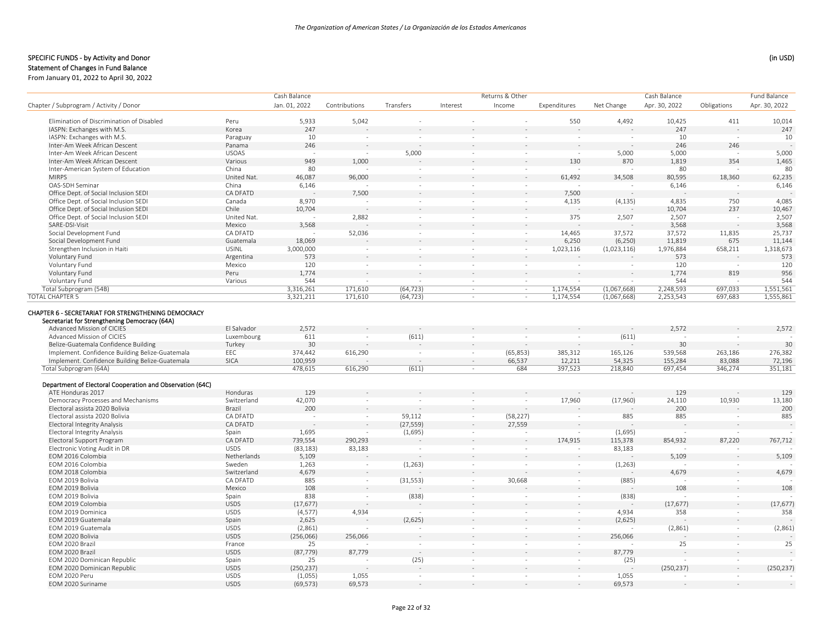|                                                                                                      |              | Cash Balance  |                          |                          |                          | Returns & Other          |                          |             | Cash Balance  |             | Fund Balance  |
|------------------------------------------------------------------------------------------------------|--------------|---------------|--------------------------|--------------------------|--------------------------|--------------------------|--------------------------|-------------|---------------|-------------|---------------|
| Chapter / Subprogram / Activity / Donor                                                              |              | Jan. 01, 2022 | Contributions            | Transfers                | Interest                 | Income                   | Expenditures             | Net Change  | Apr. 30, 2022 | Obligations | Apr. 30, 2022 |
|                                                                                                      |              |               |                          |                          |                          |                          |                          |             |               |             |               |
| Elimination of Discrimination of Disabled                                                            | Peru         | 5,933         | 5,042                    |                          |                          |                          | 550                      | 4,492       | 10,425        | 411         | 10,014        |
| IASPN: Exchanges with M.S.                                                                           | Korea        | 247           |                          |                          |                          |                          |                          |             | 247           |             | 247           |
| IASPN: Exchanges with M.S.                                                                           | Paraguay     | 10            | $\overline{\phantom{a}}$ | $\sim$                   | $\sim$                   | $\overline{\phantom{a}}$ |                          | $\sim$      | 10            | $\sim$      | 10            |
| Inter-Am Week African Descent                                                                        | Panama       | 246           |                          |                          |                          |                          |                          |             | 246           | 246         |               |
| Inter-Am Week African Descent                                                                        | <b>USOAS</b> |               | $\sim$                   | 5,000                    | $\sim$                   | $\sim$                   |                          | 5,000       | 5,000         | $\sim$      | 5,000         |
| Inter-Am Week African Descent                                                                        | Various      | 949           | 1,000                    |                          |                          |                          | 130                      | 870         | 1,819         | 354         | 1,465         |
| Inter-American System of Education                                                                   | China        | 80            |                          |                          | $\sim$                   |                          |                          |             | 80            |             | 80            |
| <b>MIRPS</b>                                                                                         | United Nat.  | 46,087        | 96,000                   |                          |                          |                          | 61,492                   | 34,508      | 80,595        | 18,360      | 62,235        |
| OAS-SDH Seminar                                                                                      | China        | 6,146         |                          | in 1919.                 | $\sim$                   | $\sim$                   |                          |             | 6,146         |             | 6,146         |
| Office Dept. of Social Inclusion SEDI                                                                | CA DFATD     |               | 7,500                    |                          |                          |                          | 7,500                    |             |               |             |               |
| Office Dept. of Social Inclusion SEDI                                                                | Canada       | 8,970         |                          | $\sim$                   | $\sim$                   | $\sim$                   | 4,135                    | (4, 135)    | 4,835         | 750         | 4,085         |
| Office Dept. of Social Inclusion SEDI                                                                | Chile        | 10,704        |                          |                          |                          |                          |                          |             | 10,704        | 237         | 10,467        |
| Office Dept. of Social Inclusion SEDI                                                                | United Nat.  |               | 2,882                    | $\sim$                   | $\sim$                   | ×                        | 375                      | 2,507       | 2,507         |             | 2,507         |
| SARE-DSI-Visit                                                                                       | Mexico       | 3,568         |                          |                          | $\sim$                   | ÷,                       |                          |             | 3,568         |             | 3,568         |
| Social Development Fund                                                                              | CA DFATD     |               | 52,036                   | $\sim$                   | $\overline{\phantom{a}}$ | $\sim$                   | 14,465                   | 37,572      | 37,572        | 11,835      | 25,737        |
| Social Development Fund                                                                              | Guatemala    | 18,069        |                          |                          |                          |                          | 6,250                    | (6, 250)    | 11,819        | 675         | 11,144        |
| Strengthen Inclusion in Haiti                                                                        | <b>USINL</b> | 3,000,000     | $\sim$                   | $\sim$                   | $\sim$                   | $\sim$                   | 1,023,116                | (1,023,116) | 1,976,884     | 658,211     | 1,318,673     |
| Voluntary Fund                                                                                       | Argentina    | 573           |                          |                          |                          |                          |                          |             | 573           |             | 573           |
| Voluntary Fund                                                                                       | Mexico       | 120           | $\sim$                   |                          | $\sim$                   | ÷,                       |                          |             | 120           |             | 120           |
| Voluntary Fund                                                                                       | Peru         | 1,774         | $\sim$                   |                          |                          |                          |                          |             | 1,774         | 819         | 956           |
| Voluntary Fund                                                                                       | Various      | 544           | $\sim$                   |                          | $\sim$                   | $\sim$                   |                          | $\sim$      | 544           |             | 544           |
| Total Subprogram (54B)                                                                               |              | 3,316,261     | 171,610                  | (64, 723)                | $\sim$                   | $\sim$                   | 1,174,554                | (1,067,668) | 2,248,593     | 697,033     | 1,551,561     |
| <b>TOTAL CHAPTER 5</b>                                                                               |              | 3,321,211     | 171,610                  | (64, 723)                | $\sim$                   | $\sim$                   | 1,174,554                | (1,067,668) | 2,253,543     | 697,683     | 1,555,861     |
|                                                                                                      |              |               |                          |                          |                          |                          |                          |             |               |             |               |
| CHAPTER 6 - SECRETARIAT FOR STRENGTHENING DEMOCRACY<br>Secretariat for Strengthening Democracy (64A) |              |               |                          |                          |                          |                          |                          |             |               |             |               |
| Advanced Mission of CICIES                                                                           | El Salvador  | 2,572         |                          |                          |                          |                          |                          |             | 2,572         |             | 2,572         |
| Advanced Mission of CICIES                                                                           | Luxembourg   | 611           | $\sim$                   | (611)                    | ×                        | $\sim$                   |                          | (611)       |               |             |               |
| Belize-Guatemala Confidence Building                                                                 | Turkey       | 30            |                          |                          | $\sim$                   |                          |                          |             | 30            |             | 30            |
| Implement. Confidence Building Belize-Guatemala                                                      | EEC          | 374,442       | 616,290                  | $\sim$                   | $\sim$                   | (65, 853)                | 385,312                  | 165,126     | 539,568       | 263,186     | 276,382       |
| Implement. Confidence Building Belize-Guatemala                                                      | <b>SICA</b>  | 100,959       |                          |                          | $\sim$                   | 66,537                   | 12,211                   | 54,325      | 155,284       | 83,088      | 72,196        |
| Total Subprogram (64A)                                                                               |              | 478,615       | 616,290                  | (611)                    | ×                        | 684                      | 397,523                  | 218,840     | 697,454       | 346,274     | 351,181       |
|                                                                                                      |              |               |                          |                          |                          |                          |                          |             |               |             |               |
| Department of Electoral Cooperation and Observation (64C)                                            |              |               |                          |                          |                          |                          |                          |             |               |             |               |
| ATE Honduras 2017                                                                                    | Honduras     | 129           |                          |                          |                          |                          |                          |             | 129           |             | 129           |
| Democracy Processes and Mechanisms                                                                   | Switzerland  | 42,070        | ÷.                       | $\sim$                   | $\sim$                   | $\sim$                   | 17,960                   | (17,960)    | 24,110        | 10,930      | 13,180        |
| Electoral assista 2020 Bolivia                                                                       | Brazil       | 200           |                          |                          |                          |                          |                          |             | 200           |             | 200           |
| Electoral assista 2020 Bolivia                                                                       | CA DFATD     |               | $\sim$                   | 59,112                   | $\sim$                   | (58, 227)                |                          | 885         | 885           | $\sim$      | 885           |
| <b>Electoral Integrity Analysis</b>                                                                  | CA DFATD     |               | ÷                        | (27, 559)                | $\sim$                   | 27,559                   |                          |             |               |             |               |
| <b>Electoral Integrity Analysis</b>                                                                  | Spain        | 1,695         | $\overline{\phantom{a}}$ | (1,695)                  | $\sim$                   | $\overline{\phantom{a}}$ | $\overline{\phantom{a}}$ | (1,695)     |               | $\sim$      |               |
| Electoral Support Program                                                                            | CA DFATD     | 739,554       | 290,293                  |                          |                          |                          | 174,915                  | 115,378     | 854,932       | 87,220      | 767,712       |
| Electronic Voting Audit in DR                                                                        | <b>USDS</b>  | (83, 183)     | 83,183                   |                          | $\overline{\phantom{a}}$ |                          |                          | 83,183      |               |             |               |
| EOM 2016 Colombia                                                                                    | Netherlands  | 5,109         |                          |                          |                          |                          |                          |             | 5,109         |             | 5,109         |
| EOM 2016 Colombia                                                                                    | Sweden       | 1,263         | $\sim$                   | (1, 263)                 | $\sim$                   |                          | $\sim$                   | (1, 263)    |               |             |               |
| EOM 2018 Colombia                                                                                    | Switzerland  | 4,679         |                          |                          |                          |                          |                          |             | 4,679         |             | 4,679         |
| EOM 2019 Bolivia                                                                                     | CA DFATD     | 885           | $\sim$                   | (31, 553)                | $\sim$                   | 30,668                   |                          | (885)       |               | $\sim$      |               |
| EOM 2019 Bolivia                                                                                     | Mexico       | 108           |                          |                          |                          |                          |                          |             | 108           |             | 108           |
| EOM 2019 Bolivia                                                                                     | Spain        | 838           | $\sim$                   | (838)                    | $\overline{\phantom{a}}$ | $\overline{\phantom{a}}$ | $\sim$                   | (838)       |               | $\sim$      |               |
| EOM 2019 Colombia                                                                                    | <b>USDS</b>  | (17, 677)     |                          |                          |                          |                          |                          |             | (17, 677)     | $\sim$      | (17, 677)     |
| EOM 2019 Dominica                                                                                    | <b>USDS</b>  | (4, 577)      | 4,934                    |                          | $\sim$                   | $\overline{\phantom{a}}$ | $\sim$                   | 4,934       | 358           | $\sim$      | 358           |
| EOM 2019 Guatemala                                                                                   | Spain        | 2,625         |                          | (2,625)                  |                          |                          |                          | (2,625)     |               |             |               |
| EOM 2019 Guatemala                                                                                   | <b>USDS</b>  | (2,861)       |                          |                          |                          | ÷                        |                          |             | (2,861)       | $\sim$      | (2,861)       |
| EOM 2020 Bolivia                                                                                     | <b>USDS</b>  | (256,066)     | 256,066                  |                          |                          |                          |                          | 256,066     |               |             |               |
| EOM 2020 Brazil                                                                                      | France       | 25            |                          | $\sim$                   | $\sim$                   | $\sim$                   | $\sim$                   |             | 25            | $\sim$      | 25            |
| EOM 2020 Brazil                                                                                      | <b>USDS</b>  | (87, 779)     | 87,779                   | $\overline{\phantom{a}}$ |                          |                          |                          | 87,779      |               |             |               |
| EOM 2020 Dominican Republic                                                                          | Spain        | 25            |                          | (25)                     | ×                        | $\sim$                   |                          | (25)        |               | $\sim$      |               |
| EOM 2020 Dominican Republic                                                                          | <b>USDS</b>  | (250, 237)    |                          |                          |                          |                          |                          |             | (250, 237)    |             | (250, 237)    |
| EOM 2020 Peru                                                                                        | <b>USDS</b>  | (1,055)       | 1,055                    | $\sim$                   | $\sim$                   | $\sim$                   | $\sim$                   | 1,055       |               |             |               |
| EOM 2020 Suriname                                                                                    | <b>USDS</b>  | (69, 573)     | 69,573                   | $\sim$                   | $\sim$                   |                          |                          | 69,573      |               |             |               |
|                                                                                                      |              |               |                          |                          |                          |                          |                          |             |               |             |               |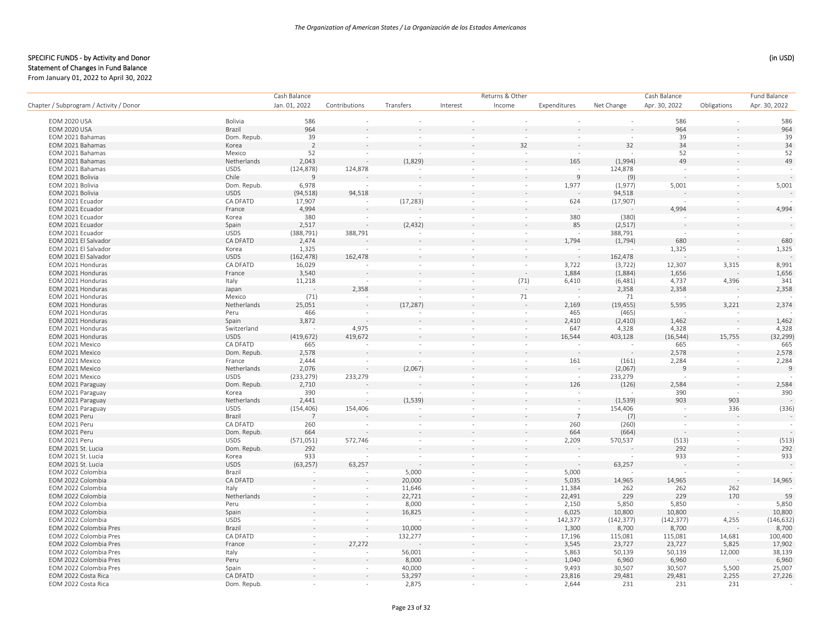|                                         |             | Cash Balance             |                          |                          |                          |                          | Returns & Other |            |               | Cash Balance |                |  |
|-----------------------------------------|-------------|--------------------------|--------------------------|--------------------------|--------------------------|--------------------------|-----------------|------------|---------------|--------------|----------------|--|
| Chapter / Subprogram / Activity / Donor |             | Jan. 01, 2022            | Contributions            | Transfers                | Interest                 | Income                   | Expenditures    | Net Change | Apr. 30, 2022 | Obligations  | Apr. 30, 2022  |  |
| <b>EOM 2020 USA</b>                     | Bolivia     | 586                      |                          |                          |                          |                          |                 | $\sim$     | 586           |              | 586            |  |
| <b>EOM 2020 USA</b>                     | Brazil      | 964                      |                          |                          |                          |                          |                 |            | 964           |              | 964            |  |
| EOM 2021 Bahamas                        | Dom. Repub. | 39                       | $\sim$                   | $\sim$                   | $\overline{\phantom{a}}$ | $\sim$                   | $\sim$          | $\sim$     | 39            | $\sim$       | 39             |  |
| EOM 2021 Bahamas                        | Korea       | $\overline{2}$           |                          |                          |                          | 32                       |                 | 32         | 34            |              | 34             |  |
| EOM 2021 Bahamas                        | Mexico      | 52                       | $\sim$                   | $\sim$                   | $\overline{\phantom{a}}$ |                          |                 |            | 52            | $\sim$       | 52             |  |
| EOM 2021 Bahamas                        | Netherlands | 2,043                    |                          | (1,829)                  |                          |                          | 165             | (1,994)    | 49            |              | 49             |  |
| EOM 2021 Bahamas                        | <b>USDS</b> | (124, 878)               | 124,878                  |                          | $\sim$                   | $\sim$                   |                 | 124,878    |               | $\sim$       |                |  |
| EOM 2021 Bolivia                        | Chile       | 9                        |                          |                          |                          |                          | 9               | (9)        |               |              |                |  |
| EOM 2021 Bolivia                        | Dom. Repub. | 6,978                    |                          | $\sim$                   | $\sim$                   | $\sim$                   | 1,977           | (1,977)    | 5,001         | $\sim$       | 5,001          |  |
| EOM 2021 Bolivia                        | <b>USDS</b> | (94, 518)                | 94,518                   |                          |                          |                          |                 | 94,518     |               |              |                |  |
| EOM 2021 Ecuador                        | CA DFATD    | 17,907                   | $\sim$                   | (17, 283)                | $\sim$                   | $\sim$                   | 624             | (17,907)   | $\sim$        | $\sim$       |                |  |
| EOM 2021 Ecuador                        | France      | 4,994                    |                          |                          |                          |                          |                 |            | 4,994         |              | 4,994          |  |
| EOM 2021 Ecuador                        | Korea       | 380                      | $\sim$                   |                          | $\sim$                   | $\sim$                   | 380             | (380)      | $\sim$        | $\sim$       |                |  |
| EOM 2021 Ecuador                        | Spain       | 2,517                    |                          | (2, 432)                 |                          |                          | 85              | (2,517)    |               |              | $\sim$         |  |
| EOM 2021 Ecuador                        | <b>USDS</b> | (388, 791)               | 388,791                  |                          | $\sim$                   | $\sim$                   | $\sim$          | 388,791    | $\sim$        | $\sim$       |                |  |
| EOM 2021 El Salvador                    | CA DFATD    | 2,474                    |                          |                          |                          |                          | 1,794           |            | 680           |              | 680            |  |
| EOM 2021 El Salvador                    | Korea       | 1,325                    |                          | $\overline{\phantom{a}}$ | $\sim$                   |                          |                 | (1,794)    | 1,325         | $\sim$       | 1,325          |  |
|                                         | <b>USDS</b> |                          |                          |                          |                          |                          |                 |            |               |              |                |  |
| EOM 2021 El Salvador                    | CA DFATD    | (162, 478)               | 162,478                  |                          |                          |                          |                 | 162,478    |               |              |                |  |
| EOM 2021 Honduras                       |             | 16,029                   | $\sim$                   | $\sim$                   | $\sim$                   | $\sim$                   | 3,722           | (3, 722)   | 12,307        | 3,315        | 8,991          |  |
| EOM 2021 Honduras                       | France      | 3,540                    |                          |                          |                          |                          | 1,884           | (1,884)    | 1,656         |              | 1,656          |  |
| EOM 2021 Honduras                       | Italy       | 11,218                   |                          | $\bar{\phantom{a}}$      | $\sim$                   | (71)                     | 6,410           | (6,481)    | 4,737         | 4,396        | 341            |  |
| EOM 2021 Honduras                       | Japan       |                          | 2,358                    |                          |                          |                          |                 | 2,358      | 2,358         |              | 2,358          |  |
| EOM 2021 Honduras                       | Mexico      | (71)                     |                          |                          | $\sim$                   | 71                       |                 | 71         |               |              |                |  |
| EOM 2021 Honduras                       | Netherlands | 25,051                   |                          | (17, 287)                |                          |                          | 2,169           | (19, 455)  | 5,595         | 3,221        | 2,374          |  |
| EOM 2021 Honduras                       | Peru        | 466                      |                          |                          | $\overline{\phantom{a}}$ | $\sim$                   | 465             | (465)      |               |              |                |  |
| EOM 2021 Honduras                       | Spain       | 3,872                    |                          |                          |                          |                          | 2,410           | (2,410)    | 1,462         |              | 1,462          |  |
| EOM 2021 Honduras                       | Switzerland |                          | 4,975                    | $\sim$                   | $\overline{\phantom{a}}$ | $\sim$                   | 647             | 4,328      | 4,328         | $\sim$       | 4,328          |  |
| EOM 2021 Honduras                       | <b>USDS</b> | (419, 672)               | 419,672                  |                          |                          | $\sim$                   | 16,544          | 403,128    | (16, 544)     | 15,755       | (32, 299)      |  |
| EOM 2021 Mexico                         | CA DFATD    | 665                      | $\sim$                   | $\sim$                   | $\sim$                   | $\sim$                   | $\sim$          | $\sim$     | 665           | $\sim$       | 665            |  |
| EOM 2021 Mexico                         | Dom. Repub. | 2,578                    |                          |                          |                          |                          |                 |            | 2,578         |              | 2,578          |  |
| EOM 2021 Mexico                         | France      | 2,444                    | $\sim$                   | $\sim$                   | $\sim$                   | $\sim$                   | 161             | (161)      | 2,284         | $\sim$       | 2,284          |  |
| EOM 2021 Mexico                         | Netherlands | 2,076                    | $\overline{\phantom{a}}$ | (2,067)                  |                          |                          |                 | (2,067)    | 9             |              | $\overline{9}$ |  |
| EOM 2021 Mexico                         | <b>USDS</b> | (233, 279)               | 233,279                  |                          |                          | $\sim$                   | $\sim$          | 233,279    |               |              |                |  |
| EOM 2021 Paraguay                       | Dom. Repub. | 2,710                    |                          |                          |                          |                          | 126             | (126)      | 2,584         |              | 2,584          |  |
| EOM 2021 Paraguay                       | Korea       | 390                      | $\sim$                   | $\sim$                   | $\sim$                   | $\sim$                   | $\sim$          |            | 390           | $\sim$       | 390            |  |
| EOM 2021 Paraguay                       | Netherlands | 2,441                    |                          | (1, 539)                 |                          |                          | $\sim$          | (1, 539)   | 903           | 903          |                |  |
| EOM 2021 Paraguay                       | <b>USDS</b> | (154, 406)               | 154,406                  | $\overline{\phantom{a}}$ | $\overline{\phantom{a}}$ | $\sim$                   | $\sim$          | 154,406    | $\sim$        | 336          | (336)          |  |
| EOM 2021 Peru                           | Brazil      | $\overline{7}$           |                          |                          |                          |                          | $\overline{7}$  | (7)        |               |              |                |  |
| EOM 2021 Peru                           | CA DFATD    | 260                      |                          | $\sim$                   | $\overline{\phantom{a}}$ | $\sim$                   | 260             | (260)      | $\sim$        | $\sim$       |                |  |
| EOM 2021 Peru                           | Dom. Repub. | 664                      |                          |                          |                          |                          | 664             | (664)      |               |              |                |  |
| EOM 2021 Peru                           | <b>USDS</b> | (571,051)                | 572,746                  | $\sim$                   | $\sim$                   | $\sim$                   | 2,209           | 570,537    | (513)         | $\sim$       | (513)          |  |
| EOM 2021 St. Lucia                      | Dom. Repub. | 292                      |                          |                          |                          |                          |                 |            | 292           |              | 292            |  |
| EOM 2021 St. Lucia                      | Korea       | 933                      |                          | $\sim$                   | $\sim$                   | $\sim$                   | $\sim$          |            | 933           | $\sim$       | 933            |  |
| EOM 2021 St. Lucia                      | <b>USDS</b> | (63, 257)                | 63,257                   |                          | ÷,                       |                          |                 | 63,257     |               |              |                |  |
| EOM 2022 Colombia                       | Brazil      | $\sim$                   | $\sim$                   | 5,000                    | $\sim$                   | $\sim$                   | 5,000           |            |               | $\sim$       |                |  |
| EOM 2022 Colombia                       | CA DFATD    |                          |                          | 20,000                   |                          |                          | 5,035           | 14,965     | 14,965        |              | 14,965         |  |
| EOM 2022 Colombia                       | Italy       |                          | $\sim$                   | 11,646                   | $\overline{\phantom{a}}$ | $\overline{\phantom{a}}$ | 11,384          | 262        | 262           | 262          |                |  |
| EOM 2022 Colombia                       | Netherlands |                          |                          | 22,721                   |                          | $\sim$                   | 22,491          | 229        | 229           | 170          | 59             |  |
| EOM 2022 Colombia                       | Peru        | $\sim$                   | $\sim$                   | 8,000                    | $\sim$                   | $\sim$                   | 2,150           | 5,850      | 5,850         |              | 5,850          |  |
| EOM 2022 Colombia                       | Spain       |                          |                          | 16,825                   |                          |                          | 6,025           | 10,800     | 10,800        |              | 10,800         |  |
| EOM 2022 Colombia                       | <b>USDS</b> | $\sim$                   | $\sim$                   |                          | $\sim$                   | $\sim$                   | 142,377         | (142, 377) | (142, 377)    | 4,255        | (146, 632)     |  |
| EOM 2022 Colombia Pres                  | Brazil      |                          |                          | 10,000                   |                          |                          | 1,300           | 8,700      | 8,700         |              | 8,700          |  |
| EOM 2022 Colombia Pres                  | CA DFATD    | $\sim$                   | $\sim$                   | 132,277                  | $\sim$                   | $\sim$                   | 17,196          | 115,081    | 115,081       | 14,681       | 100,400        |  |
| EOM 2022 Colombia Pres                  | France      |                          | 27,272                   |                          |                          |                          | 3,545           | 23,727     | 23,727        | 5,825        | 17,902         |  |
| EOM 2022 Colombia Pres                  | Italy       | $\overline{\phantom{a}}$ |                          | 56,001                   | $\sim$                   | $\sim$                   | 5,863           | 50,139     | 50,139        | 12,000       | 38,139         |  |
| EOM 2022 Colombia Pres                  | Peru        |                          |                          | 8,000                    |                          |                          | 1,040           | 6,960      | 6,960         |              | 6,960          |  |
| EOM 2022 Colombia Pres                  | Spain       | $\sim$                   | $\sim$                   | 40,000                   | $\sim$                   | $\sim$                   | 9,493           | 30,507     | 30,507        | 5,500        | 25,007         |  |
| EOM 2022 Costa Rica                     | CA DFATD    |                          |                          | 53,297                   |                          |                          | 23,816          | 29,481     | 29,481        | 2,255        | 27,226         |  |
| EOM 2022 Costa Rica                     | Dom. Repub. |                          |                          | 2,875                    |                          |                          | 2,644           | 231        | 231           | 231          |                |  |
|                                         |             |                          |                          |                          |                          |                          |                 |            |               |              |                |  |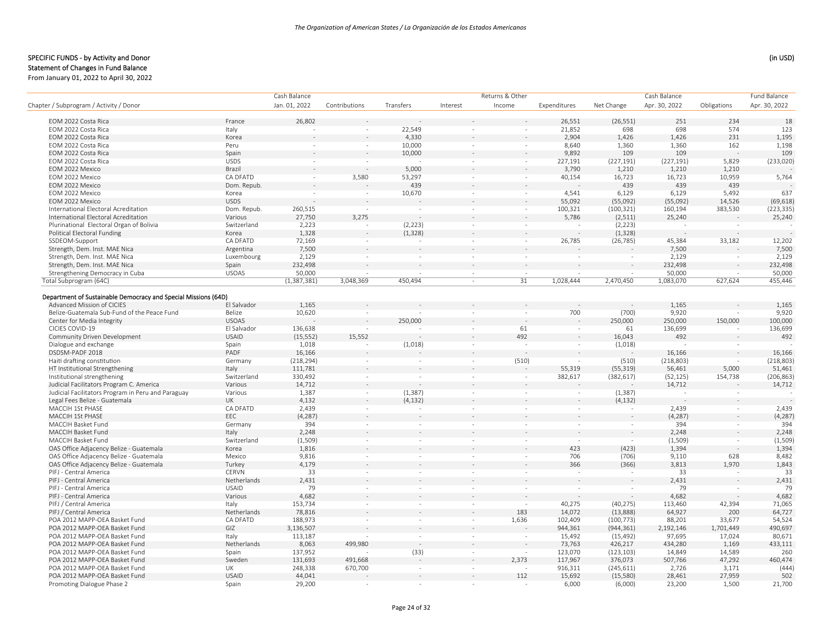#### SPECIFIC FUNDS - by Activity and Donor (in USD) (in USD)

Statement of Changes in Fund Balance

From January 01, 2022 to April 30, 2022

|                                                                |              | Cash Balance  |                          |           |                          | Returns & Other          |                          |                          | Cash Balance  |             | <b>Fund Balance</b> |
|----------------------------------------------------------------|--------------|---------------|--------------------------|-----------|--------------------------|--------------------------|--------------------------|--------------------------|---------------|-------------|---------------------|
| Chapter / Subprogram / Activity / Donor                        |              | Jan. 01, 2022 | Contributions            | Transfers | Interest                 | Income                   | Expenditures             | Net Change               | Apr. 30, 2022 | Obligations | Apr. 30, 2022       |
| EOM 2022 Costa Rica                                            | France       | 26,802        |                          |           |                          |                          | 26,551                   | (26, 551)                | 251           | 234         | 18                  |
| EOM 2022 Costa Rica                                            | Italy        |               | $\sim$                   | 22,549    |                          |                          | 21,852                   | 698                      | 698           | 574         | 123                 |
| EOM 2022 Costa Rica                                            | Korea        |               |                          | 4,330     |                          |                          | 2,904                    | 1,426                    | 1,426         | 231         | 1,195               |
| EOM 2022 Costa Rica                                            | Peru         |               | $\sim$                   | 10,000    | $\sim$                   | $\sim$                   | 8,640                    | 1,360                    | 1,360         | 162         | 1,198               |
| EOM 2022 Costa Rica                                            | Spain        |               |                          | 10,000    |                          |                          | 9,892                    | 109                      | 109           |             | 109                 |
| EOM 2022 Costa Rica                                            | <b>USDS</b>  |               | $\sim$                   |           | $\sim$                   | $\sim$                   | 227,191                  | (227, 191)               | (227, 191)    | 5,829       | (233, 020)          |
| EOM 2022 Mexico                                                | Brazil       |               |                          | 5,000     |                          |                          | 3,790                    | 1,210                    | 1,210         | 1,210       |                     |
| EOM 2022 Mexico                                                | CA DFATD     | $\sim$        | 3,580                    | 53,297    | $\sim$                   | $\sim$                   | 40,154                   | 16,723                   | 16,723        | 10,959      | 5,764               |
| EOM 2022 Mexico                                                | Dom. Repub.  |               |                          | 439       |                          |                          |                          | 439                      | 439           | 439         |                     |
| EOM 2022 Mexico                                                | Korea        |               | $\sim$                   | 10,670    | $\sim$                   | $\sim$                   | 4,541                    | 6,129                    | 6,129         |             | 637                 |
|                                                                | <b>USDS</b>  |               |                          |           |                          |                          | 55,092                   |                          |               | 5,492       |                     |
| EOM 2022 Mexico                                                |              |               | $\sim$                   |           | $\sim$                   | $\sim$                   |                          | (55,092)                 | (55,092)      | 14,526      | (69, 618)           |
| International Electoral Acreditation                           | Dom. Repub.  | 260,515       |                          |           |                          |                          | 100,321                  | (100, 321)               | 160,194       | 383,530     | (223, 335)          |
| International Electoral Acreditation                           | Various      | 27,750        | 3,275                    |           |                          |                          | 5.786                    | (2,511)                  | 25,240        |             | 25,240              |
| Plurinational Electoral Organ of Bolivia                       | Switzerland  | 2,223         | $\sim$                   | (2, 223)  | $\sim$                   | $\sim$                   |                          | (2, 223)                 |               |             |                     |
| Political Electoral Funding                                    | Korea        | 1,328         | $\bar{z}$                | (1, 328)  |                          |                          |                          | (1, 328)                 |               |             |                     |
| SSDEOM-Support                                                 | CA DFATD     | 72,169        | $\sim$                   |           | $\sim$                   | $\sim$                   | 26,785                   | (26, 785)                | 45,384        | 33,182      | 12,202              |
| Strength, Dem. Inst. MAE Nica                                  | Argentina    | 7,500         |                          |           |                          |                          |                          |                          | 7,500         |             | 7,500               |
| Strength, Dem. Inst. MAE Nica                                  | Luxembourg   | 2,129         | $\sim$                   | $\sim$    | $\sim$                   | $\sim$                   |                          | $\bar{\phantom{a}}$      | 2,129         |             | 2,129               |
| Strength, Dem. Inst. MAE Nica                                  | Spain        | 232,498       |                          |           |                          |                          |                          |                          | 232,498       |             | 232,498             |
| Strengthening Democracy in Cuba                                | <b>USOAS</b> | 50,000        | $\sim$                   | $\sim$    | $\sim$                   | $\sim$                   | $\sim$                   | $\sim$                   | 50,000        | $\sim$      | 50,000              |
| Total Subprogram (64C)                                         |              | (1,387,381)   | 3,048,369                | 450,494   | ÷,                       | 31                       | 1,028,444                | 2,470,450                | 1,083,070     | 627,624     | 455,446             |
| Department of Sustainable Democracy and Special Missions (64D) |              |               |                          |           |                          |                          |                          |                          |               |             |                     |
| Advanced Mission of CICIES                                     | El Salvador  | 1,165         |                          |           |                          |                          |                          |                          | 1,165         |             | 1,165               |
| Belize-Guatemala Sub-Fund of the Peace Fund                    | Belize       | 10,620        | $\sim$                   |           |                          | $\sim$                   | 700                      | (700)                    | 9,920         |             | 9,920               |
| Center for Media Integrity                                     | <b>USOAS</b> |               |                          | 250,000   |                          |                          |                          | 250,000                  | 250,000       | 150,000     | 100,000             |
| CICIES COVID-19                                                | El Salvador  | 136,638       |                          |           | $\overline{\phantom{a}}$ | 61                       | $\sim$                   | 61                       | 136,699       |             | 136,699             |
| Community Driven Development                                   | <b>USAID</b> | (15, 552)     | 15,552                   |           | $\overline{a}$           | 492                      |                          | 16,043                   | 492           |             | 492                 |
| Dialogue and exchange                                          | Spain        | 1,018         | $\sim$                   | (1,018)   | $\sim$                   | $\sim$                   | $\sim$                   | (1,018)                  |               | $\sim$      |                     |
| DSDSM-PADF 2018                                                | PADF         | 16,166        |                          |           |                          |                          |                          |                          | 16,166        |             | 16,166              |
| Haiti drafting constitution                                    | Germany      | (218, 294)    | $\overline{\phantom{a}}$ |           | $\overline{\phantom{a}}$ | (510)                    |                          | (510)                    | (218, 803)    | $\sim$      | (218, 803)          |
| HT Institutional Strengthening                                 | Italy        | 111,781       |                          |           |                          |                          | 55,319                   | (55, 319)                | 56,461        | 5,000       | 51,461              |
| Institutional strengthening                                    | Switzerland  | 330,492       | $\sim$                   | ÷.        | $\sim$                   | $\sim$                   | 382,617                  | (382, 617)               | (52, 125)     | 154,738     | (206, 863)          |
| Judicial Facilitators Program C. America                       | Various      | 14,712        |                          |           |                          |                          |                          |                          | 14,712        |             | 14,712              |
| Judicial Facilitators Program in Peru and Paraguay             | Various      | 1,387         | $\sim$                   | (1, 387)  | $\sim$                   | $\sim$                   | $\sim$                   | (1, 387)                 |               |             |                     |
| Legal Fees Belize - Guatemala                                  | <b>UK</b>    | 4,132         |                          | (4, 132)  |                          |                          |                          |                          |               |             |                     |
| MACCIH 1St PHASE                                               | CA DFATD     |               | $\sim$                   |           | $\sim$                   |                          |                          | (4, 132)                 |               |             |                     |
|                                                                | EEC          | 2,439         | $\sim$                   |           |                          | $\sim$                   | $\overline{\phantom{a}}$ | $\sim$                   | 2,439         | $\sim$      | 2,439               |
| MACCIH 1St PHASE                                               |              | (4, 287)      |                          |           |                          |                          |                          |                          | (4, 287)      |             | (4, 287)            |
| MACCIH Basket Fund                                             | Germany      | 394           | $\sim$                   | ×         | $\sim$                   |                          | $\sim$                   | $\sim$                   | 394           | $\sim$      | 394                 |
| MACCIH Basket Fund                                             | Italy        | 2,248         |                          |           |                          |                          |                          |                          | 2,248         |             | 2,248               |
| MACCIH Basket Fund                                             | Switzerland  | (1,509)       | $\sim$                   | $\sim$    | $\sim$                   | $\sim$                   | $\sim$                   | $\sim$                   | (1,509)       | $\sim$      | (1,509)             |
| OAS Office Adjacency Belize - Guatemala                        | Korea        | 1,816         |                          |           |                          |                          | 423                      | (423)                    | 1,394         |             | 1,394               |
| OAS Office Adjacency Belize - Guatemala                        | Mexico       | 9,816         | $\sim$                   | $\sim$    | $\sim$                   | $\sim$                   | 706                      | (706)                    | 9,110         | 628         | 8,482               |
| OAS Office Adjacency Belize - Guatemala                        | Turkey       | 4,179         | $\sim$                   | $\sim$    |                          |                          | 366                      | (366)                    | 3,813         | 1,970       | 1,843               |
| PIFJ - Central America                                         | CERVN        | 33            | $\sim$                   | $\sim$    | $\sim$                   | $\sim$                   | $\sim$                   | $\sim$                   | 33            |             | 33                  |
| PIFJ - Central America                                         | Netherlands  | 2,431         |                          |           |                          |                          |                          |                          | 2,431         |             | 2,431               |
| PIFJ - Central America                                         | <b>USAID</b> | 79            | $\sim$                   | $\sim$    | $\sim$                   |                          | $\sim$                   | $\overline{\phantom{a}}$ | 79            | $\sim$      | 79                  |
| PIFJ - Central America                                         | Various      | 4,682         |                          |           |                          |                          |                          |                          | 4,682         |             | 4,682               |
| PIFJ / Central America                                         | Italy        | 153,734       | $\sim$                   | $\sim$    | ×                        | $\sim$                   | 40,275                   | (40, 275)                | 113,460       | 42,394      | 71,065              |
| PIFJ / Central America                                         | Netherlands  | 78,816        |                          |           |                          | 183                      | 14,072                   | (13,888)                 | 64,927        | 200         | 64,727              |
| POA 2012 MAPP-OEA Basket Fund                                  | CA DFATD     | 188,973       | $\sim$                   | ×         | $\sim$                   | 1,636                    | 102,409                  | (100, 773)               | 88,201        | 33,677      | 54,524              |
| POA 2012 MAPP-OEA Basket Fund                                  | GIZ          | 3,136,507     |                          |           |                          |                          | 944,361                  | (944, 361)               | 2,192,146     | 1,701,449   | 490,697             |
| POA 2012 MAPP-OEA Basket Fund                                  | Italy        | 113,187       |                          | $\sim$    | ÷.                       | $\sim$                   | 15,492                   | (15, 492)                | 97,695        | 17,024      | 80,671              |
| POA 2012 MAPP-OEA Basket Fund                                  | Netherlands  | 8,063         | 499,980                  |           |                          |                          | 73,763                   | 426,217                  | 434,280       | 1,169       | 433,111             |
| POA 2012 MAPP-OEA Basket Fund                                  | Spain        | 137,952       |                          | (33)      | $\sim$                   | $\overline{\phantom{a}}$ | 123,070                  | (123, 103)               | 14,849        | 14,589      | 260                 |
| POA 2012 MAPP-OEA Basket Fund                                  | Sweden       | 131,693       | 491,668                  |           |                          | 2,373                    | 117,967                  | 376,073                  | 507,766       | 47,292      | 460,474             |
| POA 2012 MAPP-OEA Basket Fund                                  | UK           | 248,338       | 670,700                  | $\sim$    |                          |                          | 916,311                  | (245, 611)               | 2,726         | 3,171       | (444)               |
| POA 2012 MAPP-OEA Basket Fund                                  | <b>USAID</b> | 44,041        |                          |           |                          | 112                      | 15,692                   | (15, 580)                | 28,461        | 27,959      | 502                 |
| Promoting Dialogue Phase 2                                     | Spain        | 29,200        | a.                       | $\sim$    | $\sim$                   |                          | 6,000                    | (6,000)                  | 23,200        | 1,500       | 21,700              |
|                                                                |              |               |                          |           |                          |                          |                          |                          |               |             |                     |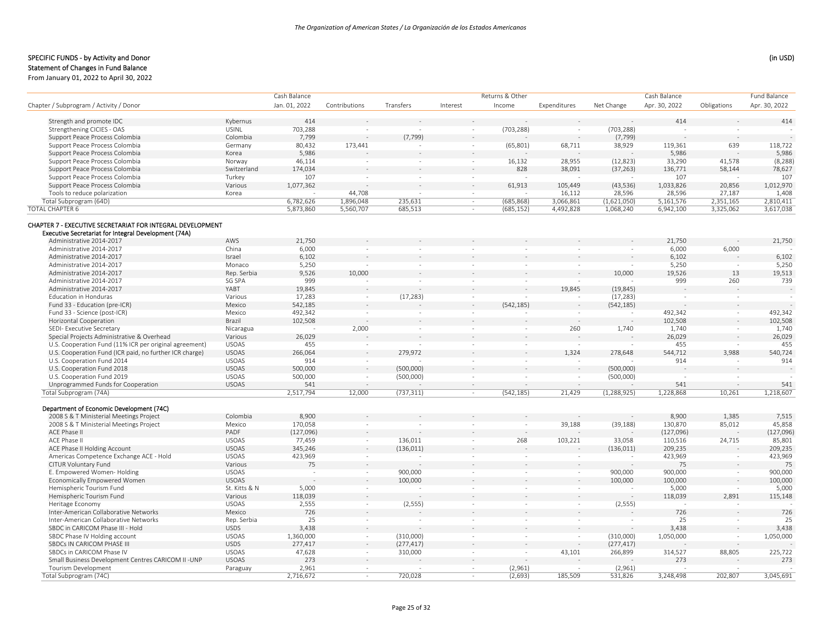# Statement of Changes in Fund Balance

|                                                                                                                    |               | Cash Balance  |                          |                          |                          | Returns & Other          |                          |               | Cash Balance  |                          | <b>Fund Balance</b> |
|--------------------------------------------------------------------------------------------------------------------|---------------|---------------|--------------------------|--------------------------|--------------------------|--------------------------|--------------------------|---------------|---------------|--------------------------|---------------------|
| Chapter / Subprogram / Activity / Donor                                                                            |               | Jan. 01, 2022 | Contributions            | Transfers                | Interest                 | Income                   | Expenditures             | Net Change    | Apr. 30, 2022 | Obligations              | Apr. 30, 2022       |
| Strength and promote IDC                                                                                           | Kybernus      | 414           |                          |                          |                          |                          |                          |               | 414           |                          | 414                 |
| Strengthening CICIES - OAS                                                                                         | <b>USINL</b>  | 703,288       |                          |                          |                          | (703, 288)               |                          | (703, 288)    |               |                          |                     |
| Support Peace Process Colombia                                                                                     | Colombia      | 7,799         |                          | (7, 799)                 |                          |                          |                          | (7, 799)      |               |                          |                     |
| Support Peace Process Colombia                                                                                     | Germany       | 80,432        | 173,441                  |                          |                          | (65, 801)                | 68,711                   | 38,929        | 119,361       | 639                      | 118,722             |
| Support Peace Process Colombia                                                                                     | Korea         | 5,986         |                          |                          |                          |                          |                          |               | 5,986         |                          | 5,986               |
| Support Peace Process Colombia                                                                                     | Norway        | 46,114        |                          | $\sim$                   | $\sim$                   | 16,132                   | 28,955                   | (12, 823)     | 33,290        | 41,578                   | (8, 288)            |
| Support Peace Process Colombia                                                                                     | Switzerland   | 174,034       |                          |                          |                          | 828                      | 38,091                   | (37, 263)     | 136,771       | 58,144                   | 78,627              |
| Support Peace Process Colombia                                                                                     | Turkey        | 107           | $\sim$                   | ÷,                       | $\sim$                   |                          |                          |               | 107           |                          | 107                 |
| Support Peace Process Colombia                                                                                     | Various       | 1,077,362     |                          |                          |                          | 61,913                   | 105,449                  | (43, 536)     | 1,033,826     | 20,856                   | 1,012,970           |
| Tools to reduce polarization                                                                                       | Korea         |               | 44,708                   | $\sim$                   | $\overline{\phantom{a}}$ |                          | 16,112                   | 28,596        | 28,596        | 27,187                   | 1,408               |
| Total Subprogram (64D)                                                                                             |               | 6,782,626     | 1,896,048                | 235,631                  | $\sim$                   | (685, 868)               | 3,066,861                | (1,621,050)   | 5,161,576     | 2,351,165                | 2,810,411           |
| <b>TOTAL CHAPTER 6</b>                                                                                             |               | 5,873,860     | 5,560,707                | 685,513                  | $\sim$                   | (685, 152)               | 4,492,828                | 1,068,240     | 6,942,100     | 3,325,062                | 3,617,038           |
| CHAPTER 7 - EXECUTIVE SECRETARIAT FOR INTEGRAL DEVELOPMENT<br>Executive Secretariat for Integral Development (74A) |               |               |                          |                          |                          |                          |                          |               |               |                          |                     |
| Administrative 2014-2017                                                                                           | AWS           | 21,750        |                          |                          |                          |                          |                          |               | 21,750        |                          | 21,750              |
| Administrative 2014-2017                                                                                           | China         | 6,000         | $\overline{\phantom{a}}$ | $\overline{\phantom{a}}$ |                          | $\sim$                   |                          |               | 6,000         | 6,000                    |                     |
| Administrative 2014-2017                                                                                           | Israel        | 6,102         |                          |                          |                          |                          |                          |               | 6,102         |                          | 6,102               |
| Administrative 2014-2017                                                                                           | Monaco        | 5,250         | $\overline{\phantom{a}}$ | $\overline{\phantom{a}}$ |                          | $\overline{\phantom{a}}$ | $\overline{\phantom{a}}$ |               | 5,250         |                          | 5,250               |
| Administrative 2014-2017                                                                                           | Rep. Serbia   | 9,526         | 10,000                   |                          |                          |                          |                          | 10,000        | 19,526        | 13                       | 19,513              |
| Administrative 2014-2017                                                                                           | SG SPA        | 999           |                          | ÷,                       |                          |                          |                          |               | 999           | 260                      | 739                 |
| Administrative 2014-2017                                                                                           | YABT          | 19,845        |                          |                          |                          |                          | 19,845                   | (19, 845)     |               |                          |                     |
| <b>Education in Honduras</b>                                                                                       | Various       | 17,283        | $\sim$                   | (17, 283)                |                          |                          |                          | (17, 283)     |               | $\sim$                   |                     |
| Fund 33 - Education (pre-ICR)                                                                                      | Mexico        | 542,185       |                          |                          |                          | (542, 185)               |                          | (542, 185)    |               |                          |                     |
| Fund 33 - Science (post-ICR)                                                                                       | Mexico        | 492,342       | ÷.                       |                          |                          |                          |                          |               | 492,342       | $\sim$                   | 492,342             |
| Horizontal Cooperation                                                                                             | Brazil        | 102,508       |                          |                          |                          |                          |                          |               | 102,508       |                          | 102,508             |
| SEDI- Executive Secretary                                                                                          | Nicaragua     |               | 2,000                    | $\sim$                   | $\sim$                   | $\bar{ }$                | 260                      | 1,740         | 1,740         | ÷.                       | 1,740               |
| Special Projects Administrative & Overhead                                                                         | Various       | 26,029        |                          |                          |                          |                          |                          |               | 26,029        |                          | 26,029              |
| U.S. Cooperation Fund (11% ICR per original agreement)                                                             | <b>USOAS</b>  | 455           | $\sim$                   | $\sim$                   |                          | $\sim$                   |                          |               | 455           | $\sim$                   | 455                 |
| U.S. Cooperation Fund (ICR paid, no further ICR charge)                                                            | <b>USOAS</b>  | 266,064       | $\sim$                   | 279,972                  |                          | $\sim$                   | 1,324                    | 278,648       | 544,712       | 3,988                    | 540,724             |
| U.S. Cooperation Fund 2014                                                                                         | <b>USOAS</b>  | 914           | $\sim$                   |                          | $\sim$                   | $\sim$                   | $\sim$                   |               | 914           | $\sim$                   | 914                 |
| U.S. Cooperation Fund 2018                                                                                         | <b>USOAS</b>  | 500,000       |                          | (500,000)                |                          |                          |                          | (500,000)     |               |                          |                     |
| U.S. Cooperation Fund 2019                                                                                         | <b>USOAS</b>  | 500,000       | $\sim$                   | (500,000)                |                          | $\sim$                   | $\overline{\phantom{a}}$ | (500,000)     |               | $\overline{\phantom{a}}$ |                     |
| Unprogrammed Funds for Cooperation                                                                                 | <b>USOAS</b>  | 541           |                          |                          |                          |                          |                          |               | 541           |                          | 541                 |
| Total Subprogram (74A)                                                                                             |               | 2,517,794     | 12,000                   | (737, 311)               | $\sim$                   | (542, 185)               | 21,429                   | (1, 288, 925) | 1,228,868     | 10.261                   | 1,218,607           |
| Department of Economic Development (74C)                                                                           |               |               |                          |                          |                          |                          |                          |               |               |                          |                     |
| 2008 S & T Ministerial Meetings Project                                                                            | Colombia      | 8,900         |                          |                          |                          |                          |                          |               | 8,900         | 1,385                    | 7,515               |
| 2008 S & T Ministerial Meetings Project                                                                            | Mexico        | 170,058       | $\sim$                   |                          |                          | ÷,                       | 39,188                   | (39, 188)     | 130,870       | 85,012                   | 45,858              |
| ACE Phase II                                                                                                       | PADF          | (127,096)     |                          |                          |                          |                          |                          |               | (127,096)     |                          | (127, 096)          |
| ACE Phase II                                                                                                       | <b>USOAS</b>  | 77,459        | $\sim$                   | 136,011                  | $\sim$                   | 268                      | 103,221                  | 33,058        | 110,516       | 24,715                   | 85,801              |
| ACE Phase II Holding Account                                                                                       | <b>USOAS</b>  | 345,246       | $\sim$                   | (136, 011)               |                          |                          |                          | (136, 011)    | 209,235       |                          | 209,235             |
| Americas Competence Exchange ACE - Hold                                                                            | <b>USOAS</b>  | 423,969       | $\sim$                   |                          |                          | $\sim$                   | ٠                        |               | 423,969       | $\sim$                   | 423,969             |
| CITUR Voluntary Fund                                                                                               | Various       | 75            |                          |                          |                          |                          |                          |               | 75            |                          | 75                  |
| E. Empowered Women-Holding                                                                                         | <b>USOAS</b>  |               | $\sim$                   | 900,000                  | $\sim$                   | $\sim$                   | $\sim$                   | 900,000       | 900,000       | $\sim$                   | 900,000             |
| Economically Empowered Women                                                                                       | <b>USOAS</b>  |               |                          | 100,000                  |                          |                          |                          | 100,000       | 100,000       |                          | 100,000             |
| Hemispheric Tourism Fund                                                                                           | St. Kitts & N | 5,000         | $\sim$                   |                          |                          |                          |                          |               | 5,000         | $\sim$                   | 5,000               |
| Hemispheric Tourism Fund                                                                                           | Various       | 118,039       |                          |                          |                          |                          |                          |               | 118,039       | 2,891                    | 115,148             |
| Heritage Economy                                                                                                   | <b>USOAS</b>  | 2,555         | $\sim$                   | (2, 555)                 |                          | $\sim$                   | ×                        | (2, 555)      |               |                          |                     |
| Inter-American Collaborative Networks                                                                              | Mexico        | 726           |                          |                          |                          |                          |                          |               | 726           |                          | 726                 |
| Inter-American Collaborative Networks                                                                              | Rep. Serbia   | 25            | $\sim$                   | $\sim$                   | $\sim$                   | ÷                        | ÷                        | $\sim$        | 25            | ÷.                       | 25                  |
| SBDC in CARICOM Phase III - Hold                                                                                   | <b>USDS</b>   | 3,438         |                          |                          |                          |                          |                          |               | 3,438         |                          | 3,438               |
| SBDC Phase IV Holding account                                                                                      | <b>USOAS</b>  | 1,360,000     | $\sim$                   | (310,000)                | $\sim$                   | $\sim$                   |                          | (310,000)     | 1,050,000     | $\sim$                   | 1,050,000           |
| SBDCs IN CARICOM PHASE III                                                                                         | <b>USDS</b>   | 277,417       | $\sim$                   | (277, 417)               |                          |                          |                          | (277, 417)    |               |                          |                     |
| SBDCs in CARICOM Phase IV                                                                                          | <b>USOAS</b>  | 47,628        | $\sim$                   | 310,000                  | $\sim$                   | $\sim$                   | 43,101                   | 266,899       | 314,527       | 88,805                   | 225,722             |
| Small Business Development Centres CARICOM II - UNP                                                                | <b>USOAS</b>  | 273           |                          |                          |                          |                          |                          |               | 273           |                          | 273                 |
| Tourism Development                                                                                                | Paraguay      | 2,961         | $\sim$<br>$\sim$         | 720,028                  | $\sim$<br>$\sim$         | (2,961)                  | 185,509                  | (2,961)       |               | $\sim$<br>202,807        |                     |
| Total Subprogram (74C)                                                                                             |               | 2,716,672     |                          |                          |                          | (2, 693)                 |                          | 531,826       | 3,248,498     |                          | 3,045,691           |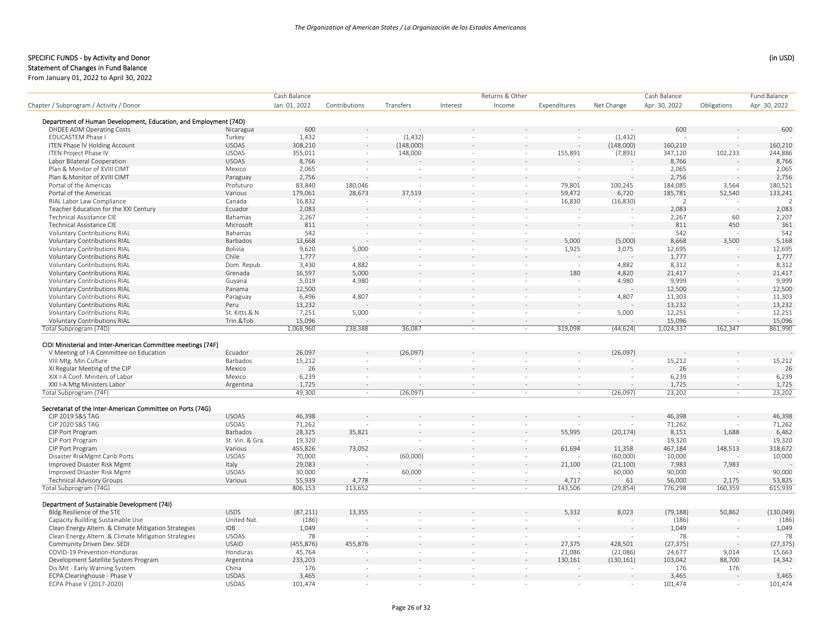## Statement of Changes in Fund Balance

|                                                                  |                 | Cash Balance  |               |                          |                          | Returns & Other          |              |            | Cash Balance   |             | Fund Balance   |
|------------------------------------------------------------------|-----------------|---------------|---------------|--------------------------|--------------------------|--------------------------|--------------|------------|----------------|-------------|----------------|
| Chapter / Subprogram / Activity / Donor                          |                 | Jan. 01, 2022 | Contributions | Transfers                | Interest                 | Income                   | Expenditures | Net Change | Apr. 30, 2022  | Obligations | Apr. 30, 2022  |
|                                                                  |                 |               |               |                          |                          |                          |              |            |                |             |                |
| Department of Human Development, Education, and Employment (74D) |                 | 600           |               |                          |                          |                          |              |            |                |             |                |
| <b>DHDEE ADM Operating Costs</b>                                 | Nicaragua       |               |               |                          |                          |                          |              |            | 600            |             | 600            |
| <b>EDUCASTEM Phase I</b>                                         | Turkey          | 1,432         | $\sim$        | (1, 432)                 | $\sim$                   | $\sim$                   | $\sim$       | (1,432)    |                |             |                |
| ITEN Phase IV Holding Account                                    | <b>USOAS</b>    | 308,210       | $\sim$        | (148,000)                |                          |                          |              | (148,000)  | 160,210        |             | 160,210        |
| <b>ITEN Project Phase IV</b>                                     | <b>USOAS</b>    | 355,011       | $\sim$        | 148,000                  | $\overline{\phantom{a}}$ | $\overline{\phantom{a}}$ | 155,891      | (7,891)    | 347,120        | 102,233     | 244,886        |
| Labor Bilateral Cooperation                                      | <b>USOAS</b>    | 8,766         |               |                          |                          |                          |              |            | 8,766          |             | 8,766          |
| Plan & Monitor of XVIII CIMT                                     | Mexico          | 2,065         | $\sim$        | $\sim$                   | $\sim$                   |                          | $\sim$       | $\sim$     | 2,065          | $\sim$      | 2,065          |
| Plan & Monitor of XVIII CIMT                                     | Paraguay        | 2,756         |               |                          |                          |                          |              |            | 2,756          |             | 2,756          |
| Portal of the Americas                                           | Profuturo       | 83,840        | 180,046       |                          | $\sim$                   | $\sim$                   | 79,801       | 100,245    | 184,085        | 3,564       | 180,521        |
| Portal of the Americas                                           | Various         | 179,061       | 28,673        | 37,519                   |                          |                          | 59,472       | 6,720      | 185,781        | 52,540      | 133,241        |
| RIAL Labor Law Compliance                                        | Canada          | 16,832        |               |                          | $\sim$                   | $\sim$                   | 16,830       | (16, 830)  | $\overline{2}$ |             | $\overline{z}$ |
| Teacher Education for the XXI Century                            | Ecuador         | 2,083         |               |                          |                          |                          |              |            | 2,083          |             | 2,083          |
| <b>Technical Assistance CIE</b>                                  | Bahamas         | 2,267         | $\sim$        | $\sim$                   | ÷.                       | $\sim$                   | $\sim$       | ÷          | 2,267          | 60          | 2,207          |
| <b>Technical Assistance CIE</b>                                  | Microsoft       | 811           |               |                          |                          |                          |              |            | 811            | 450         | 361            |
| <b>Voluntary Contributions RIAL</b>                              | Bahamas         | 542           | $\sim$        | $\overline{\phantom{a}}$ | $\sim$                   | $\sim$                   | $\sim$       |            | 542            | $\sim$      | 542            |
| Voluntary Contributions RIAL                                     | Barbados        | 13,668        |               |                          |                          |                          | 5,000        | (5,000)    | 8,668          | 3,500       | 5,168          |
| Voluntary Contributions RIAL                                     | Bolivia         | 9,620         | 5,000         | $\sim$                   | $\sim$                   | $\sim$                   | 1,925        | 3,075      | 12,695         |             | 12,695         |
| <b>Voluntary Contributions RIAL</b>                              | Chile           | 1,777         |               |                          |                          |                          |              |            | 1,777          |             | 1,777          |
| <b>Voluntary Contributions RIAL</b>                              | Dom. Repub.     | 3,430         | 4,882         | $\bar{\phantom{a}}$      |                          |                          |              | 4,882      | 8,312          |             | 8,312          |
| <b>Voluntary Contributions RIAL</b>                              | Grenada         | 16,597        | 5,000         |                          |                          |                          | 180          | 4,820      | 21,417         |             | 21,417         |
| Voluntary Contributions RIAL                                     | Guyana          | 5,019         | 4,980         | $\sim$                   | ٠                        |                          |              | 4,980      | 9,999          |             | 9,999          |
| Voluntary Contributions RIAL                                     | Panama          | 12,500        |               |                          |                          |                          |              |            | 12,500         |             | 12,500         |
| Voluntary Contributions RIAL                                     | Paraguay        | 6,496         | 4,807         | ÷.                       |                          |                          | $\sim$       | 4,807      | 11,303         |             | 11,303         |
| <b>Voluntary Contributions RIAL</b>                              | Peru            | 13,232        |               |                          |                          |                          |              |            | 13,232         |             | 13,232         |
| <b>Voluntary Contributions RIAL</b>                              | St. Kitts & N   | 7,251         | 5,000         | ÷                        | ÷                        |                          |              | 5,000      | 12,251         |             | 12,251         |
| <b>Voluntary Contributions RIAL</b>                              | Trin.&Tob       | 15,096        |               |                          |                          |                          |              |            | 15,096         |             | 15,096         |
| Total Subprogram (74D)                                           |                 | 1,068,960     | 238,388       | 36,087                   | $\sim$                   | $\sim$                   | 319,098      | (44, 624)  | 1,024,337      | 162,347     | 861,990        |
| CIDI Ministerial and Inter-American Committee meetings (74F)     |                 |               |               |                          |                          |                          |              |            |                |             |                |
| V Meeting of I-A Committee on Education                          | Ecuador         | 26,097        |               | (26,097)                 |                          |                          |              | (26,097)   |                |             |                |
| VIII Mtg. Min Culture                                            | Barbados        | 15,212        |               |                          |                          |                          |              |            | 15,212         |             | 15,212         |
| XI Regular Meeting of the CIP                                    | Mexico          | 26            |               |                          |                          |                          |              |            | 26             |             | 26             |
| XIX I-A Conf. Miniters of Labor                                  | Mexico          | 6,239         | $\sim$        |                          | ÷.                       |                          |              | ÷.         | 6,239          | $\sim$      | 6,239          |
| XXI I-A Mtg Ministers Labor                                      | Argentina       | 1,725         | $\sim$        |                          |                          |                          |              |            | 1,725          | $\sim$      | 1,725          |
| Total Subprogram (74F)                                           |                 | 49,300        | $\sim$        | (26,097)                 | $\sim$                   | $\sim$                   | $\sim$       | (26,097)   | 23,202         | $\sim$      | 23,202         |
|                                                                  |                 |               |               |                          |                          |                          |              |            |                |             |                |
| Secretariat of the Inter-American Committee on Ports (74G)       |                 |               |               |                          |                          |                          |              |            |                |             |                |
| CIP 2019 S&S TAG                                                 | <b>USOAS</b>    | 46,398        |               |                          |                          |                          |              |            | 46,398         |             | 46,398         |
| CIP 2020 S&S TAG                                                 | <b>USOAS</b>    | 71,262        |               | $\overline{\phantom{a}}$ | $\sim$                   | $\overline{\phantom{a}}$ |              |            | 71,262         |             | 71,262         |
| CIP Port Program                                                 | Barbados        | 28,325        | 35,821        |                          |                          |                          | 55,995       | (20, 174)  | 8,151          | 1,688       | 6,462          |
| CIP Port Program                                                 | St. Vin. & Gra. | 19,320        |               | $\overline{\phantom{a}}$ | $\sim$                   | $\sim$                   |              |            | 19,320         |             | 19,320         |
| CIP Port Program                                                 | Various         | 455,826       | 73.052        |                          |                          |                          | 61.694       | 11,358     | 467,184        | 148.513     | 318,672        |
| Disaster RiskMgmt Carib Ports                                    | <b>USOAS</b>    | 70,000        |               | (60,000)                 | $\sim$                   |                          |              | (60,000)   | 10,000         |             | 10,000         |
| Improved Disaster Risk Mgmt                                      | Italy           | 29,083        |               |                          |                          |                          | 21,100       | (21, 100)  | 7,983          | 7,983       |                |
| Improved Disaster Risk Mgmt                                      | <b>USOAS</b>    | 30,000        | $\sim$        | 60,000                   | $\sim$                   |                          |              | 60,000     | 90,000         |             | 90,000         |
| <b>Technical Advisory Groups</b>                                 | Various         | 55,939        | 4,778         |                          |                          |                          | 4,717        | 61         | 56,000         | 2,175       | 53,825         |
| Total Subprogram (74G)                                           |                 | 806.153       | 113.652       | ÷.                       | $\sim$                   | $\sim$                   | 143.506      | (29, 854)  | 776.298        | 160,359     | 615,939        |
|                                                                  |                 |               |               |                          |                          |                          |              |            |                |             |                |
| Department of Sustainable Development (74I)                      |                 |               |               |                          |                          |                          |              |            |                |             |                |
| Bldg.Resilience of the STE                                       | <b>USDS</b>     | (87, 211)     | 13,355        |                          |                          |                          | 5,332        | 8,023      | (79, 188)      | 50,862      | (130, 049)     |
| Capacity Building Sustainable Use                                | United Nat.     | (186)         |               | $\sim$                   | $\sim$                   |                          |              |            | (186)          |             | (186)          |
| Clean Energy Altern. & Climate Mitigation Strategies             | <b>IDB</b>      | 1,049         |               |                          |                          |                          |              |            | 1,049          |             | 1,049          |
| Clean Energy Altern. & Climate Mitigation Strategies             | <b>USOAS</b>    | 78            |               | $\sim$                   | $\sim$                   | $\sim$                   | $\sim$       |            | 78             | $\sim$      | 78             |
| Community Driven Dev. SEDI                                       | <b>USAID</b>    | (455, 876)    | 455,876       |                          |                          |                          | 27,375       | 428,501    | (27, 375)      |             | (27, 375)      |
| COVID-19 Prevention-Honduras                                     | Honduras        | 45,764        |               | ÷,                       | ÷,                       |                          | 21,086       | (21,086)   | 24,677         | 9,014       | 15,663         |
| Development Satellite System Program                             | Argentina       | 233,203       |               |                          |                          |                          | 130,161      | (130, 161) | 103,042        | 88,700      | 14,342         |
| Dis Mit - Early Warning System                                   | China           | 176           | $\sim$        | $\sim$                   | ÷.                       |                          |              |            | 176            | 176         |                |
| ECPA Clearinghouse - Phase V                                     | <b>USOAS</b>    | 3,465         |               |                          |                          |                          |              |            | 3,465          |             | 3,465          |
| ECPA Phase V (2017-2020)                                         | <b>USOAS</b>    | 101,474       | $\sim$        |                          | $\sim$                   |                          |              |            | 101,474        |             | 101,474        |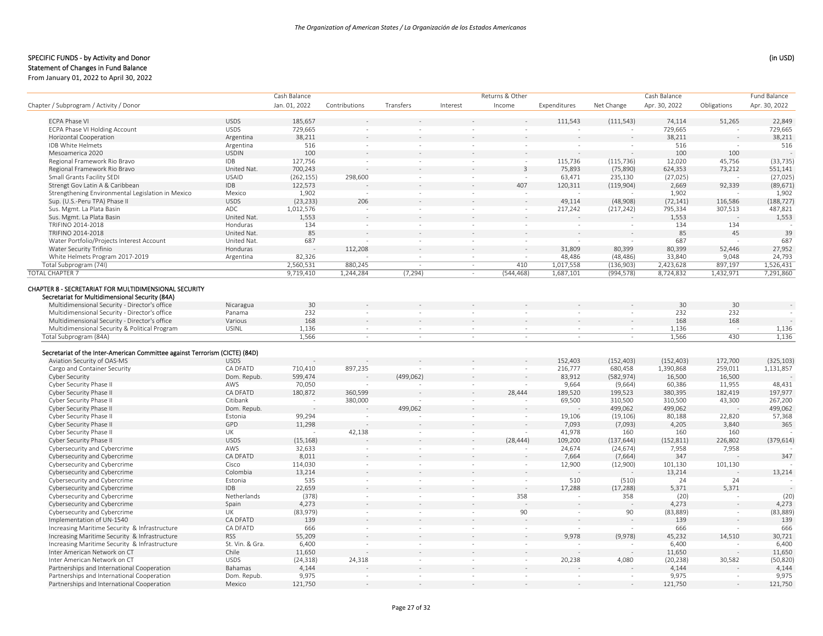## Statement of Changes in Fund Balance

|                                                                                                            |                 | Cash Balance   |               |                          |                          | Returns & Other |              |            | Cash Balance   |             | <b>Fund Balance</b> |
|------------------------------------------------------------------------------------------------------------|-----------------|----------------|---------------|--------------------------|--------------------------|-----------------|--------------|------------|----------------|-------------|---------------------|
| Chapter / Subprogram / Activity / Donor                                                                    |                 | Jan. 01, 2022  | Contributions | Transfers                | Interest                 | Income          | Expenditures | Net Change | Apr. 30, 2022  | Obligations | Apr. 30, 2022       |
| <b>ECPA Phase VI</b>                                                                                       | <b>USDS</b>     | 185,657        |               |                          |                          |                 | 111,543      | (111, 543) | 74,114         | 51,265      | 22,849              |
| ECPA Phase VI Holding Account                                                                              | <b>USDS</b>     | 729,665        |               |                          |                          |                 |              |            | 729,665        |             | 729,665             |
| Horizontal Cooperation                                                                                     | Argentina       | 38,211         |               |                          |                          |                 |              |            | 38,211         |             | 38,211              |
| IDB White Helmets                                                                                          | Argentina       | 516            | $\sim$        | ä,                       | ÷                        |                 |              |            | 516            |             | 516                 |
| Mesoamerica 2020                                                                                           | <b>USDIN</b>    | 100            |               |                          |                          |                 |              |            | 100            | 100         |                     |
| Regional Framework Rio Bravo                                                                               | <b>IDB</b>      | 127,756        | $\sim$        | $\sim$                   | $\sim$                   | $\sim$          | 115,736      | (115, 736) | 12,020         | 45,756      | (33, 735)           |
| Regional Framework Rio Bravo                                                                               | United Nat.     | 700,243        |               |                          |                          | 3               | 75,893       | (75, 890)  | 624,353        | 73,212      | 551,141             |
| Small Grants Facility SEDI                                                                                 | <b>USAID</b>    | (262, 155)     | 298,600       | $\sim$                   | $\overline{\phantom{a}}$ | $\sim$          | 63,471       | 235,130    | (27, 025)      |             | (27, 025)           |
| Strengt Gov Latin A & Caribbean                                                                            | <b>IDB</b>      | 122,573        |               |                          |                          | 407             | 120,311      | (119,904)  | 2,669          | 92,339      | (89, 671)           |
| Strengthening Environmental Legislation in Mexico                                                          | Mexico          | 1,902          |               | $\bar{\phantom{a}}$      | ÷,                       |                 |              |            | 1,902          |             | 1,902               |
| Sup. (U.S.-Peru TPA) Phase II                                                                              | <b>USDS</b>     | (23, 233)      | 206           |                          |                          |                 | 49,114       | (48,908)   | (72, 141)      | 116,586     | (188, 727)          |
| Sus. Mgmt. La Plata Basin                                                                                  | ADC             | 1,012,576      |               | $\sim$                   | $\sim$                   | $\sim$          | 217,242      | (217, 242) | 795,334        | 307,513     | 487,821             |
| Sus. Mgmt. La Plata Basin                                                                                  | United Nat.     | 1,553          |               |                          |                          |                 |              |            | 1,553          |             | 1,553               |
| TRIFINO 2014-2018                                                                                          | Honduras        | 134            | $\sim$        | ×                        | ÷                        | $\sim$          |              |            | 134            | 134         |                     |
| TRIFINO 2014-2018                                                                                          | United Nat.     | 85             |               |                          |                          |                 |              |            | 85             | 45          | 39                  |
| Water Portfolio/Projects Interest Account                                                                  | United Nat.     | 687            |               | $\sim$                   | $\sim$                   | $\sim$          |              |            | 687            |             | 687                 |
| Water Security Trifinio                                                                                    | Honduras        |                | 112,208       | $\overline{\phantom{a}}$ |                          |                 | 31,809       | 80,399     | 80,399         | 52,446      | 27,952              |
| White Helmets Program 2017-2019                                                                            | Argentina       | 82,326         |               | $\sim$                   | $\sim$                   |                 | 48,486       | (48, 486)  | 33,840         | 9,048       | 24,793              |
| Total Subprogram (74I)                                                                                     |                 | 2,560,531      | 880,245       | ÷.                       | ×                        | 410             | 1,017,558    | (136,903)  | 2,423,628      | 897,197     | 1,526,431           |
| <b>TOTAL CHAPTER 7</b>                                                                                     |                 | 9,719,410      | 1,244,284     | (7, 294)                 | $\sim$                   | (544, 468)      | 1,687,101    | (994, 578) | 8,724,832      | 1,432,971   | 7,291,860           |
|                                                                                                            |                 |                |               |                          |                          |                 |              |            |                |             |                     |
| CHAPTER 8 - SECRETARIAT FOR MULTIDIMENSIONAL SECURITY                                                      |                 |                |               |                          |                          |                 |              |            |                |             |                     |
| Secretariat for Multidimensional Security (84A)                                                            |                 |                |               |                          |                          |                 |              |            |                |             |                     |
| Multidimensional Security - Director's office                                                              | Nicaragua       | 30             |               |                          |                          |                 |              |            | 30             | 30          |                     |
| Multidimensional Security - Director's office                                                              | Panama          | 232            |               |                          | $\sim$                   |                 |              |            | 232            | 232         |                     |
| Multidimensional Security - Director's office                                                              | Various         | 168            |               |                          |                          |                 |              |            | 168            | 168         |                     |
| Multidimensional Security & Political Program<br>Total Subprogram (84A)                                    | <b>USINL</b>    | 1,136<br>1,566 | $\sim$        | $\sim$                   | $\sim$                   | $\sim$          | $\sim$       | $\sim$     | 1,136<br>1,566 | 430         | 1,136<br>1.136      |
| Secretariat of the Inter-American Committee against Terrorism (CICTE) (84D)<br>Aviation Security of OAS-MS | <b>USDS</b>     |                |               |                          |                          |                 | 152,403      | (152, 403) | (152, 403)     | 172,700     | (325, 103)          |
| Cargo and Container Security                                                                               | CA DFATD        | 710,410        | 897,235       |                          |                          |                 | 216,777      | 680,458    | 1,390,868      | 259,011     | 1,131,857           |
| Cyber Security                                                                                             | Dom. Repub.     | 599,474        |               | (499, 062)               |                          |                 | 83,912       | (582, 974) | 16,500         | 16,500      |                     |
| Cyber Security Phase II                                                                                    | AWS             | 70,050         |               |                          | ×                        |                 | 9,664        | (9,664)    | 60,386         | 11,955      | 48,431              |
| Cyber Security Phase II                                                                                    | CA DFATD        | 180,872        | 360,599       |                          |                          | 28,444          | 189,520      | 199,523    | 380,395        | 182,419     | 197,977             |
| Cyber Security Phase II                                                                                    | Citibank        |                | 380,000       |                          |                          |                 | 69,500       | 310,500    | 310,500        | 43,300      | 267,200             |
| Cyber Security Phase II                                                                                    | Dom. Repub.     |                |               | 499,062                  |                          |                 |              | 499,062    | 499,062        |             | 499,062             |
| Cyber Security Phase II                                                                                    | Estonia         | 99,294         |               |                          | $\sim$                   |                 | 19,106       | (19, 106)  | 80,188         | 22,820      | 57,368              |
| Cyber Security Phase II                                                                                    | GPD             | 11,298         |               |                          |                          |                 | 7,093        | (7,093)    | 4,205          | 3,840       | 365                 |
| Cyber Security Phase II                                                                                    | UK              |                | 42,138        | $\sim$                   | $\sim$                   |                 | 41,978       | 160        | 160            | 160         |                     |
| Cyber Security Phase II                                                                                    | <b>USDS</b>     | (15, 168)      |               |                          |                          | (28, 444)       | 109,200      | (137, 644) | (152, 811)     | 226,802     | (379, 614)          |
| Cybersecurity and Cybercrime                                                                               | AWS             | 32,633         |               |                          |                          |                 | 24,674       | (24, 674)  | 7,958          | 7,958       |                     |
| Cybersecurity and Cybercrime                                                                               | <b>CA DFATD</b> | 8,011          |               |                          |                          |                 | 7,664        | (7,664)    | 347            |             | 347                 |
| Cybersecurity and Cybercrime                                                                               | Cisco           | 114,030        | $\sim$        | $\sim$                   | $\sim$                   | $\sim$          | 12,900       | (12,900)   | 101,130        | 101,130     |                     |
| Cybersecurity and Cybercrime                                                                               | Colombia        | 13,214         |               |                          |                          |                 |              |            | 13,214         |             | 13,214              |
| Cybersecurity and Cybercrime                                                                               | Estonia         | 535            | $\sim$        | $\overline{\phantom{a}}$ | $\sim$                   | $\sim$          | 510          | (510)      | 24             | 24          |                     |
| Cybersecurity and Cybercrime                                                                               | <b>IDB</b>      | 22,659         |               |                          |                          |                 | 17,288       | (17, 288)  | 5,371          | 5,371       |                     |
| Cybersecurity and Cybercrime                                                                               | Netherlands     | (378)          |               |                          | $\overline{\phantom{a}}$ | 358             |              | 358        | (20)           |             | (20)                |
| Cybersecurity and Cybercrime                                                                               | Spain           | 4,273          |               |                          |                          |                 |              |            | 4,273          |             | 4,273               |
| Cybersecurity and Cybercrime                                                                               | UK              | (83,979)       | $\sim$        | $\overline{\phantom{a}}$ | $\sim$                   | 90              |              | 90         | (83, 889)      | $\sim$      | (83, 889)           |
| Implementation of UN-1540                                                                                  | CA DFATD        | 139            |               |                          |                          |                 |              |            | 139            |             | 139                 |
| Increasing Maritime Security & Infrastructure                                                              | CA DFATD        | 666            | ×             |                          | ä,                       |                 |              |            | 666            |             | 666                 |
| Increasing Maritime Security & Infrastructure                                                              | <b>RSS</b>      | 55,209         |               |                          |                          |                 | 9.978        | (9,978)    | 45,232         | 14,510      | 30,721              |
| Increasing Maritime Security & Infrastructure                                                              | St. Vin. & Gra. | 6,400          |               | $\sim$                   | $\sim$                   | $\sim$          |              |            | 6,400          |             | 6,400               |
| Inter American Network on CT                                                                               | Chile           | 11,650         |               |                          |                          |                 |              |            | 11,650         |             | 11,650              |
| Inter American Network on CT                                                                               | <b>USDS</b>     | (24, 318)      | 24,318        | $\sim$                   | ×                        | $\sim$          | 20,238       | 4,080      | (20, 238)      | 30,582      | (50, 820)           |
| Partnerships and International Cooperation                                                                 | Bahamas         | 4,144          |               |                          |                          |                 |              |            | 4,144          |             | 4,144               |
| Partnerships and International Cooperation                                                                 | Dom. Repub.     | 9,975          |               |                          |                          |                 |              |            | 9,975          |             | 9,975               |
| Partnerships and International Cooperation                                                                 | Mexico          | 121,750        |               |                          |                          |                 |              |            | 121,750        |             | 121,750             |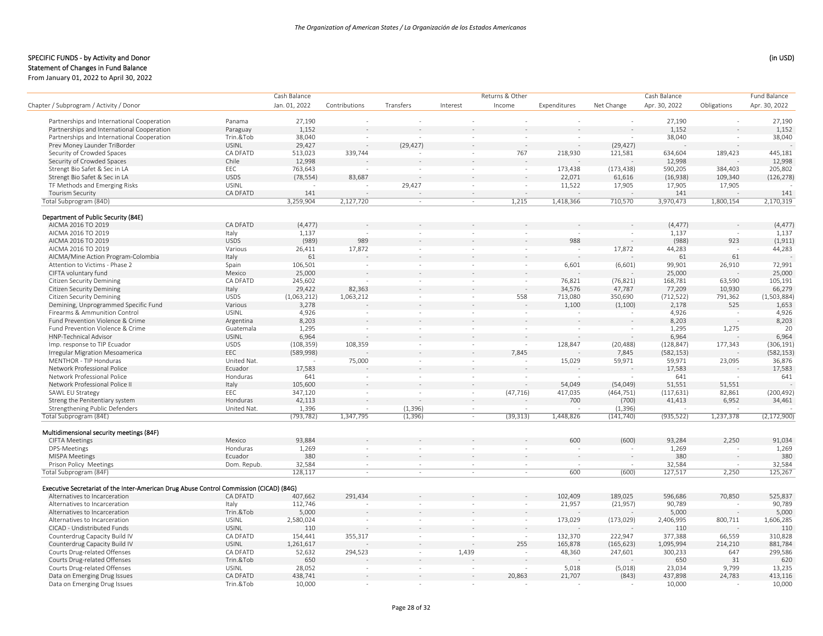|                                                                                         |                          | Cash Balance     |                          |                          |                          | Returns & Other |                  |            | Cash Balance  |             | <b>Fund Balance</b> |
|-----------------------------------------------------------------------------------------|--------------------------|------------------|--------------------------|--------------------------|--------------------------|-----------------|------------------|------------|---------------|-------------|---------------------|
| Chapter / Subprogram / Activity / Donor                                                 |                          | Jan. 01, 2022    | Contributions            | Transfers                | Interest                 | Income          | Expenditures     | Net Change | Apr. 30, 2022 | Obligations | Apr. 30, 2022       |
| Partnerships and International Cooperation                                              | Panama                   | 27,190           |                          |                          |                          |                 |                  |            | 27,190        |             | 27,190              |
| Partnerships and International Cooperation                                              | Paraguay                 | 1,152            |                          |                          |                          |                 |                  |            | 1,152         |             | 1,152               |
| Partnerships and International Cooperation                                              | Trin.&Tob                | 38,040           | $\overline{\phantom{a}}$ | $\sim$                   | $\sim$                   | $\sim$          | $\sim$           |            | 38,040        |             | 38,040              |
| Prev Money Launder TriBorder                                                            | <b>USINL</b>             | 29,427           |                          | (29, 427)                |                          |                 |                  | (29, 427)  |               |             |                     |
| Security of Crowded Spaces                                                              | CA DFATD                 | 513,023          | 339,744                  |                          | $\sim$                   | 767             | 218,930          | 121,581    | 634,604       | 189,423     | 445,181             |
| Security of Crowded Spaces                                                              | Chile                    | 12,998           |                          |                          |                          |                 |                  |            | 12,998        |             | 12,998              |
| Strengt Bio Safet & Sec in LA                                                           | EEC                      | 763,643          |                          | $\sim$                   | ×                        | $\sim$          | 173,438          | (173, 438) | 590,205       | 384,403     | 205,802             |
| Strengt Bio Safet & Sec in LA                                                           | <b>USDS</b>              | (78, 554)        | 83,687                   |                          |                          |                 | 22,071           | 61,616     | (16,938)      | 109,340     | (126, 278)          |
|                                                                                         |                          |                  |                          |                          | $\sim$                   |                 |                  |            |               |             |                     |
| TF Methods and Emerging Risks                                                           | <b>USINL</b><br>CA DFATD |                  |                          | 29,427                   |                          | $\sim$          | 11,522<br>$\sim$ | 17,905     | 17,905<br>141 | 17,905      | 141                 |
| <b>Tourism Security</b><br>Total Subprogram (84D)                                       |                          | 141<br>3,259,904 | 2,127,720                | ×                        | $\sim$                   | 1,215           | 1,418,366        | 710,570    | 3,970,473     | 1,800,154   | 2,170,319           |
|                                                                                         |                          |                  |                          |                          |                          |                 |                  |            |               |             |                     |
| Department of Public Security (84E)                                                     |                          |                  |                          |                          |                          |                 |                  |            |               |             |                     |
| AICMA 2016 TO 2019                                                                      | CA DFATD                 | (4, 477)         |                          |                          |                          |                 |                  |            | (4, 477)      |             | (4, 477)            |
| AICMA 2016 TO 2019                                                                      | Italy                    | 1,137            |                          |                          |                          |                 |                  |            | 1,137         |             | 1,137               |
| AICMA 2016 TO 2019                                                                      | <b>USDS</b>              | (989)            | 989                      |                          |                          |                 | 988              |            | (988)         | 923         | (1, 911)            |
| AICMA 2016 TO 2019                                                                      | Various                  | 26,411           | 17,872                   |                          |                          |                 |                  | 17,872     | 44,283        |             | 44,283              |
| AICMA/Mine Action Program-Colombia                                                      | Italy                    | 61               |                          |                          |                          |                 |                  |            | 61            | 61          |                     |
| Attention to Victims - Phase 2                                                          | Spain                    | 106,501          |                          | ä,                       |                          |                 | 6,601            | (6,601)    | 99,901        | 26,910      | 72,991              |
| CIFTA voluntary fund                                                                    | Mexico                   | 25,000           |                          |                          |                          |                 |                  |            | 25,000        |             | 25,000              |
| <b>Citizen Security Demining</b>                                                        | CA DFATD                 | 245,602          |                          | $\sim$                   | $\overline{\phantom{a}}$ | $\sim$          | 76,821           | (76, 821)  | 168,781       | 63,590      | 105,191             |
| <b>Citizen Security Demining</b>                                                        | Italy                    | 29,422           | 82,363                   |                          |                          | $\sim$          | 34,576           | 47,787     | 77,209        | 10,930      | 66,279              |
| <b>Citizen Security Demining</b>                                                        | <b>USDS</b>              | (1,063,212)      | 1,063,212                | $\sim$                   | $\sim$                   | 558             | 713,080          | 350,690    | (712, 522)    | 791,362     | (1,503,884)         |
| Demining, Unprogrammed Specific Fund                                                    | Various                  | 3,278            |                          |                          |                          |                 | 1,100            | (1,100)    | 2,178         | 525         | 1,653               |
| Firearms & Ammunition Control                                                           | <b>USINL</b>             | 4,926            |                          | $\sim$                   | $\overline{\phantom{a}}$ |                 |                  |            | 4,926         |             | 4,926               |
| Fund Prevention Violence & Crime                                                        | Argentina                | 8,203            |                          |                          |                          |                 |                  |            | 8,203         |             | 8,203               |
| Fund Prevention Violence & Crime                                                        | Guatemala                | 1,295            |                          | ÷,                       | $\bar{a}$                |                 |                  | ÷.         | 1,295         | 1,275       | 20                  |
| <b>HNP-Technical Advisor</b>                                                            | <b>USINL</b>             | 6,964            |                          |                          |                          |                 |                  |            | 6,964         |             | 6,964               |
| Imp. response to TIP Ecuador                                                            | <b>USDS</b>              | (108, 359)       | 108,359                  | $\sim$                   | $\sim$                   | $\sim$          | 128,847          | (20, 488)  | (128, 847)    | 177,343     | (306, 191)          |
| Irregular Migration Mesoamerica                                                         | EEC                      | (589, 998)       |                          |                          |                          | 7,845           |                  | 7,845      | (582, 153)    |             | (582, 153)          |
| MENTHOR - TIP Honduras                                                                  | United Nat.              |                  | 75,000                   | $\sim$                   | ٠                        |                 | 15,029           | 59,971     | 59,971        | 23,095      | 36,876              |
| Network Professional Police                                                             | Ecuador                  | 17,583           |                          |                          |                          |                 |                  |            | 17,583        |             | 17,583              |
| Network Professional Police                                                             | Honduras                 | 641              |                          | $\sim$                   | $\sim$                   | $\sim$          |                  |            | 641           |             | 641                 |
| Network Professional Police II                                                          | Italy                    | 105,600          |                          |                          |                          |                 | 54,049           | (54,049)   | 51,551        | 51,551      |                     |
| SAWL EU Strategy                                                                        | EEC                      | 347,120          | $\sim$                   | $\sim$                   | ÷,                       | (47, 716)       | 417,035          | (464, 751) | (117, 631)    | 82,861      | (200, 492)          |
| Streng the Penitentiary system                                                          | Honduras                 | 42,113           |                          |                          |                          |                 | 700              | (700)      | 41,413        | 6,952       | 34,461              |
| Strengthening Public Defenders                                                          | United Nat.              | 1,396            | $\sim$                   | (1, 396)                 | $\sim$                   |                 |                  | (1, 396)   |               |             |                     |
| Total Subprogram (84E)                                                                  |                          | (793, 782)       | 1,347,795                | (1, 396)                 |                          | (39, 313)       | 1,448,826        | (141, 740) | (935, 522)    | 1,237,378   | (2, 172, 900)       |
| Multidimensional security meetings (84F)                                                |                          |                  |                          |                          |                          |                 |                  |            |               |             |                     |
| <b>CIFTA Meetings</b>                                                                   | Mexico                   | 93,884           |                          |                          |                          |                 | 600              | (600)      | 93,284        | 2,250       | 91,034              |
| DPS-Meetings                                                                            | Honduras                 | 1,269            |                          |                          |                          |                 |                  |            | 1,269         |             | 1,269               |
| <b>MISPA Meetings</b>                                                                   | Ecuador                  | 380              |                          |                          |                          |                 |                  | $\sim$     | 380           |             | 380                 |
| Prison Policy Meetings                                                                  | Dom. Repub.              | 32,584           | $\sim$                   | $\sim$                   | $\sim$                   | $\sim$          | $\sim$           | $\sim$     | 32,584        | $\sim$      | 32,584              |
| Total Subprogram (84F)                                                                  |                          | 128,117          | $\sim$                   | $\sim$                   | $\sim$                   | $\sim$          | 600              | (600)      | 127,517       | 2,250       | 125,267             |
|                                                                                         |                          |                  |                          |                          |                          |                 |                  |            |               |             |                     |
| Executive Secretariat of the Inter-American Drug Abuse Control Commission (CICAD) (84G) |                          |                  |                          |                          |                          |                 |                  |            |               | 70,850      |                     |
| Alternatives to Incarceration                                                           | CA DFATD                 | 407,662          | 291,434                  |                          |                          |                 | 102,409          | 189,025    | 596,686       |             | 525,837             |
| Alternatives to Incarceration                                                           | Italy                    | 112,746          |                          | $\overline{\phantom{a}}$ | ÷,                       |                 | 21,957           | (21,957)   | 90,789        |             | 90,789              |
| Alternatives to Incarceration                                                           | Trin.&Tob                | 5,000            |                          |                          |                          |                 |                  |            | 5,000         |             | 5,000               |
| Alternatives to Incarceration                                                           | <b>USINL</b>             | 2,580,024        | $\sim$                   | $\sim$                   | $\sim$                   | $\sim$          | 173,029          | (173, 029) | 2,406,995     | 800,711     | 1,606,285           |
| CICAD - Undistributed Funds                                                             | <b>USINL</b>             | 110              |                          |                          |                          |                 |                  |            | 110           |             | 110                 |
| Counterdrug Capacity Build IV                                                           | CA DFATD                 | 154,441          | 355,317                  | $\sim$                   | $\sim$                   | $\sim$          | 132,370          | 222.947    | 377,388       | 66,559      | 310,828             |
| Counterdrug Capacity Build IV                                                           | <b>USINL</b>             | 1,261,617        |                          |                          |                          | 255             | 165,878          | (165, 623) | 1,095,994     | 214,210     | 881,784             |
| Courts Drug-related Offenses                                                            | CA DFATD                 | 52,632           | 294,523                  | $\sim$                   | 1,439                    |                 | 48,360           | 247,601    | 300,233       | 647         | 299,586             |
| Courts Drug-related Offenses                                                            | Trin.&Tob                | 650              |                          |                          |                          |                 |                  |            | 650           | 31          | 620                 |
| Courts Drug-related Offenses                                                            | <b>USINL</b>             | 28,052           |                          | $\sim$                   |                          |                 | 5,018            | (5,018)    | 23,034        | 9,799       | 13,235              |
| Data on Emerging Drug Issues                                                            | CA DFATD                 | 438,741          |                          |                          |                          | 20,863          | 21,707           | (843)      | 437,898       | 24,783      | 413,116             |
| Data on Emerging Drug Issues                                                            | Trin.&Tob                | 10,000           | ×                        | $\sim$                   | $\overline{\phantom{a}}$ |                 |                  |            | 10,000        |             | 10,000              |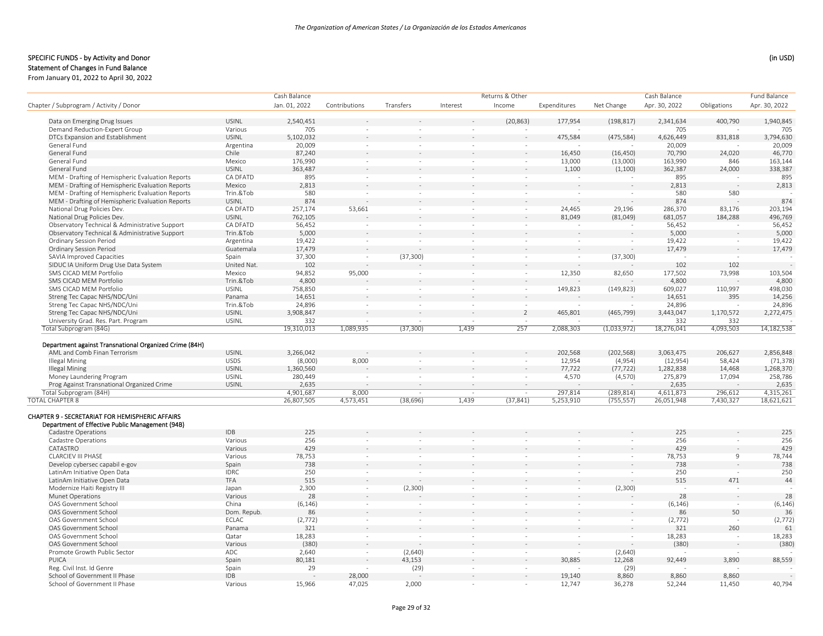|                                                        |                     | Cash Balance  |               |                          |                          | Returns & Other          |              |                          | Cash Balance  |             | <b>Fund Balance</b> |  |
|--------------------------------------------------------|---------------------|---------------|---------------|--------------------------|--------------------------|--------------------------|--------------|--------------------------|---------------|-------------|---------------------|--|
| Chapter / Subprogram / Activity / Donor                |                     | Jan. 01, 2022 | Contributions | Transfers                | Interest                 | Income                   | Expenditures | Net Change               | Apr. 30, 2022 | Obligations | Apr. 30, 2022       |  |
| Data on Emerging Drug Issues                           | <b>USINL</b>        | 2,540,451     |               |                          |                          | (20, 863)                | 177,954      | (198, 817)               | 2,341,634     | 400,790     | 1,940,845           |  |
| Demand Reduction-Expert Group                          | Various             | 705           |               |                          |                          |                          |              |                          | 705           |             | 705                 |  |
| DTCs Expansion and Establishment                       | <b>USINL</b>        | 5,102,032     |               |                          |                          |                          | 475,584      | (475, 584)               | 4,626,449     | 831,818     | 3,794,630           |  |
| General Fund                                           | Argentina           | 20,009        | $\sim$        | $\sim$                   | $\sim$                   | ÷.                       |              |                          | 20,009        |             | 20,009              |  |
| General Fund                                           | Chile               | 87,240        |               |                          |                          |                          | 16,450       | (16, 450)                | 70,790        | 24,020      | 46,770              |  |
| General Fund                                           | Mexico              | 176,990       | $\sim$        | $\sim$                   | $\sim$                   | $\sim$                   | 13,000       | (13,000)                 | 163,990       | 846         | 163,144             |  |
| General Fund                                           | <b>USINL</b>        | 363,487       |               |                          |                          |                          | 1,100        | (1,100)                  | 362,387       | 24,000      | 338,387             |  |
| MEM - Drafting of Hemispheric Evaluation Reports       | CA DFATD            | 895           | $\sim$        | $\sim$                   | $\overline{\phantom{a}}$ | $\sim$                   | $\sim$       |                          | 895           | $\sim$      | 895                 |  |
| MEM - Drafting of Hemispheric Evaluation Reports       | Mexico              | 2,813         |               |                          |                          |                          |              |                          | 2,813         |             | 2,813               |  |
| MEM - Drafting of Hemispheric Evaluation Reports       | Trin.&Tob           | 580           |               | $\bar{\phantom{a}}$      | $\bar{ }$                |                          |              |                          | 580           | 580         |                     |  |
| MEM - Drafting of Hemispheric Evaluation Reports       | <b>USINL</b>        | 874           |               |                          |                          |                          |              |                          | 874           |             | 874                 |  |
| National Drug Policies Dev.                            | CA DFATD            | 257,174       | 53,661        | $\sim$                   | $\sim$                   | $\sim$                   | 24,465       | 29,196                   | 286,370       | 83,176      | 203,194             |  |
| National Drug Policies Dev.                            | <b>USINL</b>        | 762,105       |               |                          |                          |                          | 81,049       | (81,049)                 | 681,057       | 184,288     | 496,769             |  |
| Observatory Technical & Administrative Support         | CA DFATD            | 56,452        | $\sim$        | $\sim$                   | $\sim$                   | $\sim$                   |              |                          | 56,452        |             | 56,452              |  |
| Observatory Technical & Administrative Support         | Trin.&Tob           | 5,000         |               |                          |                          |                          |              |                          | 5,000         |             | 5,000               |  |
| <b>Ordinary Session Period</b>                         | Argentina           | 19,422        | $\sim$        | $\sim$                   | $\overline{\phantom{a}}$ | $\overline{\phantom{a}}$ | $\sim$       | $\overline{\phantom{a}}$ | 19,422        | $\sim$      | 19,422              |  |
| <b>Ordinary Session Period</b>                         | Guatemala           | 17,479        |               |                          |                          |                          |              |                          | 17,479        |             | 17,479              |  |
| <b>SAVIA Improved Capacities</b>                       | Spain               | 37,300        | $\sim$        | (37, 300)                | $\sim$                   | $\sim$                   | $\sim$       | (37, 300)                |               | $\sim$      |                     |  |
| SIDUC IA Uniform Drug Use Data System                  | United Nat.         | 102           |               |                          |                          |                          |              |                          | 102           | 102         |                     |  |
| SMS CICAD MEM Portfolio                                | Mexico              | 94,852        | 95,000        | $\bar{\phantom{a}}$      | $\bar{ }$                |                          | 12,350       | 82,650                   | 177,502       | 73,998      | 103,504             |  |
| SMS CICAD MEM Portfolio                                | Trin.&Tob           | 4,800         |               |                          |                          |                          |              |                          | 4,800         |             | 4,800               |  |
| SMS CICAD MEM Portfolio                                | <b>USINL</b>        | 758,850       |               | $\sim$                   | $\sim$                   | $\sim$                   | 149,823      | (149, 823)               | 609,027       | 110,997     | 498,030             |  |
| Streng Tec Capac NHS/NDC/Uni                           | Panama              | 14,651        |               |                          |                          |                          |              |                          | 14,651        | 395         | 14,256              |  |
| Streng Tec Capac NHS/NDC/Uni                           | Trin.&Tob           | 24,896        | $\sim$        | $\sim$                   | $\sim$                   | $\sim$                   |              |                          | 24,896        |             | 24,896              |  |
| Streng Tec Capac NHS/NDC/Uni                           | <b>USINL</b>        | 3,908,847     |               |                          |                          | $\overline{2}$           | 465,801      | (465, 799)               | 3,443,047     | 1,170,572   | 2,272,475           |  |
| University Grad. Res. Part. Program                    | <b>USINL</b>        | 332           | $\sim$        | $\sim$                   | $\sim$                   | $\sim$                   |              |                          | 332           | 332         |                     |  |
| Total Subprogram (84G)                                 |                     | 19,310,013    | 1,089,935     | (37, 300)                | 1,439                    | 257                      | 2,088,303    | (1,033,972)              | 18,276,041    | 4,093,503   | 14,182,538          |  |
|                                                        |                     |               |               |                          |                          |                          |              |                          |               |             |                     |  |
| Department against Transnational Organized Crime (84H) |                     |               |               |                          |                          |                          |              |                          |               |             |                     |  |
| AML and Comb Finan Terrorism                           | <b>USINL</b>        | 3,266,042     |               |                          |                          |                          | 202,568      | (202, 568)               | 3,063,475     | 206,627     | 2,856,848           |  |
| <b>Illegal Mining</b>                                  | <b>USDS</b>         | (8,000)       | 8,000         | $\sim$                   | $\sim$                   | $\sim$                   | 12,954       | (4,954)                  | (12, 954)     | 58,424      | (71, 378)           |  |
| <b>Illegal Mining</b>                                  | <b>USINL</b>        | 1,360,560     |               |                          |                          |                          | 77,722       | (77, 722)                | 1,282,838     | 14,468      | 1,268,370           |  |
| Money Laundering Program                               | <b>USINL</b>        | 280,449       |               | $\sim$                   | $\overline{\phantom{a}}$ | $\overline{\phantom{a}}$ | 4,570        | (4,570)                  | 275,879       | 17,094      | 258,786             |  |
| Prog Against Transnational Organized Crime             | USINL               | 2,635         |               |                          |                          |                          |              |                          | 2,635         |             | 2,635               |  |
| Total Subprogram (84H)                                 |                     | 4,901,687     | 8,000         | $\sim$                   | $\sim$                   | in 1919.                 | 297,814      | (289, 814)               | 4,611,873     | 296,612     | 4,315,261           |  |
| <b>TOTAL CHAPTER 8</b>                                 |                     | 26,807,505    | 4,573,451     | (38, 696)                | 1,439                    | (37, 841)                | 5,253,910    | (755, 557)               | 26,051,948    | 7,430,327   | 18,621,621          |  |
| CHAPTER 9 - SECRETARIAT FOR HEMISPHERIC AFFAIRS        |                     |               |               |                          |                          |                          |              |                          |               |             |                     |  |
| Department of Effective Public Management (94B)        | <b>IDB</b>          | 225           |               |                          |                          |                          |              |                          | 225           |             |                     |  |
| Cadastre Operations                                    |                     |               |               |                          |                          |                          |              |                          | 256           |             | 225                 |  |
| Cadastre Operations                                    | Various             | 256<br>429    | $\sim$        | $\sim$                   | $\sim$                   |                          |              | $\sim$                   | 429           | $\sim$      | 256                 |  |
| CATASTRO                                               | Various             |               |               |                          |                          |                          |              |                          |               |             | 429                 |  |
| <b>CLARCIEV III PHASE</b>                              | Various             | 78,753<br>738 | $\sim$        | $\sim$                   | $\bar{ }$                | $\sim$                   | $\sim$       | $\sim$                   | 78,753        | 9           | 78,744<br>738       |  |
| Develop cybersec capabil e-gov                         | Spain               |               |               |                          |                          |                          |              |                          | 738           |             |                     |  |
| LatinAm Initiative Open Data                           | <b>IDRC</b>         | 250           | $\sim$        | $\overline{\phantom{a}}$ | $\overline{\phantom{a}}$ |                          |              | $\sim$                   | 250           | $\sim$      | 250<br>44           |  |
| LatinAm Initiative Open Data                           | TFA                 | 515           |               |                          |                          |                          |              |                          | 515           | 471         |                     |  |
| Modernize Haiti Registry III                           | Japan               | 2,300         | $\sim$        | (2,300)                  | $\sim$                   |                          | $\sim$       | (2,300)                  |               |             |                     |  |
| <b>Munet Operations</b>                                | Various             | 28            |               |                          |                          |                          |              |                          | 28            |             | 28                  |  |
| OAS Government School                                  | China               | (6, 146)      | $\sim$        | $\bar{ }$                | $\bar{ }$                | $\sim$                   | $\sim$       | $\bar{\phantom{a}}$      | (6, 146)      | $\sim$      | (6, 146)            |  |
| OAS Government School                                  | Dom. Repub.         | 86            |               |                          |                          |                          |              |                          | 86            | 50          | 36                  |  |
| OAS Government School                                  | <b>ECLAC</b>        | (2, 772)      | $\sim$        | $\sim$                   | $\sim$                   | $\sim$                   | $\sim$       | $\sim$                   | (2, 772)      | $\sim$      | (2, 772)            |  |
| OAS Government School                                  | Panama              | 321           |               |                          |                          |                          |              |                          | 321           | 260         | 61                  |  |
| OAS Government School                                  | Qatar               | 18,283        | $\sim$        | $\bar{\phantom{a}}$      | $\bar{ }$                | $\sim$                   | $\sim$       | $\sim$                   | 18,283        | $\sim$      | 18,283              |  |
| OAS Government School                                  | Various             | (380)         |               |                          |                          |                          |              |                          | (380)         | $\sim$      | (380)               |  |
| Promote Growth Public Sector<br>PUICA                  | ADC                 | 2,640         |               | (2,640)                  | $\overline{\phantom{a}}$ |                          |              | (2,640)                  |               |             |                     |  |
|                                                        | Spain               | 80,181        |               | 43,153                   |                          |                          | 30,885       | 12,268                   | 92,449        | 3,890       | 88,559              |  |
| Reg. Civil Inst. Id Genre                              | Spain<br><b>IDB</b> | 29            |               | (29)                     | ÷.                       |                          |              | (29)                     |               |             |                     |  |
| School of Government II Phase                          |                     |               | 28,000        |                          |                          |                          | 19,140       | 8,860                    | 8,860         | 8,860       |                     |  |
| School of Government II Phase                          | Various             | 15,966        | 47,025        | 2,000                    | $\sim$                   | ÷.                       | 12,747       | 36,278                   | 52,244        | 11,450      | 40,794              |  |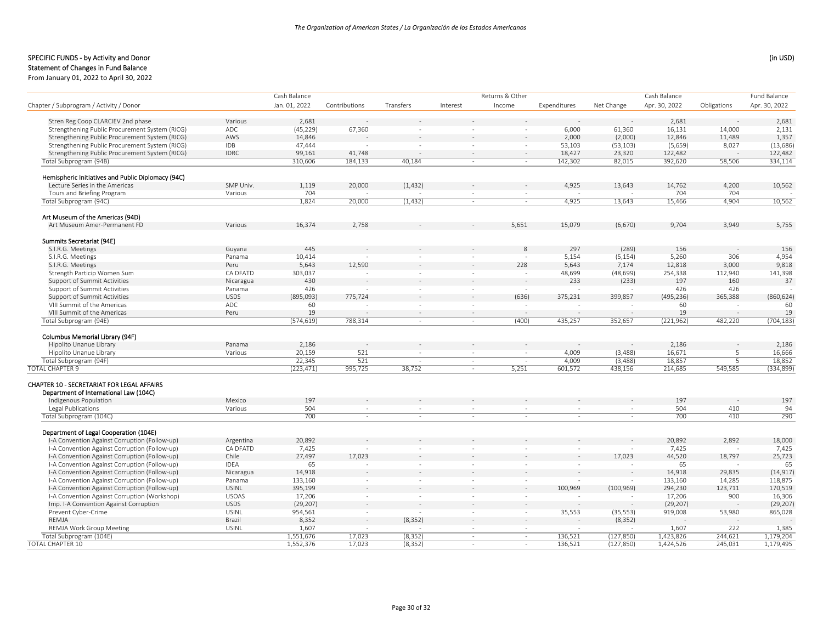#### SPECIFIC FUNDS - by Activity and Donor (in USD) (in USD)

Statement of Changes in Fund Balance

From January 01, 2022 to April 30, 2022

|                                                    |              | Cash Balance  |               |                          | Returns & Other |        |              | Fund Balance             |                |                          |               |
|----------------------------------------------------|--------------|---------------|---------------|--------------------------|-----------------|--------|--------------|--------------------------|----------------|--------------------------|---------------|
| Chapter / Subprogram / Activity / Donor            |              | Jan. 01, 2022 | Contributions | Transfers                | Interest        | Income | Expenditures | Net Change               | Apr. 30, 2022  | Obligations              | Apr. 30, 2022 |
|                                                    |              |               |               |                          |                 |        |              |                          |                |                          |               |
| Stren Reg Coop CLARCIEV 2nd phase                  | Various      | 2,681         |               |                          |                 |        |              |                          | 2,681          |                          | 2,681         |
| Strengthening Public Procurement System (RICG)     | ADC          | (45, 229)     | 67,360        |                          |                 |        | 6,000        | 61,360                   | 16,131         | 14,000                   | 2,131         |
| Strengthening Public Procurement System (RICG)     | AWS          | 14,846        |               |                          |                 |        | 2,000        | (2,000)                  | 12,846         | 11.489                   | 1,357         |
| Strengthening Public Procurement System (RICG)     | <b>IDB</b>   | 47,444        |               |                          |                 |        | 53,103       | (53, 103)                | (5,659)        | 8,027                    | (13, 686)     |
| Strengthening Public Procurement System (RICG)     | <b>IDRC</b>  | 99,161        | 41,748        |                          |                 | $\sim$ | 18,427       | 23,320                   | 122,482        |                          | 122,482       |
| Total Subprogram (94B)                             |              | 310,606       | 184,133       | 40,184                   | $\sim$          | $\sim$ | 142,302      | 82,015                   | 392,620        | 58,506                   | 334,114       |
| Hemispheric Initiatives and Public Diplomacy (94C) |              |               |               |                          |                 |        |              |                          |                |                          |               |
| Lecture Series in the Americas                     | SMP Univ.    | 1,119         | 20,000        | (1, 432)                 |                 |        | 4,925        | 13,643                   | 14,762         | 4,200                    | 10,562        |
| Tours and Briefing Program                         | Various      | 704           |               |                          | $\sim$          | $\sim$ |              |                          | 704            | 704                      |               |
| Total Subprogram (94C)                             |              | 1,824         | 20,000        | (1, 432)                 | $\sim$          | $\sim$ | 4,925        | 13,643                   | 15,466         | 4,904                    | 10,562        |
| Art Museum of the Americas (94D)                   |              |               |               |                          |                 |        |              |                          |                |                          |               |
| Art Museum Amer-Permanent FD                       | Various      | 16,374        | 2,758         |                          |                 | 5,651  | 15,079       | (6,670)                  | 9,704          | 3,949                    | 5,755         |
|                                                    |              |               |               |                          |                 |        |              |                          |                |                          |               |
| Summits Secretariat (94E)<br>S.I.R.G. Meetings     |              | 445           |               |                          |                 | 8      | 297          | (289)                    | 156            |                          | 156           |
|                                                    | Guyana       |               |               |                          |                 |        |              |                          |                |                          |               |
| S.I.R.G. Meetings                                  | Panama       | 10,414        |               |                          |                 | $\sim$ | 5,154        | (5, 154)                 | 5,260          | 306                      | 4,954         |
| S.I.R.G. Meetings                                  | Peru         | 5,643         | 12,590        |                          |                 | 228    | 5,643        | 7,174                    | 12,818         | 3,000                    | 9,818         |
| Strength Particip Women Sum                        | CA DFATD     | 303,037       |               |                          | $\sim$          | $\sim$ | 48,699       | (48, 699)                | 254,338<br>197 | 112,940                  | 141,398       |
| Support of Summit Activities                       | Nicaragua    | 430           |               |                          |                 | $\sim$ | 233          | (233)                    |                | 160                      | 37            |
| Support of Summit Activities                       | Panama       | 426           |               |                          | $\sim$          | $\sim$ |              |                          | 426            | 426                      |               |
| Support of Summit Activities                       | <b>USDS</b>  | (895,093)     | 775.724       |                          |                 | (636)  | 375,231      | 399,857                  | (495, 236)     | 365,388                  | (860, 624)    |
| VIII Summit of the Americas                        | ADC          | 60            |               |                          | $\sim$          | $\sim$ |              |                          | 60             |                          | 60            |
| VIII Summit of the Americas                        | Peru         | 19            |               |                          | $\sim$          | $\sim$ |              |                          | 19             | $\sim$                   | 19            |
| Total Subprogram (94E)                             |              | (574, 619)    | 788,314       | $\sim$                   | $\sim$          | (400)  | 435,257      | 352,657                  | (221, 962)     | 482,220                  | (704, 183)    |
| Columbus Memorial Library (94F)                    |              |               |               |                          |                 |        |              |                          |                |                          |               |
| Hipolito Unanue Library                            | Panama       | 2,186         |               |                          |                 |        |              |                          | 2,186          |                          | 2,186         |
| Hipolito Unanue Library                            | Various      | 20,159        | 521           | $\sim$                   | $\sim$          | $\sim$ | 4,009        | (3, 488)                 | 16,671         | 5                        | 16,666        |
| Total Subprogram (94F)                             |              | 22,345        | 521           | $\sim$                   | $\sim$          | $\sim$ | 4,009        | (3, 488)                 | 18,857         | $\overline{5}$           | 18,852        |
| <b>TOTAL CHAPTER 9</b>                             |              | (223, 471)    | 995,725       | 38,752                   | $\sim$          | 5,251  | 601,572      | 438,156                  | 214,685        | 549,585                  | (334, 899)    |
|                                                    |              |               |               |                          |                 |        |              |                          |                |                          |               |
| CHAPTER 10 - SECRETARIAT FOR LEGAL AFFAIRS         |              |               |               |                          |                 |        |              |                          |                |                          |               |
| Department of International Law (104C)             |              |               |               |                          |                 |        |              |                          |                |                          |               |
| Indigenous Population                              | Mexico       | 197           |               |                          |                 |        |              |                          | 197            |                          | 197           |
| Legal Publications                                 | Various      | 504           | $\sim$        | $\overline{\phantom{a}}$ | $\sim$          |        |              | $\overline{\phantom{a}}$ | 504            | 410                      | 94            |
| Total Subprogram (104C)                            |              | 700           | $\sim$        | $\sim$                   |                 |        |              |                          | 700            | 410                      | 290           |
| Department of Legal Cooperation (104E)             |              |               |               |                          |                 |        |              |                          |                |                          |               |
| I-A Convention Against Corruption (Follow-up)      | Argentina    | 20,892        |               |                          |                 |        |              |                          | 20,892         | 2,892                    | 18,000        |
| I-A Convention Against Corruption (Follow-up)      | CA DFATD     | 7,425         |               |                          |                 |        |              |                          | 7,425          | $\overline{\phantom{a}}$ | 7,425         |
| I-A Convention Against Corruption (Follow-up)      | Chile        | 27,497        | 17,023        |                          |                 |        |              | 17,023                   | 44,520         | 18,797                   | 25,723        |
| I-A Convention Against Corruption (Follow-up)      | <b>IDEA</b>  | 65            |               | $\overline{\phantom{a}}$ | $\sim$          | $\sim$ | $\sim$       |                          | 65             |                          | 65            |
| I-A Convention Against Corruption (Follow-up)      | Nicaragua    | 14,918        |               |                          |                 |        |              |                          | 14,918         | 29,835                   | (14, 917)     |
| I-A Convention Against Corruption (Follow-up)      | Panama       | 133,160       | $\sim$        | $\sim$                   | $\sim$          | $\sim$ |              |                          | 133,160        | 14,285                   | 118,875       |
| I-A Convention Against Corruption (Follow-up)      | <b>USINL</b> | 395,199       |               |                          |                 |        | 100,969      | (100, 969)               | 294,230        | 123,711                  | 170,519       |
| I-A Convention Against Corruption (Workshop)       | <b>USOAS</b> | 17,206        | $\sim$        | $\sim$                   | $\sim$          | $\sim$ |              |                          | 17,206         | 900                      | 16,306        |
|                                                    | <b>USDS</b>  |               |               |                          |                 |        |              |                          |                |                          |               |
| Imp. I-A Convention Against Corruption             | <b>USINL</b> | (29, 207)     | $\sim$        |                          | $\sim$          |        |              |                          | (29, 207)      |                          | (29, 207)     |
| Prevent Cyber-Crime                                |              | 954,561       |               |                          |                 | $\sim$ | 35,553       | (35, 553)                | 919,008        | 53,980                   | 865,028       |
| REMJA                                              | Brazil       | 8,352         |               | (8, 352)                 |                 |        |              | (8, 352)                 |                |                          |               |
| REMJA Work Group Meeting                           | <b>USINL</b> | 1,607         |               |                          | $\sim$          | $\sim$ |              |                          | 1,607          | 222                      | 1,385         |
| Total Subprogram (104E)                            |              | 1,551,676     | 17,023        | (8, 352)                 | $\sim$          | $\sim$ | 136,521      | (127, 850)               | 1,423,826      | 244,621                  | 1,179,204     |
| TOTAL CHAPTER 10                                   |              | 1,552,376     | 17,023        | (8, 352)                 | $\sim$          | $\sim$ | 136,521      | (127, 850)               | 1,424,526      | 245,031                  | 1,179,495     |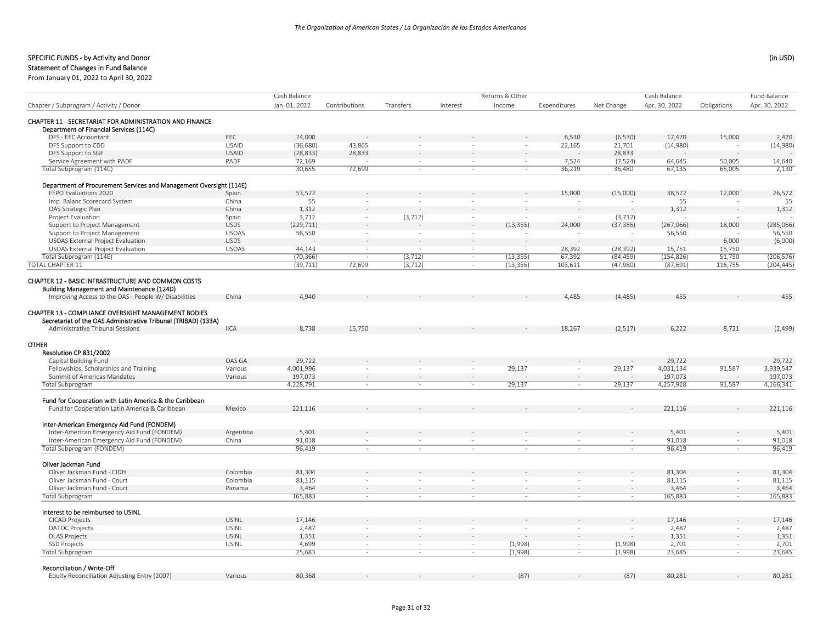# Statement of Changes in Fund Balance

|                                                                    |              | Cash Balance  |                          |                          |          | Returns & Other |              |            | Cash Balance  |             | Fund Balance  |
|--------------------------------------------------------------------|--------------|---------------|--------------------------|--------------------------|----------|-----------------|--------------|------------|---------------|-------------|---------------|
| Chapter / Subprogram / Activity / Donor                            |              | Jan. 01, 2022 | Contributions            | Transfers                | Interest | Income          | Expenditures | Net Change | Apr. 30, 2022 | Obligations | Apr. 30, 2022 |
|                                                                    |              |               |                          |                          |          |                 |              |            |               |             |               |
| CHAPTER 11 - SECRETARIAT FOR ADMINISTRATION AND FINANCE            |              |               |                          |                          |          |                 |              |            |               |             |               |
| Department of Financial Services (114C)                            |              |               |                          |                          |          |                 |              |            |               |             |               |
| DFS - EEC Accountant                                               | EEC          | 24,000        |                          |                          |          |                 | 6,530        | (6, 530)   | 17,470        | 15,000      | 2,470         |
| DFS Support to CDD                                                 | <b>USAID</b> | (36, 680)     | 43,865                   |                          |          | ÷,              | 22,165       | 21,701     | (14,980)      | $\sim$      | (14,980)      |
| DFS Support to SGF                                                 | <b>USAID</b> | (28, 833)     | 28,833                   |                          |          |                 |              | 28.833     |               |             |               |
| Service Agreement with PADF                                        | PADF         | 72,169        | $\sim$                   | $\overline{\phantom{a}}$ | $\sim$   | $\sim$          | 7,524        | (7, 524)   | 64,645        | 50,005      | 14,640        |
| Total Subprogram (114C)                                            |              | 30,655        | 72,699                   | $\sim$                   | $\sim$   | $\sim$          | 36,219       | 36,480     | 67,135        | 65,005      | 2,130         |
| Department of Procurement Services and Management Oversight (114E) |              |               |                          |                          |          |                 |              |            |               |             |               |
| FEPO Evaluations 2020                                              | Spain        | 53,572        |                          |                          |          |                 | 15,000       | (15,000)   | 38,572        | 12,000      | 26,572        |
| Imp. Balanc Scorecard System                                       | China        | 55            | $\overline{\phantom{a}}$ | $\sim$                   | $\sim$   | $\sim$          |              | $\sim$     | 55            | $\sim$      | 55            |
| OAS Strategic Plan                                                 | China        | 1,312         |                          |                          |          |                 |              |            | 1,312         |             | 1,312         |
| Project Evaluation                                                 | Spain        | 3,712         | $\sim$                   | (3, 712)                 | $\sim$   | $\sim$          |              | (3, 712)   |               | $\sim$      |               |
| Support to Project Management                                      | <b>USDS</b>  | (229, 711)    |                          |                          | $\sim$   | (13, 355)       | 24,000       | (37, 355)  | (267,066)     | 18,000      | (285,066)     |
| Support to Project Management                                      | <b>USOAS</b> | 56,550        | $\bar{\phantom{a}}$      | $\sim$                   |          |                 |              |            | 56,550        | $\sim$      | 56,550        |
| <b>USOAS External Project Evaluation</b>                           | <b>USDS</b>  |               |                          |                          |          |                 |              |            |               | 6,000       | (6,000)       |
| <b>USOAS External Project Evaluation</b>                           | <b>USOAS</b> | 44,143        | $\sim$                   |                          | $\sim$   | ÷,              | 28,392       | (28, 392)  | 15,751        | 15,750      |               |
| Total Subprogram (114E)                                            |              | (70, 366)     | $\sim$                   | (3, 712)                 | $\sim$   | (13, 355)       | 67,392       | (84, 459)  | (154, 826)    | 51,750      | (206, 576)    |
| <b>TOTAL CHAPTER 11</b>                                            |              | (39, 711)     | 72,699                   | (3, 712)                 | $\sim$   | (13, 355)       | 103,611      | (47,980)   | (87, 691)     | 116,755     | (204, 445)    |
| <b>CHAPTER 12 - BASIC INFRASTRUCTURE AND COMMON COSTS</b>          |              |               |                          |                          |          |                 |              |            |               |             |               |
| Building Management and Maintenance (124D)                         |              |               |                          |                          |          |                 |              |            |               |             |               |
| Improving Access to the OAS - People W/ Disabilities               | China        | 4,940         |                          |                          |          |                 | 4,485        | (4, 485)   | 455           |             | 455           |
|                                                                    |              |               |                          |                          |          |                 |              |            |               |             |               |
| <b>CHAPTER 13 - COMPLIANCE OVERSIGHT MANAGEMENT BODIES</b>         |              |               |                          |                          |          |                 |              |            |               |             |               |
| Secretariat of the OAS Administrative Tribunal (TRIBAD) (133A)     |              |               |                          |                          |          |                 |              |            |               |             |               |
| Administrative Tribunal Sessions                                   | <b>IICA</b>  | 8,738         | 15,750                   |                          |          |                 | 18,267       | (2,517)    | 6,222         | 8,721       | (2, 499)      |
| <b>OTHER</b>                                                       |              |               |                          |                          |          |                 |              |            |               |             |               |
| Resolution CP 831/2002                                             |              |               |                          |                          |          |                 |              |            |               |             |               |
| Capital Building Fund                                              | OAS GA       | 29,722        |                          |                          |          |                 |              |            | 29,722        |             | 29,722        |
| Fellowships, Scholarships and Training                             | Various      | 4,001,996     |                          |                          |          | 29,137          |              | 29,137     | 4,031,134     | 91,587      | 3,939,547     |
| Summit of Americas Mandates                                        | Various      | 197,073       |                          |                          | $\sim$   |                 |              | $\sim$     | 197,073       | $\sim$      | 197,073       |
| <b>Total Subprogram</b>                                            |              | 4,228,791     | ÷.                       |                          | $\sim$   | 29,137          | $\sim$       | 29,137     | 4,257,928     | 91,587      | 4,166,341     |
|                                                                    |              |               |                          |                          |          |                 |              |            |               |             |               |
| Fund for Cooperation with Latin America & the Caribbean            |              |               |                          |                          |          |                 |              |            |               |             |               |
| Fund for Cooperation Latin America & Caribbean                     | Mexico       | 221,116       |                          |                          |          |                 |              |            | 221,116       |             | 221,116       |
| Inter-American Emergency Aid Fund (FONDEM)                         |              |               |                          |                          |          |                 |              |            |               |             |               |
| Inter-American Emergency Aid Fund (FONDEM)                         | Argentina    | 5,401         |                          |                          |          |                 |              |            | 5,401         |             | 5,401         |
| Inter-American Emergency Aid Fund (FONDEM)                         | China        | 91,018        | $\sim$                   | $\sim$                   | $\sim$   | $\sim$          | $\sim$       | $\sim$     | 91,018        | in 1919.    | 91,018        |
| Total Subprogram (FONDEM)                                          |              | 96,419        | ×                        | $\sim$                   | $\sim$   | $\bar{a}$       |              | $\sim$     | 96,419        | $\sim$      | 96,419        |
|                                                                    |              |               |                          |                          |          |                 |              |            |               |             |               |
| Oliver Jackman Fund                                                |              |               |                          |                          |          |                 |              |            |               |             |               |
| Oliver Jackman Fund - CIDH                                         | Colombia     | 81,304        |                          |                          |          |                 |              |            | 81,304        |             | 81,304        |
| Oliver Jackman Fund - Court                                        | Colombia     | 81,115        |                          |                          |          |                 |              |            | 81,115        |             | 81,115        |
| Oliver Jackman Fund - Court                                        | Panama       | 3,464         | $\sim$                   |                          | $\sim$   | $\sim$          |              | $\sim$     | 3,464         | $\sim$      | 3,464         |
| Total Subprogram                                                   |              | 165,883       | $\sim$                   | $\sim$                   | $\sim$   | $\sim$          | a.           | $\sim$     | 165,883       | $\sim$      | 165,883       |
| Interest to be reimbursed to USINL                                 |              |               |                          |                          |          |                 |              |            |               |             |               |
| <b>CICAD Projects</b>                                              | <b>USINL</b> | 17,146        |                          |                          |          |                 |              |            | 17,146        |             | 17,146        |
| <b>DATOC Projects</b>                                              | <b>USINL</b> | 2,487         | $\sim$                   | ٠                        | $\sim$   |                 |              | $\sim$     | 2,487         |             | 2,487         |
| <b>DLAS Projects</b>                                               | <b>USINL</b> | 1,351         |                          |                          |          |                 |              |            | 1,351         |             | 1,351         |
| <b>SSD Projects</b>                                                | <b>USINL</b> | 4,699         | $\sim$                   | $\sim$                   | $\sim$   | (1,998)         | $\sim$       | (1,998)    | 2,701         | $\sim$      | 2,701         |
| <b>Total Subprogram</b>                                            |              | 25,683        | ÷.                       | $\sim$                   | $\sim$   | (1,998)         | $\sim$       | (1,998)    | 23,685        | $\sim$      | 23,685        |
| Reconciliation / Write-Off                                         |              |               |                          |                          |          |                 |              |            |               |             |               |
| Equity Reconciliation Adjusting Entry (2007)                       | Various      | 80,368        |                          |                          |          | (87)            |              | (87)       | 80,281        |             | 80,281        |
|                                                                    |              |               |                          |                          |          |                 |              |            |               |             |               |